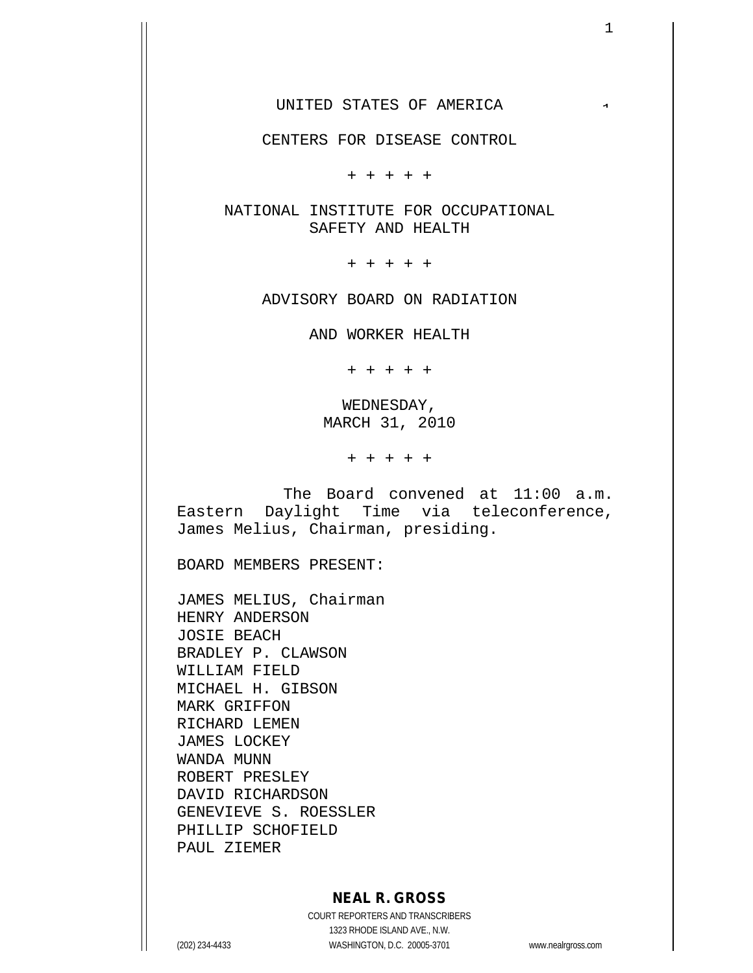CENTERS FOR DISEASE CONTROL

+ + + + +

NATIONAL INSTITUTE FOR OCCUPATIONAL SAFETY AND HEALTH

+ + + + +

ADVISORY BOARD ON RADIATION

AND WORKER HEALTH

+ + + + +

WEDNESDAY, MARCH 31, 2010

+ + + + +

The Board convened at 11:00 a.m. Eastern Daylight Time via teleconference, James Melius, Chairman, presiding.

BOARD MEMBERS PRESENT:

JAMES MELIUS, Chairman HENRY ANDERSON JOSIE BEACH BRADLEY P. CLAWSON WILLIAM FIELD MICHAEL H. GIBSON MARK GRIFFON RICHARD LEMEN JAMES LOCKEY WANDA MUNN ROBERT PRESLEY DAVID RICHARDSON GENEVIEVE S. ROESSLER PHILLIP SCHOFIELD PAUL ZIEMER

## **NEAL R. GROSS**

COURT REPORTERS AND TRANSCRIBERS 1323 RHODE ISLAND AVE., N.W. (202) 234-4433 WASHINGTON, D.C. 20005-3701 www.nealrgross.com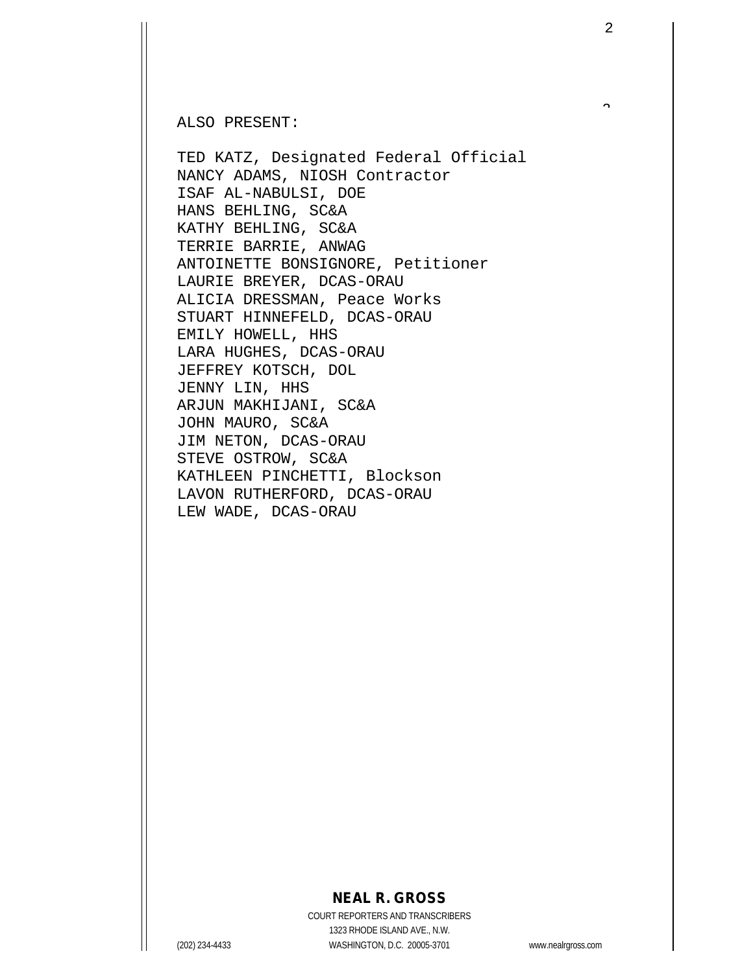ALSO PRESENT:

TED KATZ, Designated Federal Official NANCY ADAMS, NIOSH Contractor ISAF AL-NABULSI, DOE HANS BEHLING, SC&A KATHY BEHLING, SC&A TERRIE BARRIE, ANWAG ANTOINETTE BONSIGNORE, Petitioner LAURIE BREYER, DCAS-ORAU ALICIA DRESSMAN, Peace Works STUART HINNEFELD, DCAS-ORAU EMILY HOWELL, HHS LARA HUGHES, DCAS-ORAU JEFFREY KOTSCH, DOL JENNY LIN, HHS ARJUN MAKHIJANI, SC&A JOHN MAURO, SC&A JIM NETON, DCAS-ORAU STEVE OSTROW, SC&A KATHLEEN PINCHETTI, Blockson LAVON RUTHERFORD, DCAS-ORAU LEW WADE, DCAS-ORAU

## **NEAL R. GROSS**

COURT REPORTERS AND TRANSCRIBERS 1323 RHODE ISLAND AVE., N.W. (202) 234-4433 WASHINGTON, D.C. 20005-3701 www.nealrgross.com

 $\hat{ }$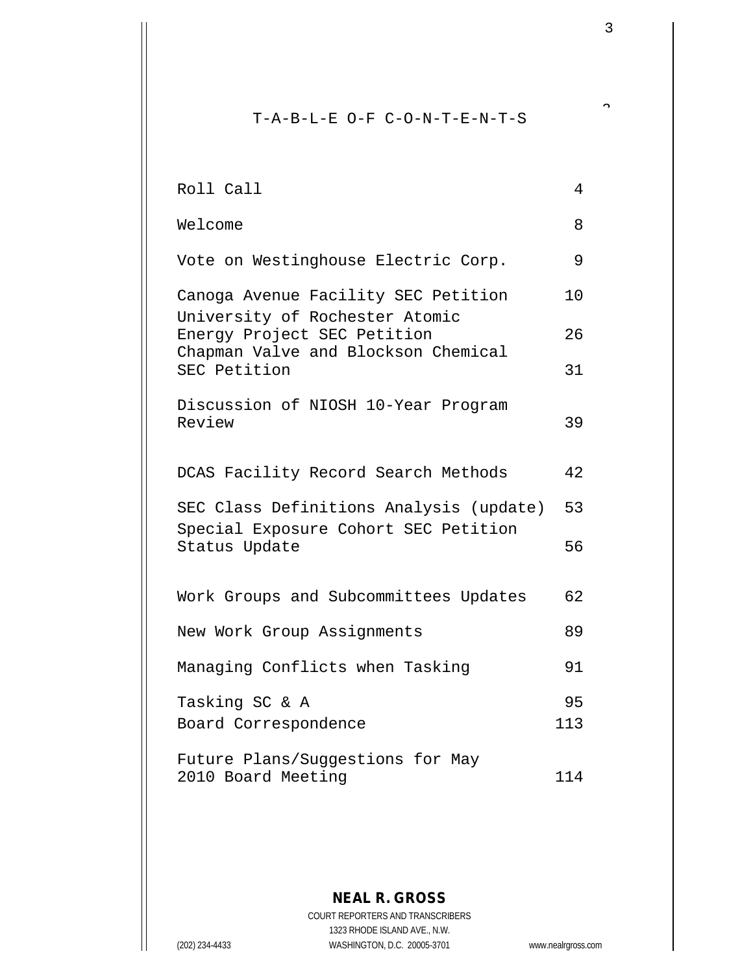T-A-B-L-E O-F C-O-N-T-E-N-T-S

| Roll Call                                                     | $\overline{4}$ |
|---------------------------------------------------------------|----------------|
| Welcome                                                       | 8              |
| Vote on Westinghouse Electric Corp.                           | 9              |
| Canoga Avenue Facility SEC Petition                           | 10             |
| University of Rochester Atomic<br>Energy Project SEC Petition | 26             |
| Chapman Valve and Blockson Chemical<br>SEC Petition           | 31             |
| Discussion of NIOSH 10-Year Program<br>Review                 | 39             |
| DCAS Facility Record Search Methods                           | 42             |
| SEC Class Definitions Analysis (update)                       | 53             |
| Special Exposure Cohort SEC Petition<br>Status Update         | 56             |
| Work Groups and Subcommittees Updates                         | 62             |
| New Work Group Assignments                                    | 89             |
| Managing Conflicts when Tasking                               | 91             |
| Tasking SC & A<br>Board Correspondence                        | 95<br>113      |
| Future Plans/Suggestions for May                              |                |
| 2010 Board Meeting                                            | 114            |

**NEAL R. GROSS** COURT REPORTERS AND TRANSCRIBERS 1323 RHODE ISLAND AVE., N.W. (202) 234-4433 WASHINGTON, D.C. 20005-3701 www.nealrgross.com

3

 $\tilde{a}$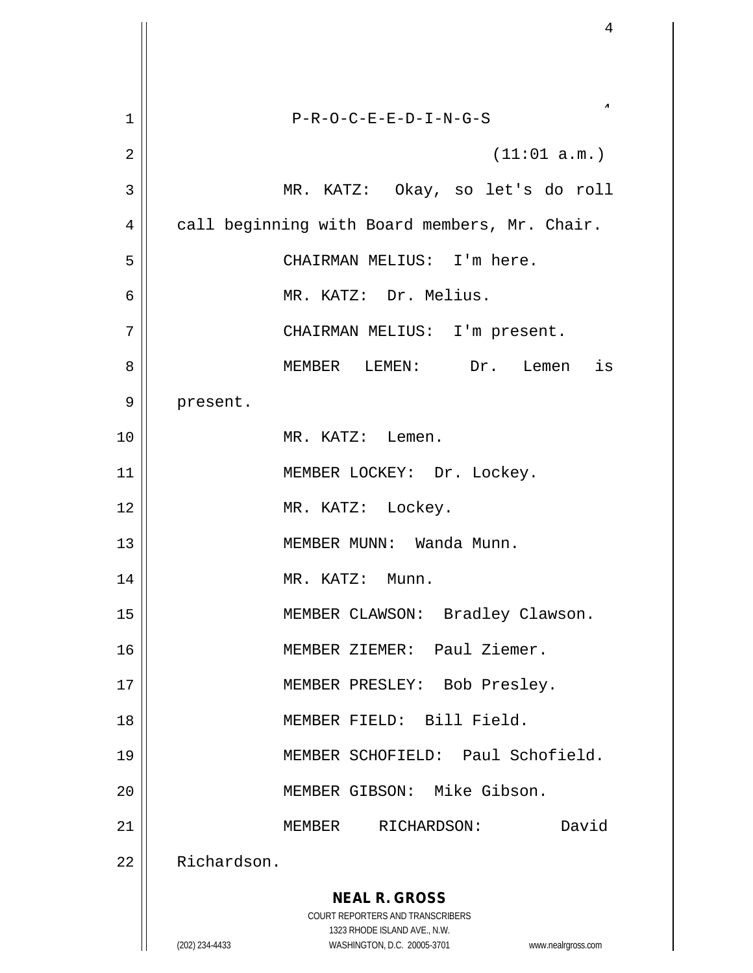| 1              | $P-R-O-C-E-E-D-I-N-G-S$                                             |
|----------------|---------------------------------------------------------------------|
| $\overline{2}$ | (11:01 a.m.)                                                        |
| 3              | MR. KATZ: Okay, so let's do roll                                    |
| 4              | call beginning with Board members, Mr. Chair.                       |
| 5              | CHAIRMAN MELIUS: I'm here.                                          |
| 6              | MR. KATZ: Dr. Melius.                                               |
| 7              | CHAIRMAN MELIUS: I'm present.                                       |
| 8              | MEMBER LEMEN: Dr. Lemen is                                          |
| 9              | present.                                                            |
| 10             | MR. KATZ: Lemen.                                                    |
| 11             | MEMBER LOCKEY: Dr. Lockey.                                          |
| 12             | MR. KATZ: Lockey.                                                   |
| 13             | MEMBER MUNN: Wanda Munn.                                            |
| 14             | MR. KATZ: Munn.                                                     |
| 15             | MEMBER CLAWSON:<br>Bradley Clawson.                                 |
| 16             | MEMBER ZIEMER: Paul Ziemer.                                         |
| 17             | MEMBER PRESLEY: Bob Presley.                                        |
| 18             | MEMBER FIELD: Bill Field.                                           |
| 19             | MEMBER SCHOFIELD: Paul Schofield.                                   |
| 20             | MEMBER GIBSON: Mike Gibson.                                         |
| 21             | David<br>MEMBER RICHARDSON:                                         |
| 22             | Richardson.                                                         |
|                | <b>NEAL R. GROSS</b>                                                |
|                | COURT REPORTERS AND TRANSCRIBERS<br>1323 RHODE ISLAND AVE., N.W.    |
|                | WASHINGTON, D.C. 20005-3701<br>(202) 234-4433<br>www.nealrgross.com |

Ħ  $\mathbf{\mathcal{H}}$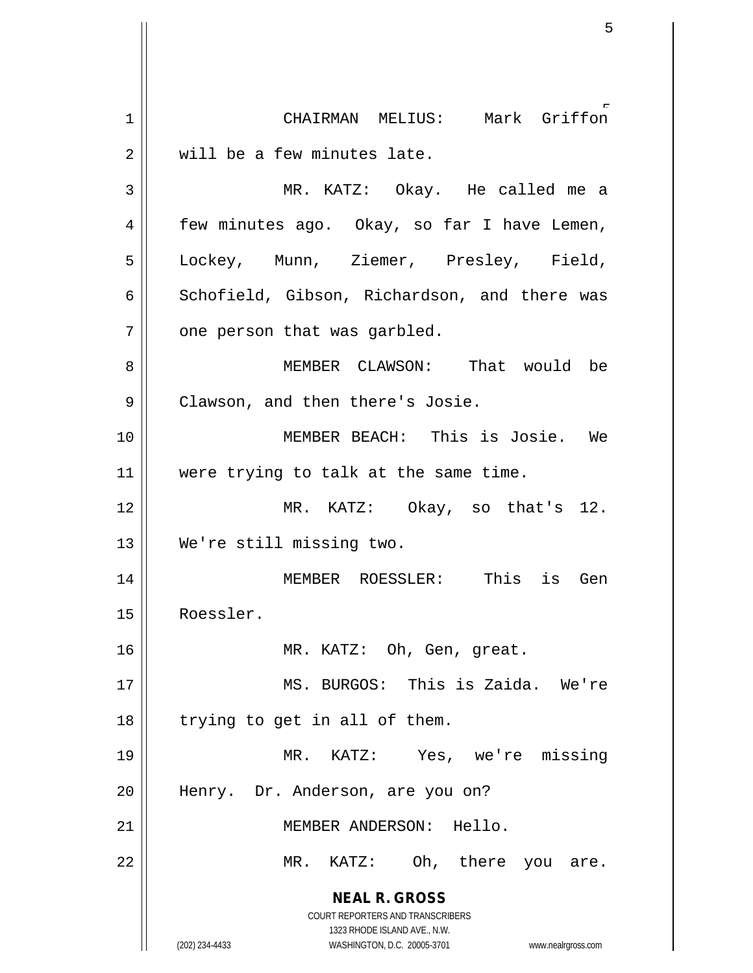**NEAL R. GROSS** COURT REPORTERS AND TRANSCRIBERS 1323 RHODE ISLAND AVE., N.W. (202) 234-4433 WASHINGTON, D.C. 20005-3701 www.nealrgross.com 5 1 CHAIRMAN MELIUS: Mark Griffon 2 || will be a few minutes late. 3 MR. KATZ: Okay. He called me a 4 | few minutes ago. Okay, so far I have Lemen, 5 Lockey, Munn, Ziemer, Presley, Field,  $6 \parallel$  Schofield, Gibson, Richardson, and there was  $7$  || one person that was garbled. 8 MEMBER CLAWSON: That would be 9 | Clawson, and then there's Josie. 10 MEMBER BEACH: This is Josie. We 11 || were trying to talk at the same time. 12 MR. KATZ: Okay, so that's 12. 13 We're still missing two. 14 MEMBER ROESSLER: This is Gen 15 Roessler. 16 || MR. KATZ: Oh, Gen, great. 17 || MS. BURGOS: This is Zaida. We're  $18$  | trying to get in all of them. 19 MR. KATZ: Yes, we're missing 20 || Henry. Dr. Anderson, are you on? 21 MEMBER ANDERSON: Hello. 22 || MR. KATZ: Oh, there you are.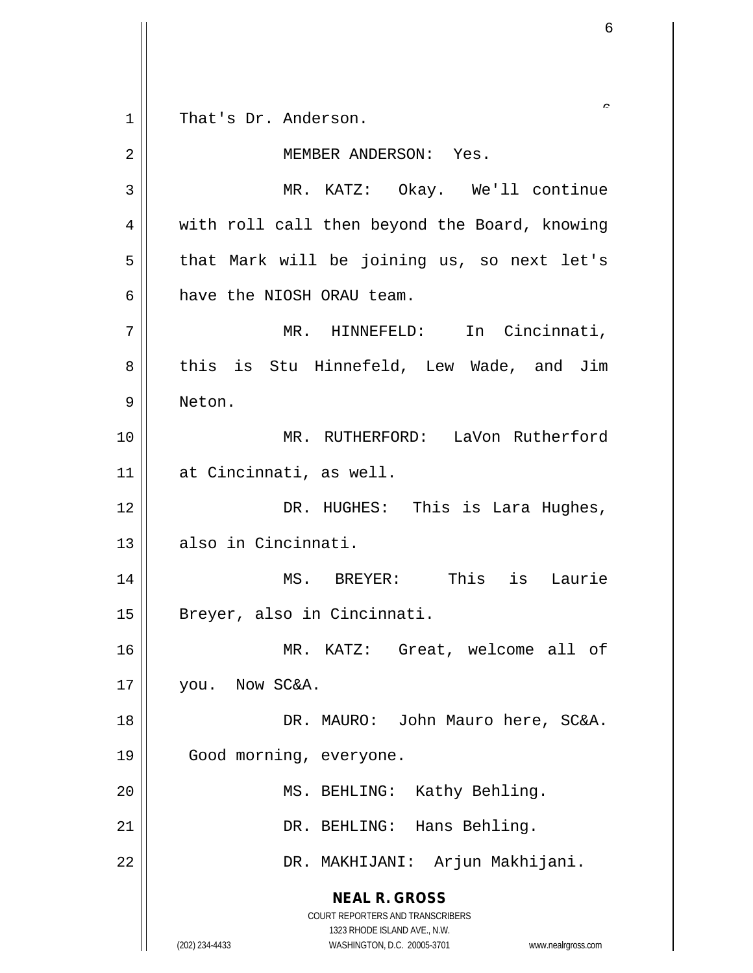**NEAL R. GROSS** COURT REPORTERS AND TRANSCRIBERS 1323 RHODE ISLAND AVE., N.W. (202) 234-4433 WASHINGTON, D.C. 20005-3701 www.nealrgross.com 6 1 || That's Dr. Anderson. 2 MEMBER ANDERSON: Yes. 3 MR. KATZ: Okay. We'll continue 4 | with roll call then beyond the Board, knowing  $5 \parallel$  that Mark will be joining us, so next let's 6 have the NIOSH ORAU team. 7 || MR. HINNEFELD: In Cincinnati, 8 || this is Stu Hinnefeld, Lew Wade, and Jim 9 Neton. 10 MR. RUTHERFORD: LaVon Rutherford 11 at Cincinnati, as well. 12 DR. HUGHES: This is Lara Hughes, 13 also in Cincinnati. 14 MS. BREYER: This is Laurie 15 || Breyer, also in Cincinnati. 16 MR. KATZ: Great, welcome all of 17 | vou. Now SC&A. 18 DR. MAURO: John Mauro here, SC&A. 19 || Good morning, everyone. 20 || MS. BEHLING: Kathy Behling. 21 || DR. BEHLING: Hans Behling. 22 DR. MAKHIJANI: Arjun Makhijani.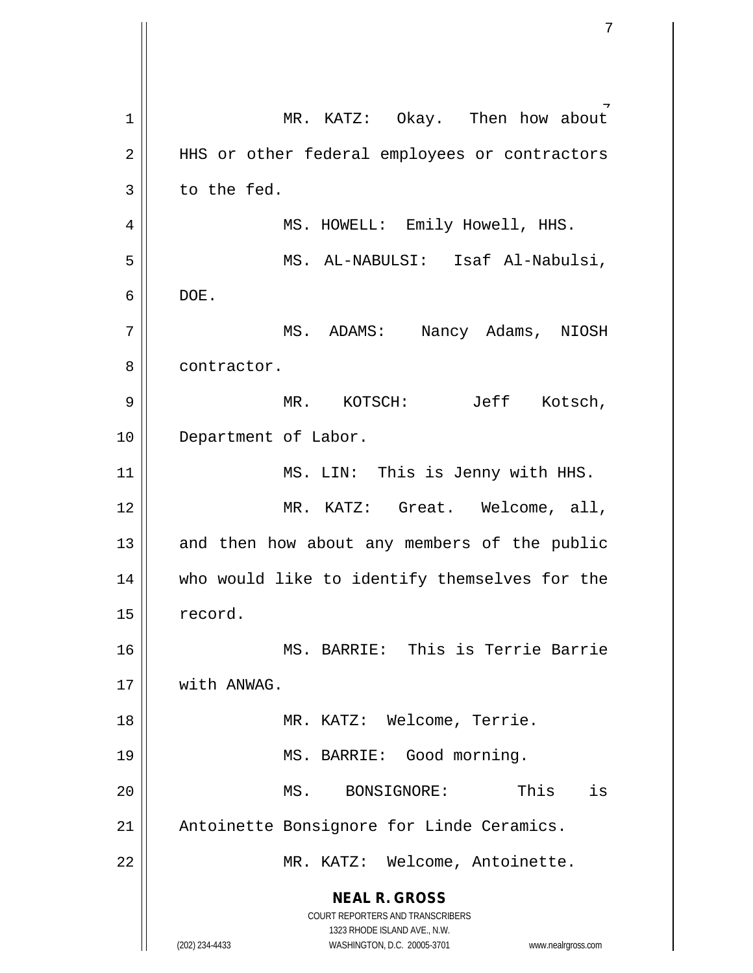**NEAL R. GROSS** COURT REPORTERS AND TRANSCRIBERS 1323 RHODE ISLAND AVE., N.W. (202) 234-4433 WASHINGTON, D.C. 20005-3701 www.nealrgross.com 7 1 MR. KATZ: Okay. Then how about 2 || HHS or other federal employees or contractors  $3 \parallel$  to the fed. 4 || MS. HOWELL: Emily Howell, HHS. 5 MS. AL-NABULSI: Isaf Al-Nabulsi, 6 DOE. 7 MS. ADAMS: Nancy Adams, NIOSH 8 l contractor. 9 MR. KOTSCH: Jeff Kotsch, 10 || Department of Labor. 11 || MS. LIN: This is Jenny with HHS. 12 MR. KATZ: Great. Welcome, all,  $13$  and then how about any members of the public 14 || who would like to identify themselves for the 15 | record. 16 MS. BARRIE: This is Terrie Barrie 17 With ANWAG. 18 || MR. KATZ: Welcome, Terrie. 19 || MS. BARRIE: Good morning. 20 MS. BONSIGNORE: This is 21 || Antoinette Bonsignore for Linde Ceramics. 22 || MR. KATZ: Welcome, Antoinette.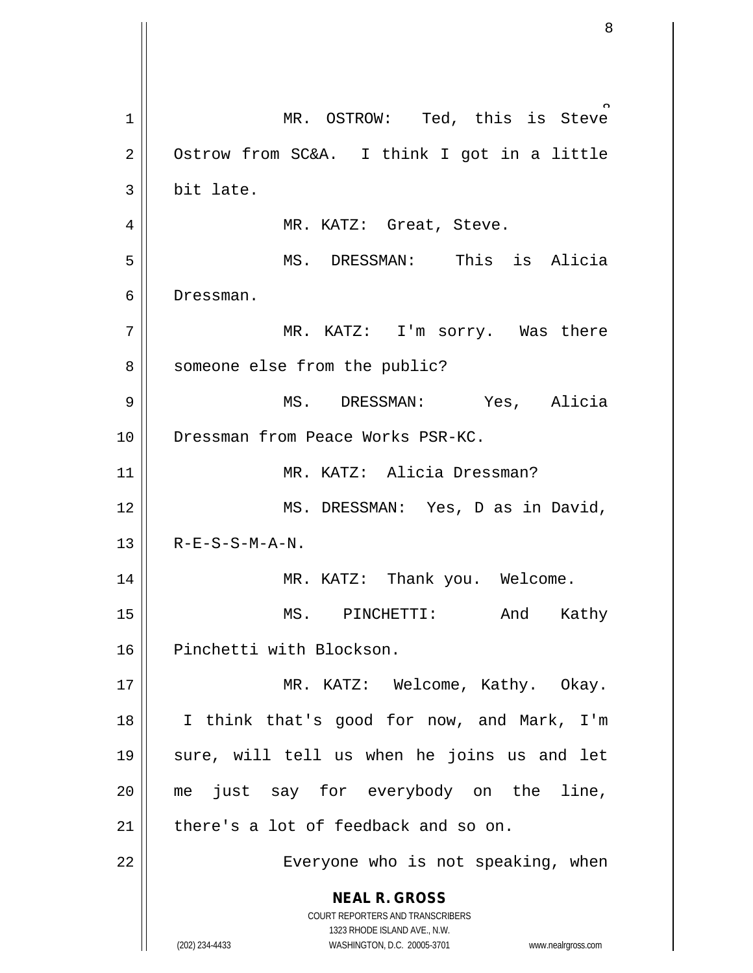**NEAL R. GROSS** COURT REPORTERS AND TRANSCRIBERS 1323 RHODE ISLAND AVE., N.W. (202) 234-4433 WASHINGTON, D.C. 20005-3701 www.nealrgross.com 8 1 MR. OSTROW: Ted, this is Steve  $2 \parallel$  Ostrow from SC&A. I think I got in a little  $3$  | bit late. 4 MR. KATZ: Great, Steve. 5 MS. DRESSMAN: This is Alicia 6 Dressman. 7 MR. KATZ: I'm sorry. Was there 8 | someone else from the public? 9 MS. DRESSMAN: Yes, Alicia 10 Dressman from Peace Works PSR-KC. 11 MR. KATZ: Alicia Dressman? 12 || MS. DRESSMAN: Yes, D as in David,  $13$  | R-E-S-S-M-A-N. 14 MR. KATZ: Thank you. Welcome. 15 MS. PINCHETTI: And Kathy 16 || Pinchetti with Blockson. 17 || MR. KATZ: Welcome, Kathy. Okay. 18 I think that's good for now, and Mark, I'm 19 || sure, will tell us when he joins us and let 20 || me just say for everybody on the line, 21  $\parallel$  there's a lot of feedback and so on. 22 | Everyone who is not speaking, when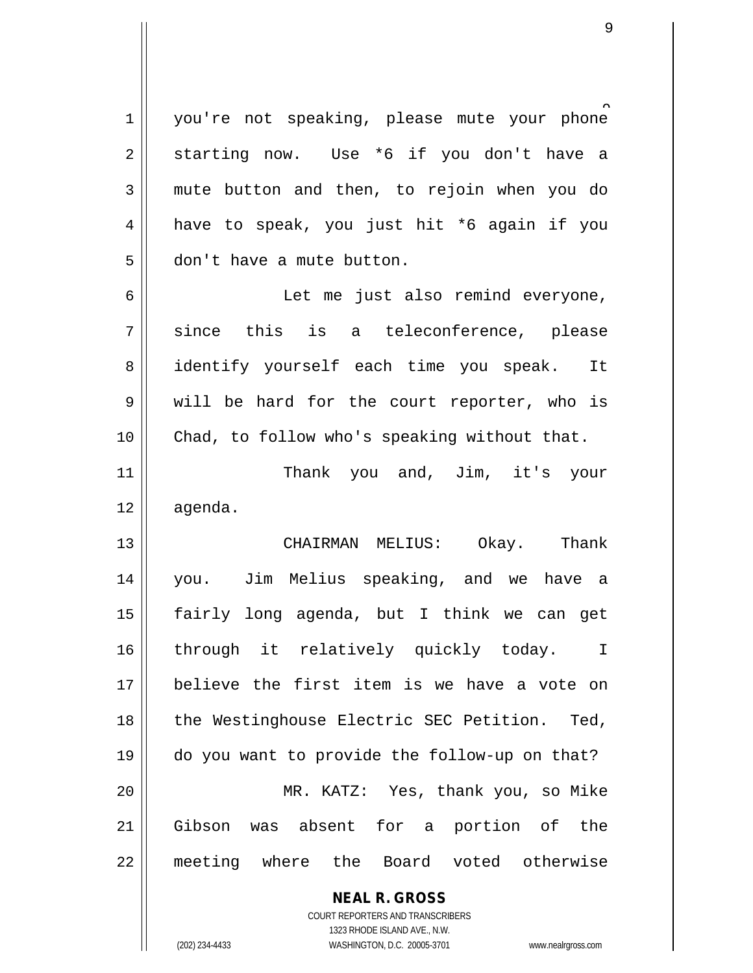1 | you're not speaking, please mute your phone  $2 \parallel$  starting now. Use \*6 if you don't have a 3 mute button and then, to rejoin when you do  $4 \parallel$  have to speak, you just hit \*6 again if you 5 don't have a mute button. 6 || Let me just also remind everyone,  $7 \parallel$  since this is a teleconference, please 8 || identify yourself each time you speak. It 9 will be hard for the court reporter, who is 10 Chad, to follow who's speaking without that.

11 || Thank you and, Jim, it's your 12 agenda.

 CHAIRMAN MELIUS: Okay. Thank you. Jim Melius speaking, and we have a fairly long agenda, but I think we can get 16 || through it relatively quickly today. I believe the first item is we have a vote on 18 || the Westinghouse Electric SEC Petition. Ted, do you want to provide the follow-up on that? MR. KATZ: Yes, thank you, so Mike Gibson was absent for a portion of the meeting where the Board voted otherwise

> **NEAL R. GROSS** COURT REPORTERS AND TRANSCRIBERS

1323 RHODE ISLAND AVE., N.W. (202) 234-4433 WASHINGTON, D.C. 20005-3701 www.nealrgross.com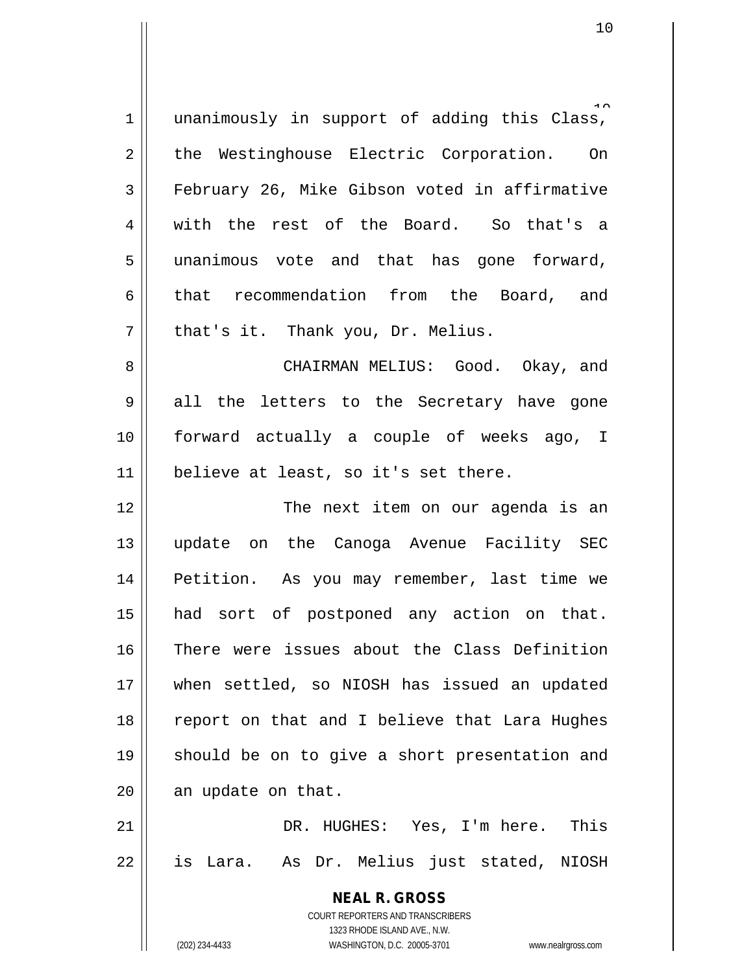| $\mathbf 1$ | unanimously in support of adding this Class,                        |
|-------------|---------------------------------------------------------------------|
| 2           | the Westinghouse Electric Corporation. On                           |
| 3           | February 26, Mike Gibson voted in affirmative                       |
| 4           | with the rest of the Board. So that's a                             |
| 5           | unanimous vote and that has gone forward,                           |
| 6           | that recommendation from the Board, and                             |
| 7           | that's it. Thank you, Dr. Melius.                                   |
| 8           | CHAIRMAN MELIUS: Good. Okay, and                                    |
| 9           | all the letters to the Secretary have gone                          |
| 10          | forward actually a couple of weeks ago, I                           |
| 11          | believe at least, so it's set there.                                |
| 12          | The next item on our agenda is an                                   |
| 13          | update on the Canoga Avenue Facility SEC                            |
|             |                                                                     |
| 14          | Petition. As you may remember, last time we                         |
| 15          | had sort of postponed any action on that.                           |
| 16          | There were issues about the Class Definition                        |
| 17          | when settled, so NIOSH has issued an updated                        |
| 18          | report on that and I believe that Lara Hughes                       |
| 19          | should be on to give a short presentation and                       |
| 20          | an update on that.                                                  |
| 21          | DR. HUGHES: Yes, I'm here. This                                     |
| 22          | is Lara. As Dr. Melius just stated, NIOSH                           |
|             | <b>NEAL R. GROSS</b>                                                |
|             | COURT REPORTERS AND TRANSCRIBERS                                    |
|             | 1323 RHODE ISLAND AVE., N.W.                                        |
|             | (202) 234-4433<br>WASHINGTON, D.C. 20005-3701<br>www.nealrgross.com |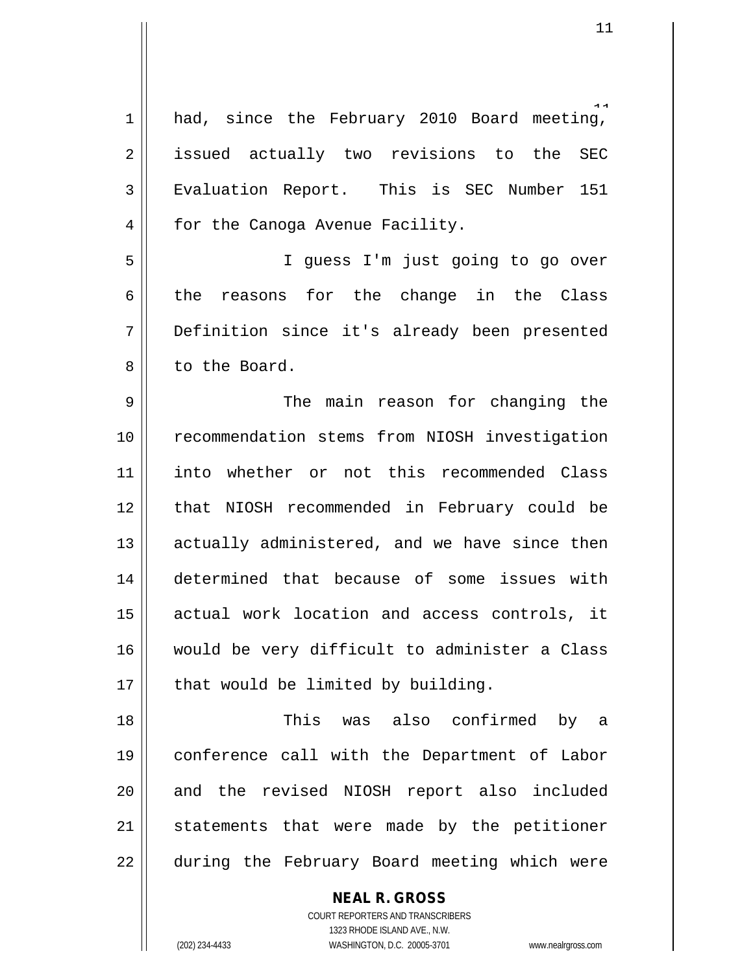1 || had, since the February 2010 Board meeting, 2 || issued actually two revisions to the SEC 3 Evaluation Report. This is SEC Number 151 4 | for the Canoga Avenue Facility. 5 I guess I'm just going to go over 6 the reasons for the change in the Class 7 Definition since it's already been presented 8 l to the Board. 9 The main reason for changing the 10 | recommendation stems from NIOSH investigation 11 into whether or not this recommended Class 12 || that NIOSH recommended in February could be 13 | actually administered, and we have since then 14 determined that because of some issues with 15 || actual work location and access controls, it 16 would be very difficult to administer a Class  $17$  | that would be limited by building. 18 This was also confirmed by a 19 conference call with the Department of Labor 20 and the revised NIOSH report also included  $21$  statements that were made by the petitioner 22 || during the February Board meeting which were

> COURT REPORTERS AND TRANSCRIBERS 1323 RHODE ISLAND AVE., N.W. (202) 234-4433 WASHINGTON, D.C. 20005-3701 www.nealrgross.com

**NEAL R. GROSS**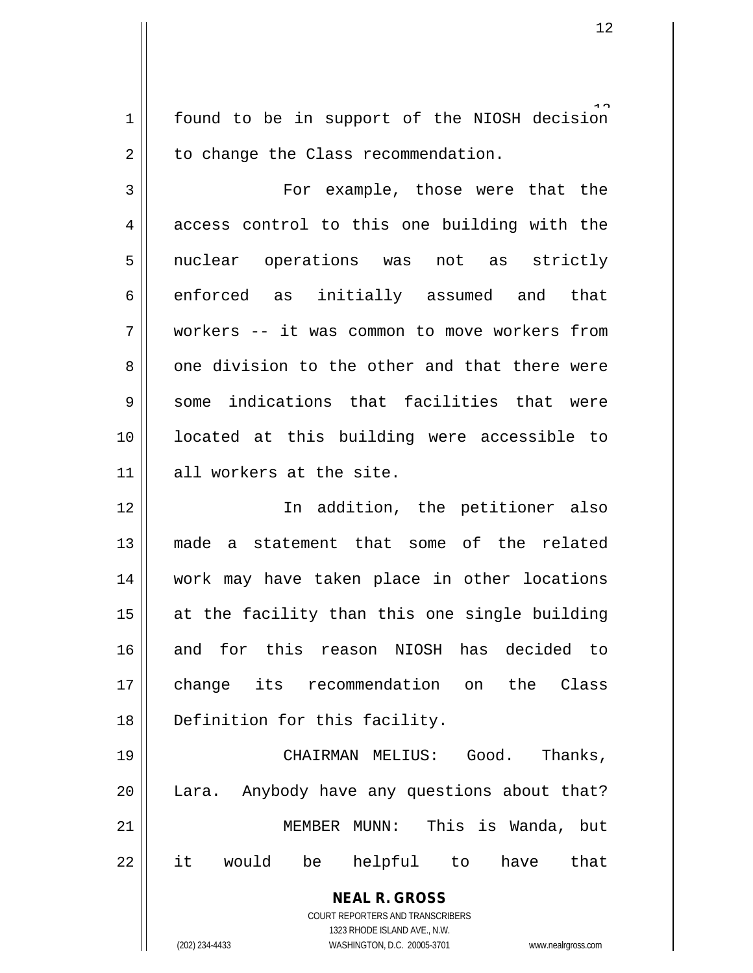1 found to be in support of the NIOSH decision  $2 \parallel$  to change the Class recommendation.

3 || For example, those were that the  $4 \parallel$  access control to this one building with the 5 || nuclear operations was not as strictly 6 enforced as initially assumed and that 7 workers -- it was common to move workers from  $8 \parallel$  one division to the other and that there were 9 || some indications that facilities that were 10 located at this building were accessible to 11 || all workers at the site.

 In addition, the petitioner also made a statement that some of the related work may have taken place in other locations at the facility than this one single building and for this reason NIOSH has decided to change its recommendation on the Class Definition for this facility.

 CHAIRMAN MELIUS: Good. Thanks, 20 || Lara. Anybody have any questions about that? MEMBER MUNN: This is Wanda, but it would be helpful to have that

> **NEAL R. GROSS** COURT REPORTERS AND TRANSCRIBERS 1323 RHODE ISLAND AVE., N.W.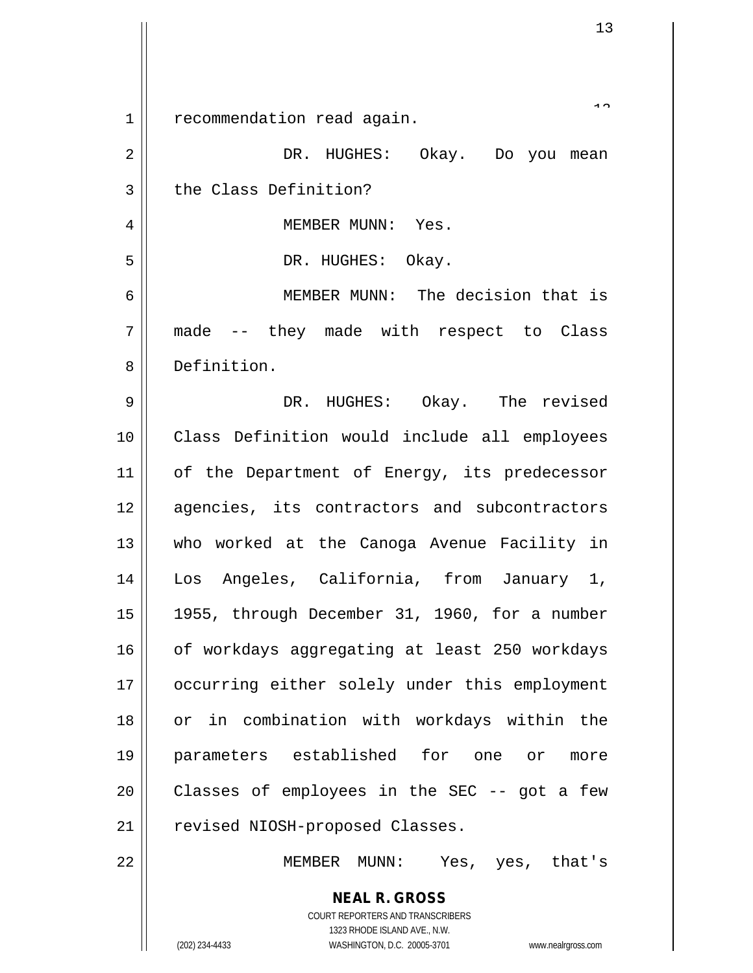| $\mathbf 1$ | recommendation read again.                                                                          |
|-------------|-----------------------------------------------------------------------------------------------------|
| 2           | DR. HUGHES: Okay. Do you mean                                                                       |
| 3           | the Class Definition?                                                                               |
| 4           | MEMBER MUNN: Yes.                                                                                   |
| 5           | DR. HUGHES: Okay.                                                                                   |
| 6           | MEMBER MUNN: The decision that is                                                                   |
| 7           | made -- they made with respect to Class                                                             |
| 8           | Definition.                                                                                         |
| $\mathsf 9$ | DR. HUGHES: Okay. The revised                                                                       |
| 10          | Class Definition would include all employees                                                        |
| 11          | of the Department of Energy, its predecessor                                                        |
| 12          | agencies, its contractors and subcontractors                                                        |
| 13          | who worked at the Canoga Avenue Facility in                                                         |
| 14          | Los Angeles, California, from January 1,                                                            |
| 15          | 1955, through December 31, 1960, for a number                                                       |
| 16          | of workdays aggregating at least 250 workdays                                                       |
| 17          | occurring either solely under this employment                                                       |
| 18          | or in combination with workdays within the                                                          |
| 19          | parameters established for one or<br>more                                                           |
| 20          | Classes of employees in the SEC -- got a few                                                        |
| 21          | revised NIOSH-proposed Classes.                                                                     |
| 22          | Yes, yes, that's<br>MEMBER MUNN:                                                                    |
|             | <b>NEAL R. GROSS</b>                                                                                |
|             | COURT REPORTERS AND TRANSCRIBERS                                                                    |
|             | 1323 RHODE ISLAND AVE., N.W.<br>(202) 234-4433<br>WASHINGTON, D.C. 20005-3701<br>www.nealrgross.com |

 $\mathsf{l}$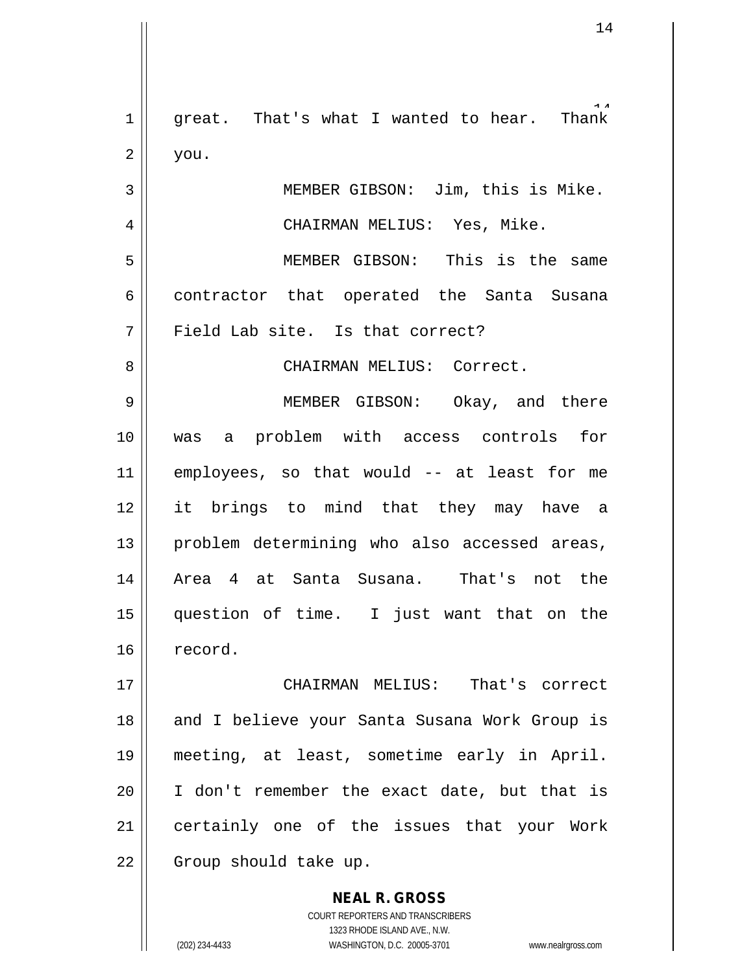Thank  $1$  |  $\,$  great. That's what I wanted to hear.  $2 \parallel$  you. 3 || MEMBER GIBSON: Jim, this is Mike. 4 CHAIRMAN MELIUS: Yes, Mike. 5 MEMBER GIBSON: This is the same

6 contractor that operated the Santa Susana  $7 \parallel$  Field Lab site. Is that correct?

8 CHAIRMAN MELIUS: Correct.

 MEMBER GIBSON: Okay, and there was a problem with access controls for employees, so that would -- at least for me it brings to mind that they may have a | problem determining who also accessed areas, 14 || Area 4 at Santa Susana. That's not the question of time. I just want that on the 16 record.

 CHAIRMAN MELIUS: That's correct 18 || and I believe your Santa Susana Work Group is meeting, at least, sometime early in April. I don't remember the exact date, but that is certainly one of the issues that your Work 22 | Group should take up.

> COURT REPORTERS AND TRANSCRIBERS 1323 RHODE ISLAND AVE., N.W. (202) 234-4433 WASHINGTON, D.C. 20005-3701 www.nealrgross.com

**NEAL R. GROSS**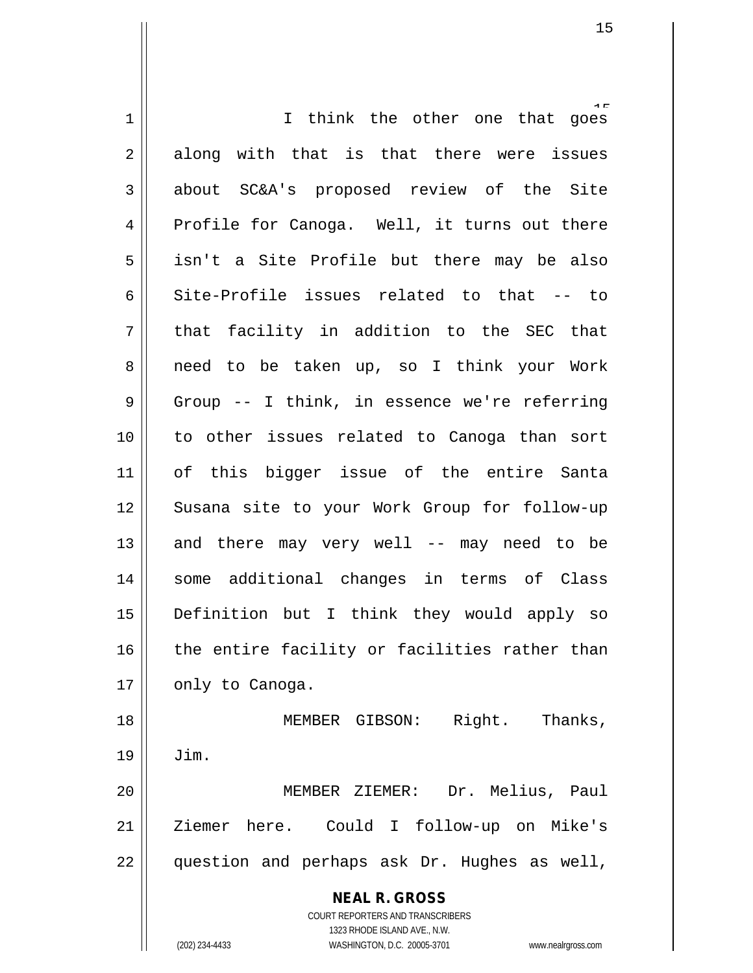**NEAL R. GROSS** COURT REPORTERS AND TRANSCRIBERS 1323 RHODE ISLAND AVE., N.W. (202) 234-4433 WASHINGTON, D.C. 20005-3701 www.nealrgross.com 1 || I think the other one that goes  $2 \parallel$  along with that is that there were issues 3 about SC&A's proposed review of the Site 4 Profile for Canoga. Well, it turns out there  $5 \parallel$  isn't a Site Profile but there may be also 6 Site-Profile issues related to that -- to  $7 \parallel$  that facility in addition to the SEC that 8 || need to be taken up, so I think your Work 9 || Group -- I think, in essence we're referring 10 to other issues related to Canoga than sort 11 of this bigger issue of the entire Santa 12 Susana site to your Work Group for follow-up 13  $\parallel$  and there may very well -- may need to be 14 || some additional changes in terms of Class 15 Definition but I think they would apply so  $16$  | the entire facility or facilities rather than  $17 \parallel$  only to Canoga. 18 || MEMBER GIBSON: Right. Thanks, 19 Jim. 20 MEMBER ZIEMER: Dr. Melius, Paul 21 | Ziemer here. Could I follow-up on Mike's 22 question and perhaps ask Dr. Hughes as well,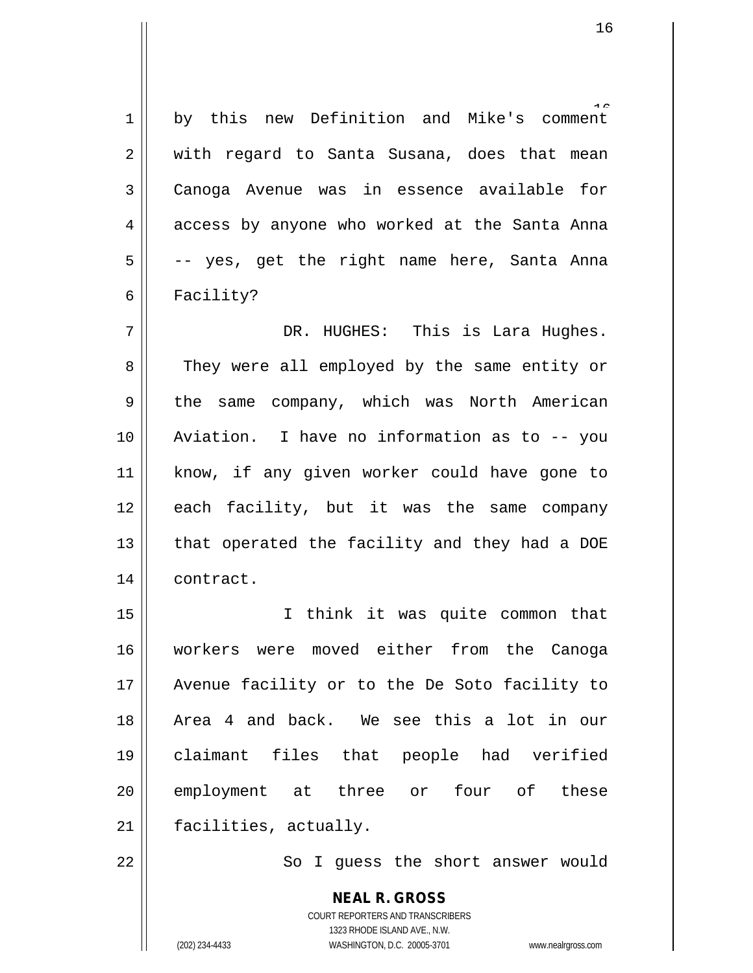1 by this new Definition and Mike's comment 2 || with regard to Santa Susana, does that mean 3 Canoga Avenue was in essence available for 4 || access by anyone who worked at the Santa Anna  $5 \parallel$  -- yes, get the right name here, Santa Anna 6 || Facility?

7 DR. HUGHES: This is Lara Hughes. 8 They were all employed by the same entity or 9 || the same company, which was North American 10 Aviation. I have no information as to -- you 11 || know, if any given worker could have gone to 12 each facility, but it was the same company 13  $\parallel$  that operated the facility and they had a DOE 14 | contract.

15 I think it was quite common that 16 workers were moved either from the Canoga 17 || Avenue facility or to the De Soto facility to 18 Area 4 and back. We see this a lot in our 19 claimant files that people had verified 20 employment at three or four of these 21 | facilities, actually.

22 | So I guess the short answer would

**NEAL R. GROSS** COURT REPORTERS AND TRANSCRIBERS 1323 RHODE ISLAND AVE., N.W. (202) 234-4433 WASHINGTON, D.C. 20005-3701 www.nealrgross.com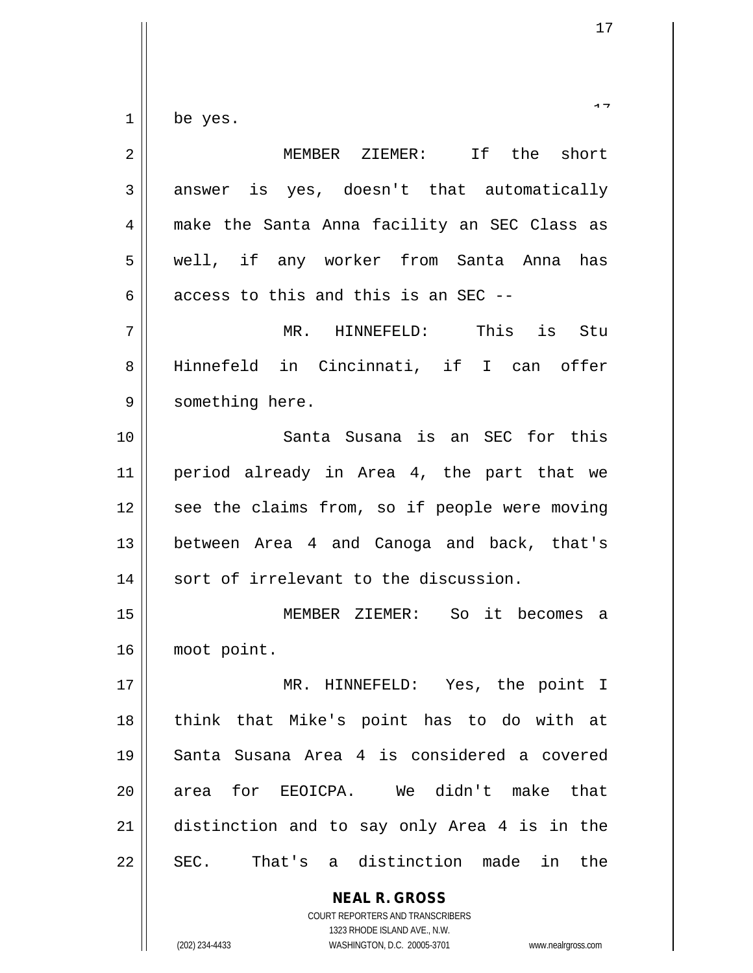$1 \parallel$  be yes.

| $\overline{2}$ | MEMBER ZIEMER: If the short                              |
|----------------|----------------------------------------------------------|
| 3              | answer is yes, doesn't that automatically                |
| 4              | make the Santa Anna facility an SEC Class as             |
| 5              | well, if any worker from Santa Anna has                  |
| 6              | access to this and this is an SEC --                     |
| 7              | MR. HINNEFELD: This is<br>Stu                            |
| 8              | Hinnefeld in Cincinnati, if I can offer                  |
| 9              | something here.                                          |
| 10             | Santa Susana is an SEC for this                          |
| 11             | period already in Area 4, the part that we               |
| 12             | see the claims from, so if people were moving            |
| 13             | between Area 4 and Canoga and back, that's               |
| 14             | sort of irrelevant to the discussion.                    |
| 15             | MEMBER ZIEMER: So it becomes a                           |
| 16             | moot point.                                              |
| 17             | MR.<br>HINNEFELD: Yes, the point I                       |
| 18             | think that Mike's point has to do with at                |
| 19             | Santa Susana Area 4 is considered a covered              |
| 20             | area for EEOICPA. We didn't make that                    |
| 21             | distinction and to say only Area 4 is in the             |
| 22             | SEC. That's a distinction made in<br>the                 |
|                | <b>NEAL R. GROSS</b><br>COURT REPORTERS AND TRANSCRIBERS |

1323 RHODE ISLAND AVE., N.W.

 $\mathsf{II}$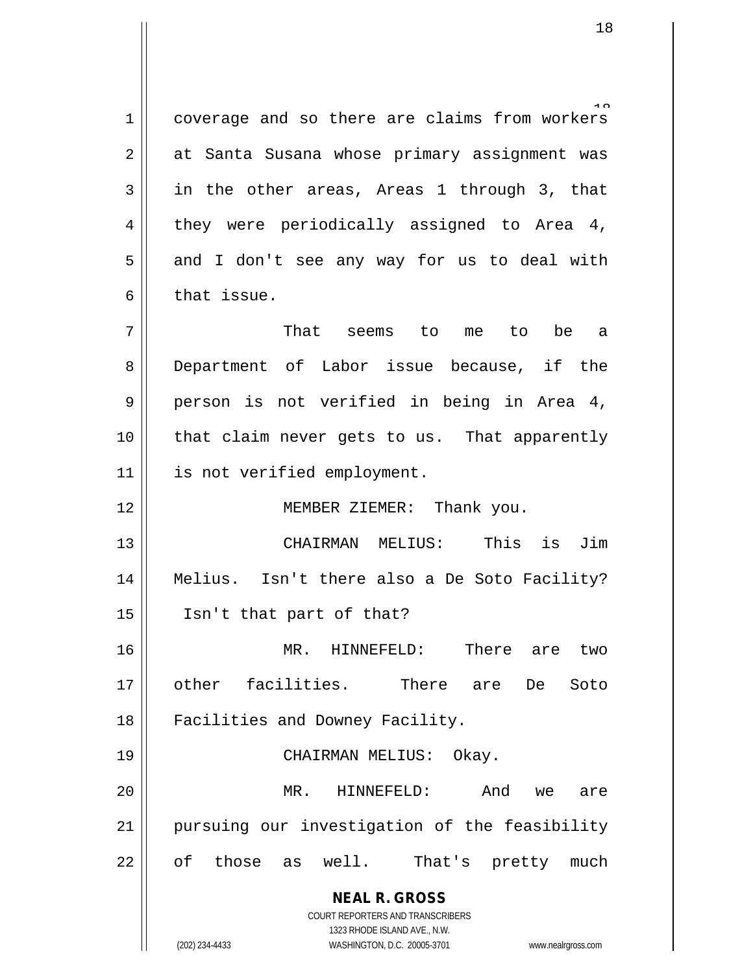**NEAL R. GROSS** COURT REPORTERS AND TRANSCRIBERS 1 coverage and so there are claims from workers 2 || at Santa Susana whose primary assignment was  $3 \parallel$  in the other areas, Areas 1 through 3, that  $4 \parallel$  they were periodically assigned to Area 4,  $5 \parallel$  and I don't see any way for us to deal with  $6 \parallel$  that issue. 7 That seems to me to be a 8 Department of Labor issue because, if the 9 person is not verified in being in Area 4, 10 that claim never gets to us. That apparently 11 | is not verified employment. 12 MEMBER ZIEMER: Thank you. 13 CHAIRMAN MELIUS: This is Jim 14 Melius. Isn't there also a De Soto Facility? 15 Isn't that part of that? 16 MR. HINNEFELD: There are two 17 other facilities. There are De Soto 18 || Facilities and Downey Facility. 19 CHAIRMAN MELIUS: Okay. 20 MR. HINNEFELD: And we are 21 pursuing our investigation of the feasibility 22 || of those as well. That's pretty much

1323 RHODE ISLAND AVE., N.W.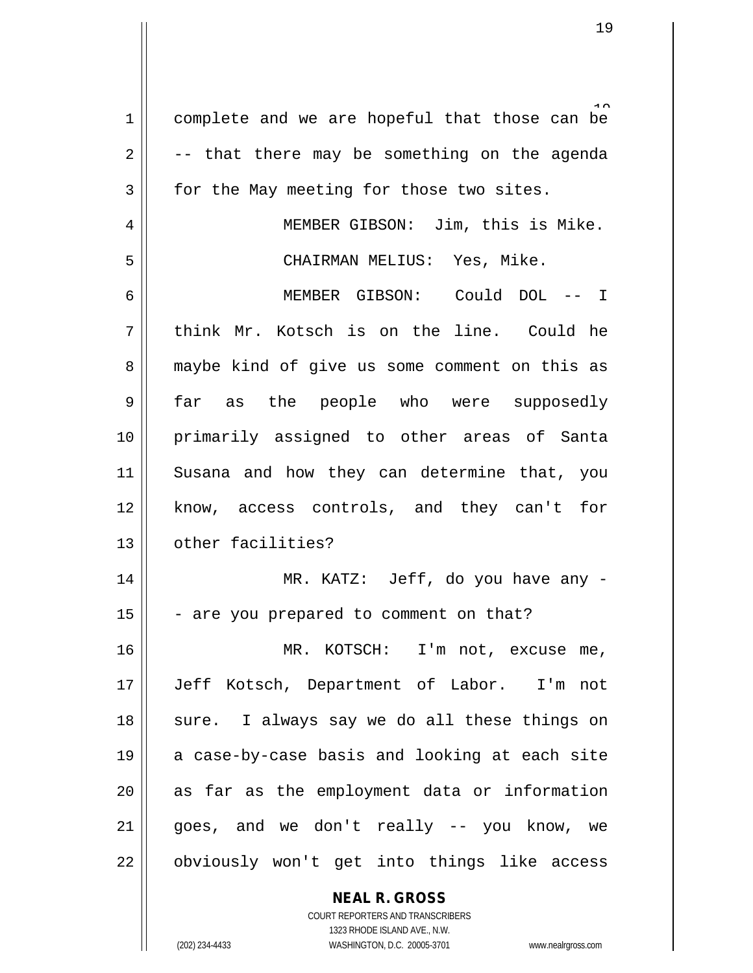1 complete and we are hopeful that those can be  $2 \parallel$  -- that there may be something on the agenda  $3 \parallel$  for the May meeting for those two sites. 4 || MEMBER GIBSON: Jim, this is Mike. 5 CHAIRMAN MELIUS: Yes, Mike. 6 MEMBER GIBSON: Could DOL -- I  $7$  || think Mr. Kotsch is on the line. Could he 8 || maybe kind of give us some comment on this as 9 far as the people who were supposedly 10 primarily assigned to other areas of Santa 11 Susana and how they can determine that, you 12 || know, access controls, and they can't for 13 | other facilities? 14 MR. KATZ: Jeff, do you have any -  $15$   $\vert$  - are you prepared to comment on that? 16 MR. KOTSCH: I'm not, excuse me, 17 Jeff Kotsch, Department of Labor. I'm not 18 || sure. I always say we do all these things on 19 || a case-by-case basis and looking at each site 20 as far as the employment data or information  $21$  | goes, and we don't really  $-$  you know, we 22 || obviously won't get into things like access

> **NEAL R. GROSS** COURT REPORTERS AND TRANSCRIBERS

> > 1323 RHODE ISLAND AVE., N.W.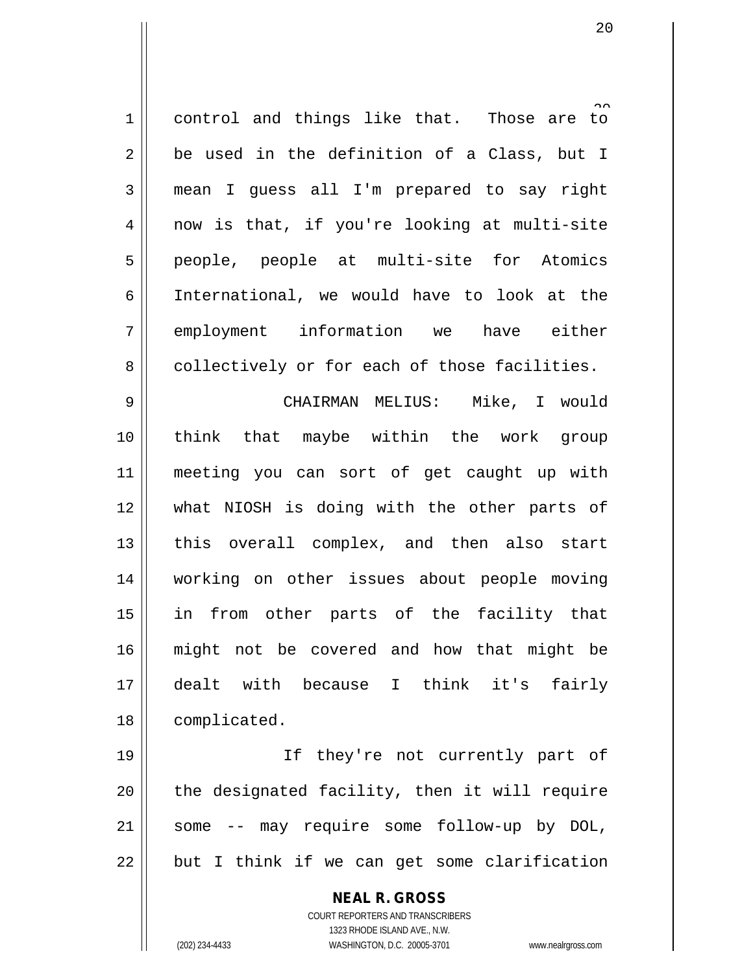| $\mathbf 1$    | $\sim$<br>control and things like that. Those are to |
|----------------|------------------------------------------------------|
| 2              | be used in the definition of a Class, but I          |
| $\mathbf{3}$   | mean I guess all I'm prepared to say right           |
| $\overline{4}$ | now is that, if you're looking at multi-site         |
| 5              | people, people at multi-site for Atomics             |
| 6              | International, we would have to look at the          |
| 7              | employment information we have either                |
| 8              | collectively or for each of those facilities.        |
| $\mathsf 9$    | CHAIRMAN MELIUS: Mike, I would                       |
| 10             | think that maybe within the work group               |
| 11             | meeting you can sort of get caught up with           |
| 12             | what NIOSH is doing with the other parts of          |
| 13             | this overall complex, and then also start            |
| 14             | working on other issues about people moving          |
| 15             | in from other parts of the facility that             |
| 16             | might not be covered and how that might be           |
| 17             | dealt with because I think it's<br>fairly            |
| 18             | complicated.                                         |
| 19             | they're not currently part of<br>If                  |
| 20             | the designated facility, then it will require        |
| 21             | some -- may require some follow-up by DOL,           |

but I think if we can get some clarification

**NEAL R. GROSS** COURT REPORTERS AND TRANSCRIBERS 1323 RHODE ISLAND AVE., N.W. (202) 234-4433 WASHINGTON, D.C. 20005-3701 www.nealrgross.com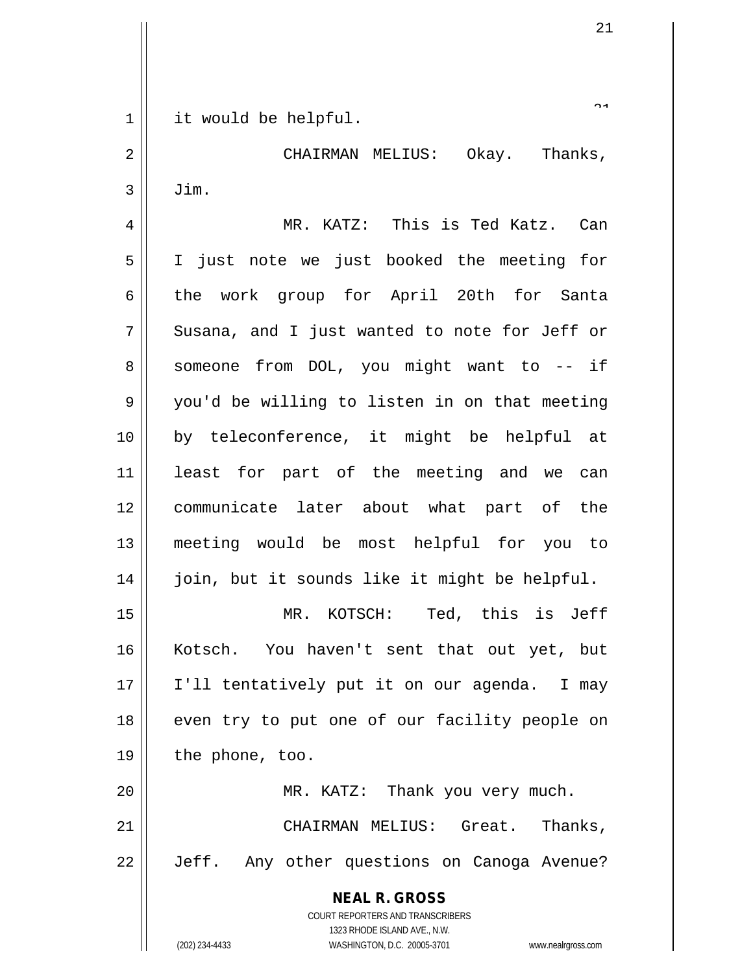1 || it would be helpful.

2 CHAIRMAN MELIUS: Okay. Thanks,  $3 \parallel$  Jim.

4 MR. KATZ: This is Ted Katz. Can 5 I just note we just booked the meeting for 6 the work group for April 20th for Santa  $7 \parallel$  Susana, and I just wanted to note for Jeff or  $8 \parallel$  someone from DOL, you might want to -- if 9 || you'd be willing to listen in on that meeting 10 by teleconference, it might be helpful at 11 least for part of the meeting and we can 12 || communicate later about what part of the 13 meeting would be most helpful for you to 14 || join, but it sounds like it might be helpful.

15 MR. KOTSCH: Ted, this is Jeff 16 || Kotsch. You haven't sent that out yet, but 17 || I'll tentatively put it on our agenda. I may 18 || even try to put one of our facility people on  $19 \parallel$  the phone, too.

20 || MR. KATZ: Thank you very much. 21 CHAIRMAN MELIUS: Great. Thanks, 22 | Jeff. Any other questions on Canoga Avenue?

> **NEAL R. GROSS** COURT REPORTERS AND TRANSCRIBERS 1323 RHODE ISLAND AVE., N.W. (202) 234-4433 WASHINGTON, D.C. 20005-3701 www.nealrgross.com

 $\sim$  1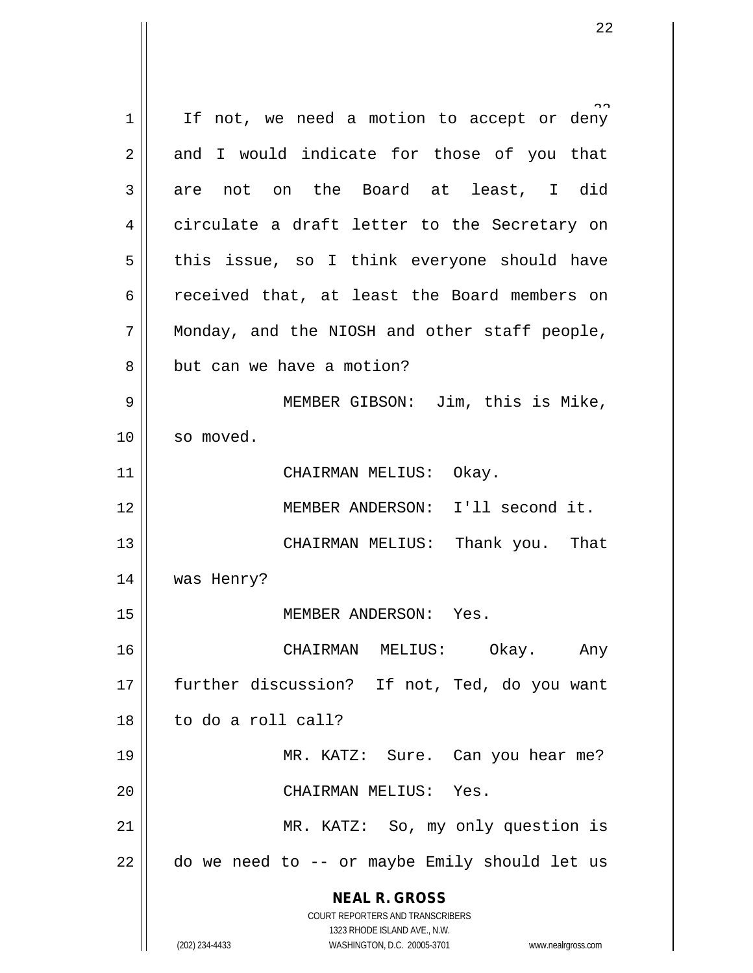**NEAL R. GROSS** COURT REPORTERS AND TRANSCRIBERS 1323 RHODE ISLAND AVE., N.W. (202) 234-4433 WASHINGTON, D.C. 20005-3701 www.nealrgross.com 1 | If not, we need a motion to accept or deny  $2 \parallel$  and I would indicate for those of you that  $3 \parallel$  are not on the Board at least, I did 4 || circulate a draft letter to the Secretary on  $5 \parallel$  this issue, so I think everyone should have 6 ceceived that, at least the Board members on 7 || Monday, and the NIOSH and other staff people, 8 || but can we have a motion? 9 MEMBER GIBSON: Jim, this is Mike, 10 || so moved. 11 || CHAIRMAN MELIUS: Okay. 12 MEMBER ANDERSON: I'll second it. 13 CHAIRMAN MELIUS: Thank you. That 14 was Henry? 15 MEMBER ANDERSON: Yes. 16 CHAIRMAN MELIUS: Okay. Any 17 || further discussion? If not, Ted, do you want 18 to do a roll call? 19 MR. KATZ: Sure. Can you hear me? 20 || CHAIRMAN MELIUS: Yes. 21 | MR. KATZ: So, my only question is  $22$  | do we need to  $-$  or maybe Emily should let us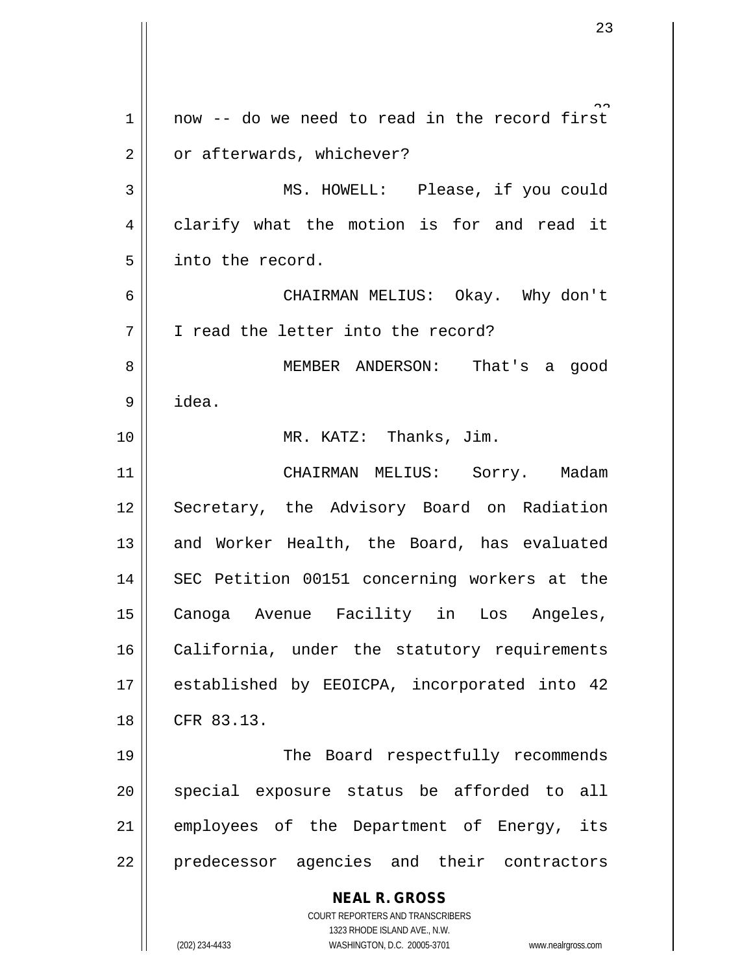**NEAL R. GROSS** COURT REPORTERS AND TRANSCRIBERS 1323 RHODE ISLAND AVE., N.W. (202) 234-4433 WASHINGTON, D.C. 20005-3701 www.nealrgross.com  $1 \parallel$  now -- do we need to read in the record first 2 | or afterwards, whichever? 3 || MS. HOWELL: Please, if you could 4 clarify what the motion is for and read it 5 | into the record. 6 CHAIRMAN MELIUS: Okay. Why don't 7 | T read the letter into the record? 8 MEMBER ANDERSON: That's a good 9 idea. 10 || MR. KATZ: Thanks, Jim. 11 | CHAIRMAN MELIUS: Sorry. Madam 12 || Secretary, the Advisory Board on Radiation 13 and Worker Health, the Board, has evaluated 14 || SEC Petition 00151 concerning workers at the 15 Canoga Avenue Facility in Los Angeles, 16 | California, under the statutory requirements 17 || established by EEOICPA, incorporated into 42 18 CFR 83.13. 19 || The Board respectfully recommends 20 || special exposure status be afforded to all 21 || employees of the Department of Energy, its 22 || predecessor agencies and their contractors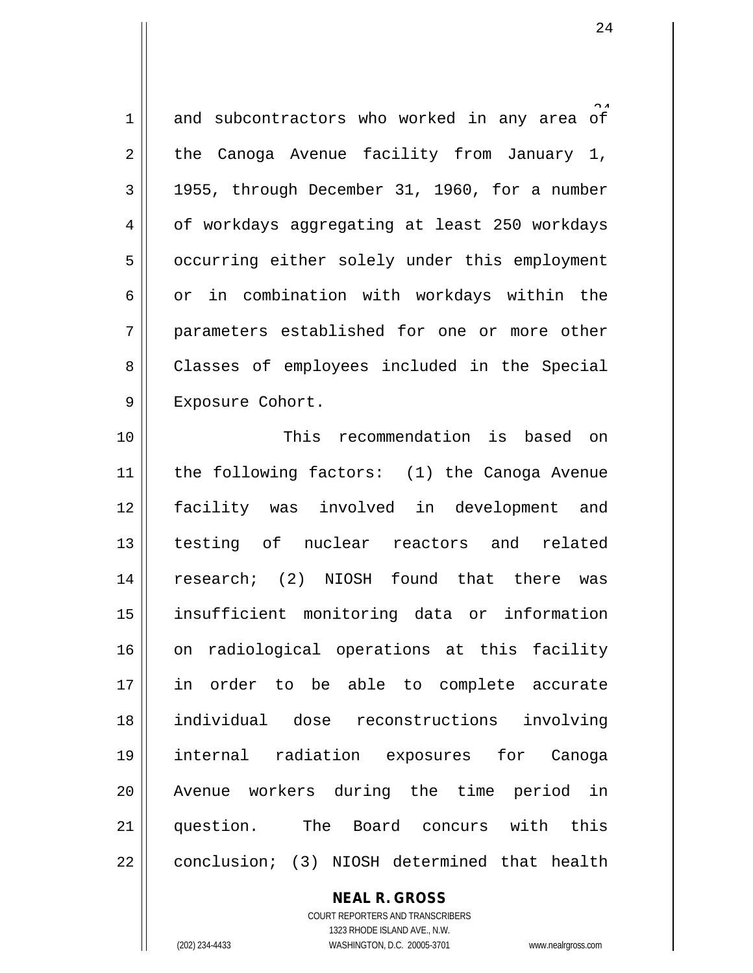$1$  and subcontractors who worked in any area of  $2 \parallel$  the Canoga Avenue facility from January 1,  $3 \parallel$  1955, through December 31, 1960, for a number 4 | of workdays aggregating at least 250 workdays 5 | occurring either solely under this employment  $6 \parallel$  or in combination with workdays within the 7 parameters established for one or more other 8 || Classes of employees included in the Special 9 || Exposure Cohort.

 This recommendation is based on the following factors: (1) the Canoga Avenue facility was involved in development and testing of nuclear reactors and related research; (2) NIOSH found that there was insufficient monitoring data or information 16 || on radiological operations at this facility in order to be able to complete accurate individual dose reconstructions involving internal radiation exposures for Canoga Avenue workers during the time period in question. The Board concurs with this 22 | conclusion; (3) NIOSH determined that health

> **NEAL R. GROSS** COURT REPORTERS AND TRANSCRIBERS 1323 RHODE ISLAND AVE., N.W. (202) 234-4433 WASHINGTON, D.C. 20005-3701 www.nealrgross.com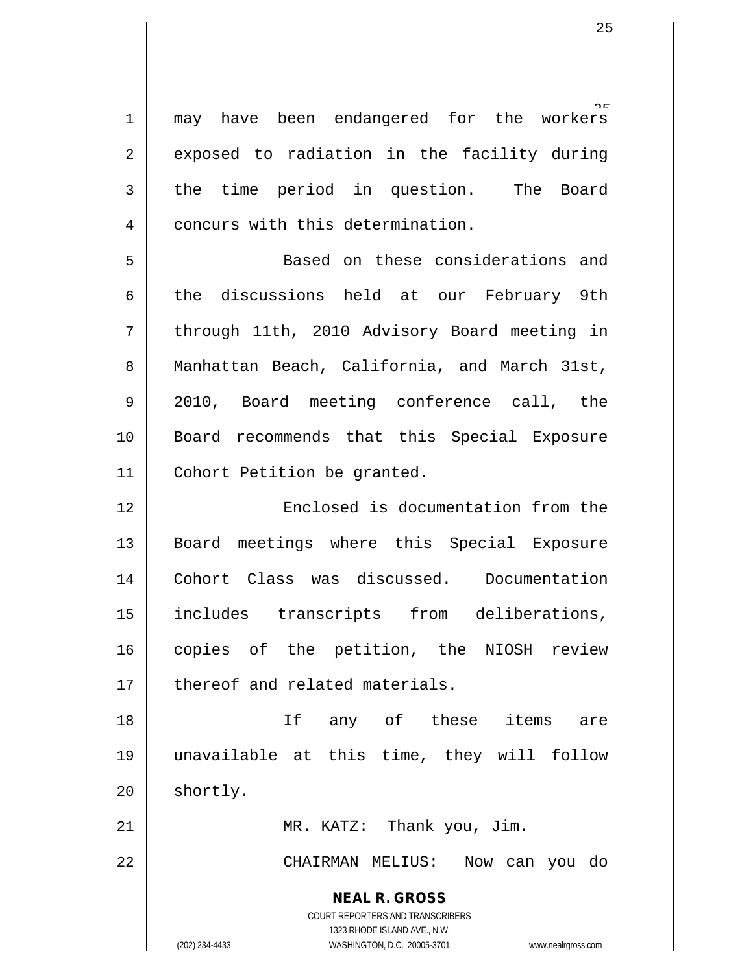1 || may have been endangered for the workers  $2 \parallel$  exposed to radiation in the facility during 3 the time period in question. The Board 4 | concurs with this determination. 5 Based on these considerations and

6 the discussions held at our February 9th 7 through 11th, 2010 Advisory Board meeting in 8 || Manhattan Beach, California, and March 31st, 9 2010, Board meeting conference call, the 10 Board recommends that this Special Exposure 11 Cohort Petition be granted.

12 || Enclosed is documentation from the 13 || Board meetings where this Special Exposure 14 Cohort Class was discussed. Documentation 15 includes transcripts from deliberations, 16 copies of the petition, the NIOSH review 17 || thereof and related materials.

18 If any of these items are 19 unavailable at this time, they will follow  $20$  shortly.

21 || MR. KATZ: Thank you, Jim.

22 CHAIRMAN MELIUS: Now can you do

**NEAL R. GROSS**

COURT REPORTERS AND TRANSCRIBERS 1323 RHODE ISLAND AVE., N.W. (202) 234-4433 WASHINGTON, D.C. 20005-3701 www.nealrgross.com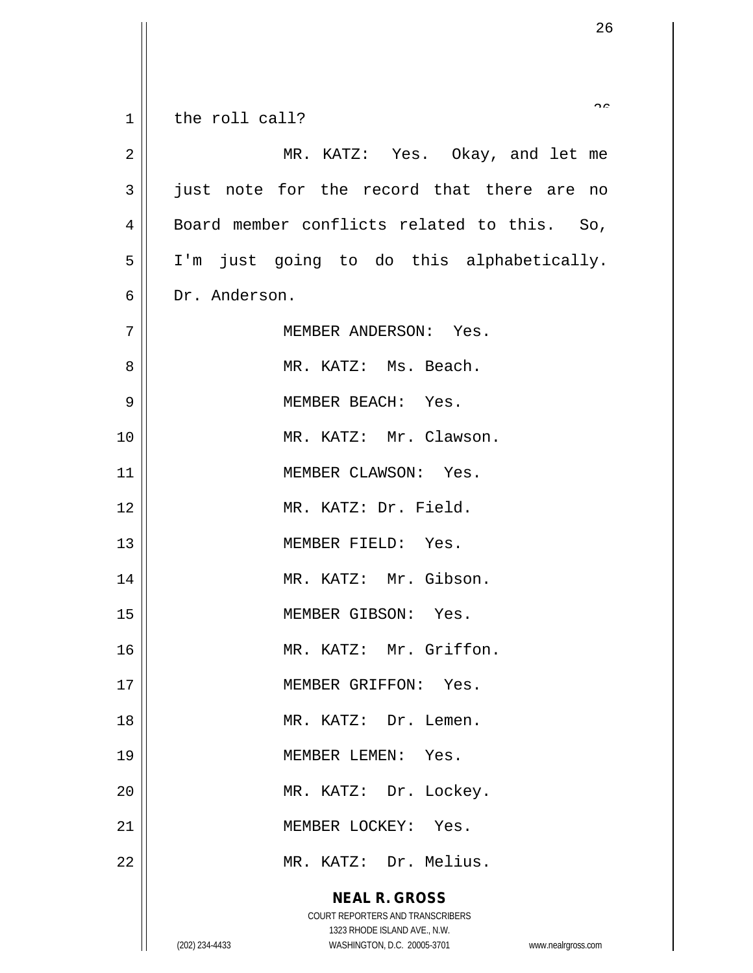| $\mathbf 1$    | $\sim$<br>the roll call?                                            |
|----------------|---------------------------------------------------------------------|
|                |                                                                     |
| $\overline{2}$ | MR. KATZ: Yes. Okay, and let me                                     |
| 3              | just note for the record that there are no                          |
| 4              | Board member conflicts related to this. So,                         |
| 5              | I'm just going to do this alphabetically.                           |
| 6              | Dr. Anderson.                                                       |
| 7              | MEMBER ANDERSON: Yes.                                               |
| 8              | MR. KATZ: Ms. Beach.                                                |
| 9              | MEMBER BEACH: Yes.                                                  |
| 10             | MR. KATZ: Mr. Clawson.                                              |
| 11             | MEMBER CLAWSON: Yes.                                                |
| 12             | MR. KATZ: Dr. Field.                                                |
| 13             | MEMBER FIELD: Yes.                                                  |
| 14             | MR. KATZ: Mr. Gibson.                                               |
| 15             | MEMBER GIBSON: Yes.                                                 |
| 16             | MR. KATZ: Mr. Griffon.                                              |
| 17             | MEMBER GRIFFON: Yes.                                                |
| 18             | MR. KATZ: Dr. Lemen.                                                |
| 19             | MEMBER LEMEN: Yes.                                                  |
| 20             | MR. KATZ: Dr. Lockey.                                               |
| 21             | MEMBER LOCKEY: Yes.                                                 |
| 22             | MR. KATZ: Dr. Melius.                                               |
|                | <b>NEAL R. GROSS</b>                                                |
|                | COURT REPORTERS AND TRANSCRIBERS<br>1323 RHODE ISLAND AVE., N.W.    |
|                | (202) 234-4433<br>WASHINGTON, D.C. 20005-3701<br>www.nealrgross.com |

 $\overline{\mathsf{I}}$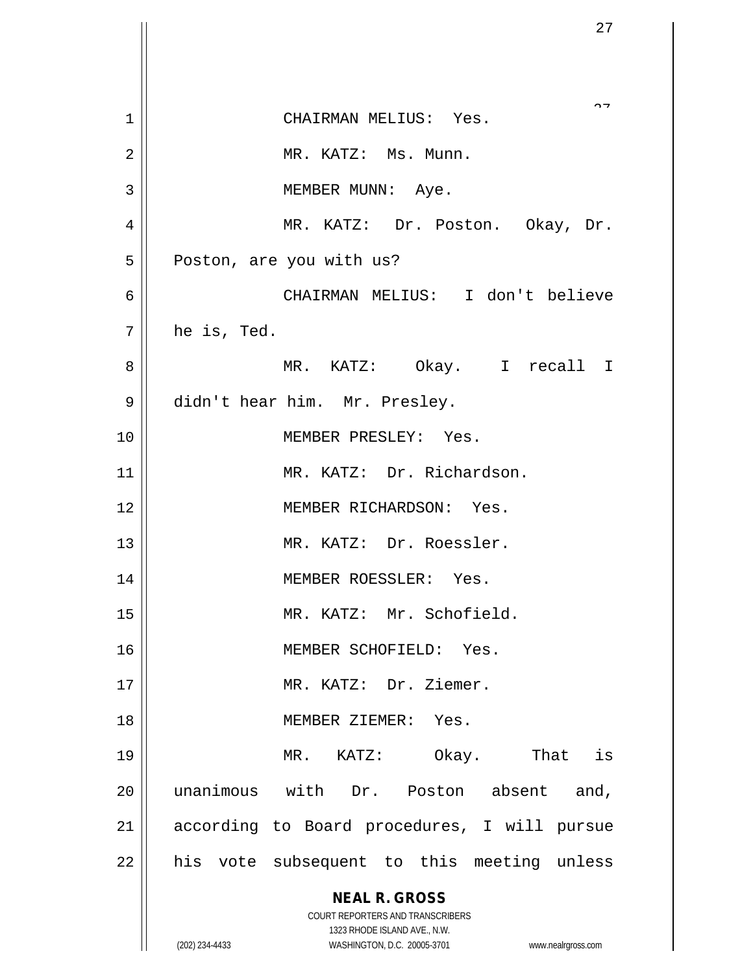|                | 27                                                                      |
|----------------|-------------------------------------------------------------------------|
|                |                                                                         |
| 1              | $\sim$ $\sim$<br>CHAIRMAN MELIUS: Yes.                                  |
| $\overline{2}$ | MR. KATZ: Ms. Munn.                                                     |
| 3              | MEMBER MUNN: Aye.                                                       |
| 4              | MR. KATZ: Dr. Poston. Okay, Dr.                                         |
| 5              | Poston, are you with us?                                                |
| 6              | CHAIRMAN MELIUS: I don't believe                                        |
| 7              | he is, Ted.                                                             |
| 8              | MR. KATZ: Okay. I recall I                                              |
| 9              | didn't hear him. Mr. Presley.                                           |
| 10             | MEMBER PRESLEY: Yes.                                                    |
| 11             | MR. KATZ: Dr. Richardson.                                               |
| 12             | MEMBER RICHARDSON: Yes.                                                 |
| 13             | MR. KATZ: Dr. Roessler.                                                 |
| 14             | MEMBER ROESSLER: Yes.                                                   |
| 15             | MR. KATZ: Mr. Schofield.                                                |
| 16             | MEMBER SCHOFIELD: Yes.                                                  |
| 17             | MR. KATZ: Dr. Ziemer.                                                   |
| 18             | MEMBER ZIEMER: Yes.                                                     |
| 19             | MR. KATZ: Okay. That is                                                 |
| 20             | unanimous with Dr. Poston absent and,                                   |
| 21             | according to Board procedures, I will pursue                            |
| 22             | his vote subsequent to this meeting unless                              |
|                | <b>NEAL R. GROSS</b>                                                    |
|                | <b>COURT REPORTERS AND TRANSCRIBERS</b><br>1323 RHODE ISLAND AVE., N.W. |
|                | (202) 234-4433<br>WASHINGTON, D.C. 20005-3701<br>www.nealrgross.com     |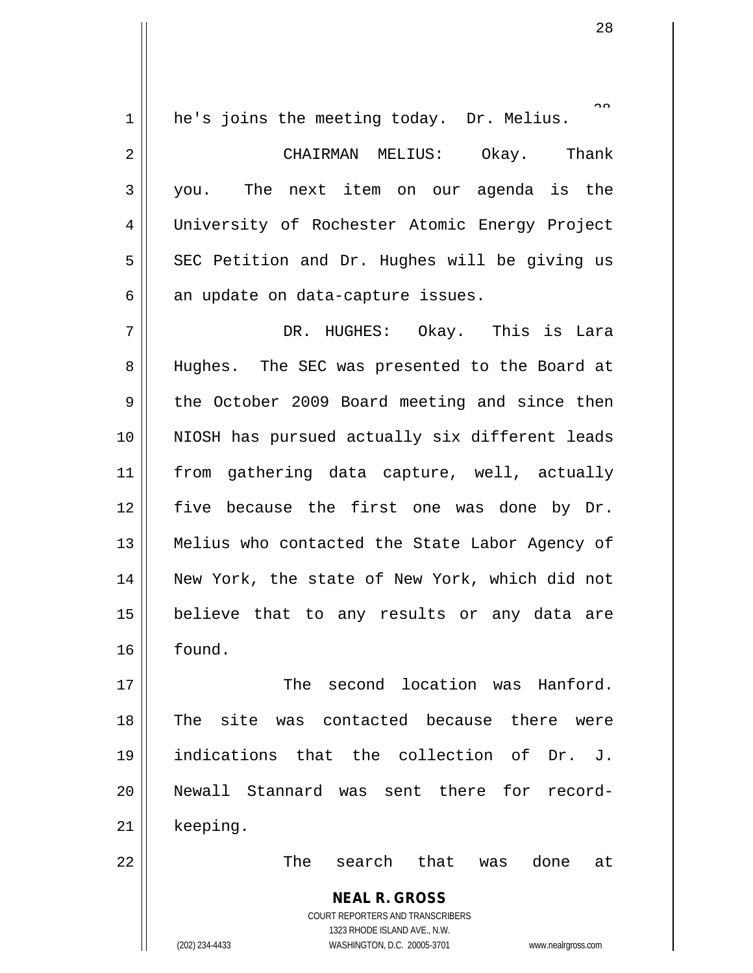1 | he's joins the meeting today. Dr. Melius.

2 CHAIRMAN MELIUS: Okay. Thank 3 you. The next item on our agenda is the 4 University of Rochester Atomic Energy Project  $5$  SEC Petition and Dr. Hughes will be giving us  $6 \parallel$  an update on data-capture issues.

7 DR. HUGHES: Okay. This is Lara 8 || Hughes. The SEC was presented to the Board at  $9 \parallel$  the October 2009 Board meeting and since then 10 || NIOSH has pursued actually six different leads 11 from gathering data capture, well, actually 12 five because the first one was done by Dr. 13 Melius who contacted the State Labor Agency of 14 || New York, the state of New York, which did not 15 believe that to any results or any data are 16 found.

17  $\parallel$  The second location was Hanford. 18 || The site was contacted because there were 19 indications that the collection of Dr. J. 20 || Newall Stannard was sent there for record-21 || keeping.

22 The search that was done at

**NEAL R. GROSS** COURT REPORTERS AND TRANSCRIBERS 1323 RHODE ISLAND AVE., N.W. (202) 234-4433 WASHINGTON, D.C. 20005-3701 www.nealrgross.com

 $\sim$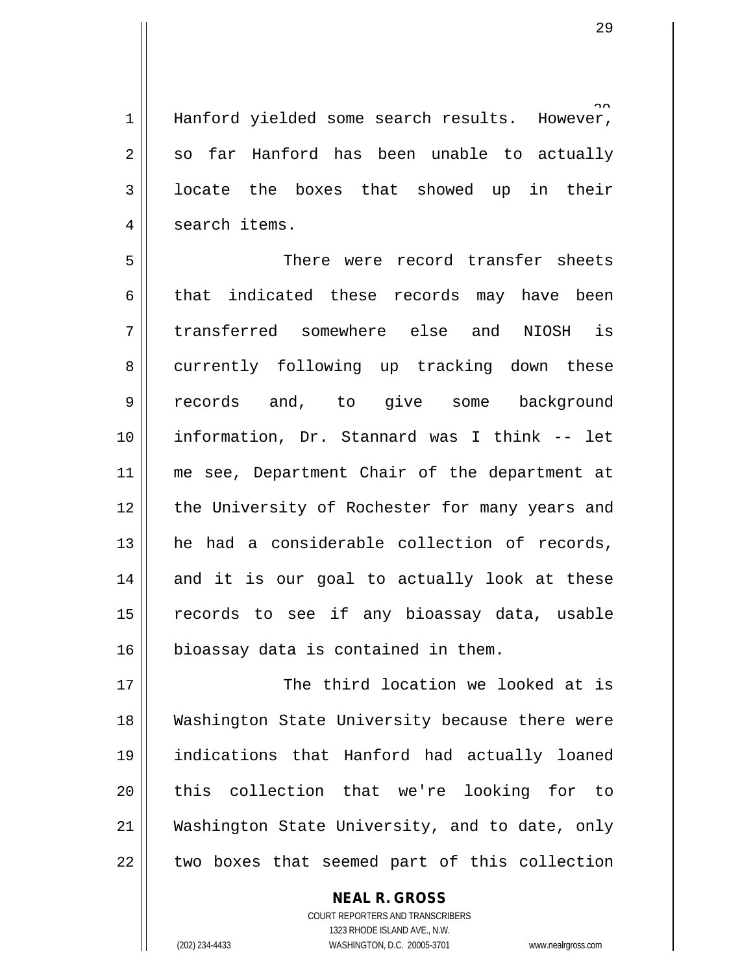and rever.  $1$  | Hanford yielded some search results.  $2 \parallel$  so far Hanford has been unable to actually 3 | locate the boxes that showed up in their 4 | search items.

5 There were record transfer sheets 6 that indicated these records may have been 7 transferred somewhere else and NIOSH is 8 currently following up tracking down these 9 records and, to give some background 10 information, Dr. Stannard was I think -- let 11 || me see, Department Chair of the department at 12 || the University of Rochester for many years and 13 || he had a considerable collection of records, 14 and it is our goal to actually look at these 15 || records to see if any bioassay data, usable 16 bioassay data is contained in them.

 $\parallel$  The third location we looked at is Washington State University because there were indications that Hanford had actually loaned 20 || this collection that we're looking for to Washington State University, and to date, only  $\parallel$  two boxes that seemed part of this collection

> COURT REPORTERS AND TRANSCRIBERS 1323 RHODE ISLAND AVE., N.W. (202) 234-4433 WASHINGTON, D.C. 20005-3701 www.nealrgross.com

**NEAL R. GROSS**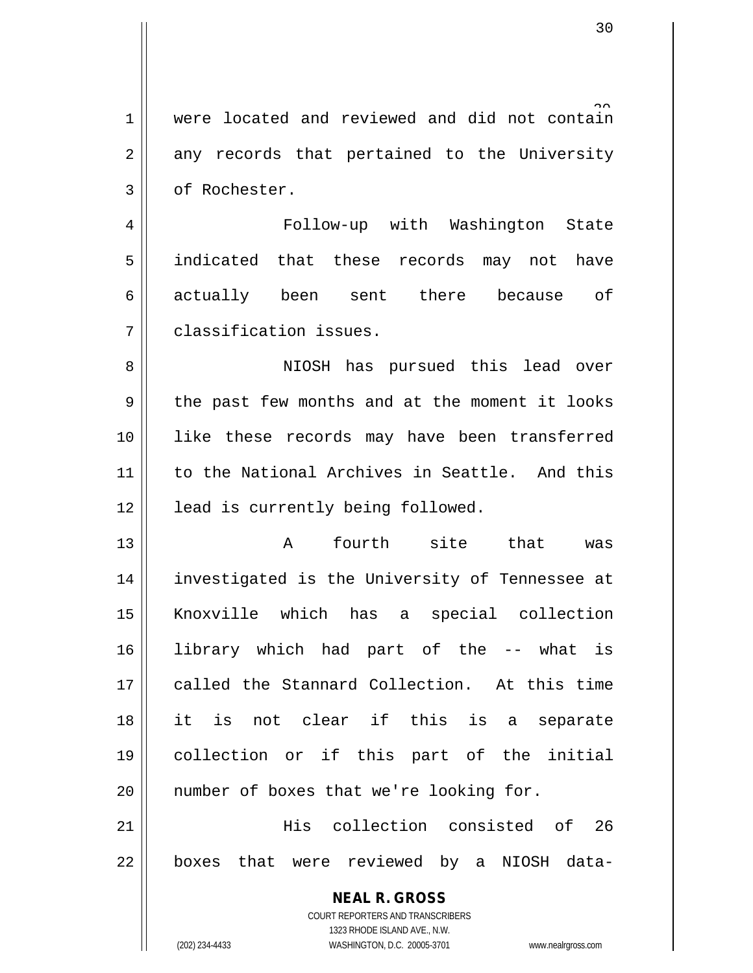1 were located and reviewed and did not contain  $2 \parallel$  any records that pertained to the University 3 || of Rochester.

4 Follow-up with Washington State 5 || indicated that these records may not have 6 actually been sent there because of 7 classification issues.

8 NIOSH has pursued this lead over 9 || the past few months and at the moment it looks 10 || like these records may have been transferred 11 || to the National Archives in Seattle. And this 12 | lead is currently being followed.

 A fourth site that was 14 || investigated is the University of Tennessee at Knoxville which has a special collection library which had part of the -- what is 17 called the Stannard Collection. At this time it is not clear if this is a separate collection or if this part of the initial 20 || number of boxes that we're looking for.

21 His collection consisted of 26  $22$  || boxes that were reviewed by a NIOSH data-

> **NEAL R. GROSS** COURT REPORTERS AND TRANSCRIBERS 1323 RHODE ISLAND AVE., N.W.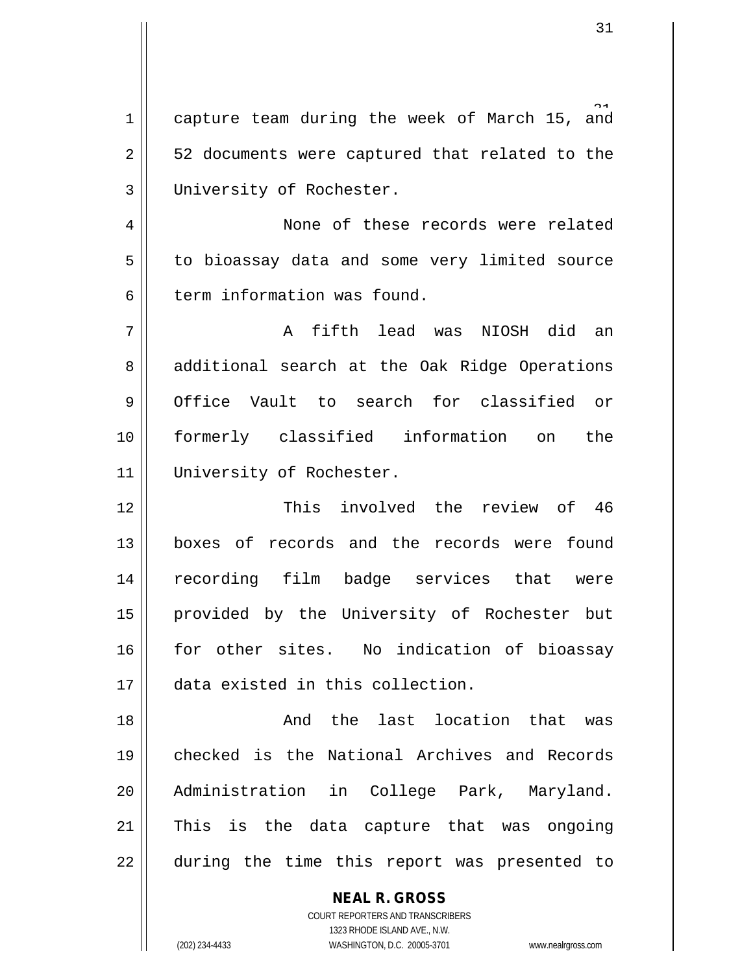1 capture team during the week of March 15, and  $2 \parallel$  52 documents were captured that related to the 3 University of Rochester.

4 | None of these records were related 5 | to bioassay data and some very limited source 6 term information was found.

7 A fifth lead was NIOSH did an 8 additional search at the Oak Ridge Operations 9 Office Vault to search for classified or 10 formerly classified information on the 11 || University of Rochester.

12 This involved the review of 46 13 || boxes of records and the records were found 14 || recording film badge services that were 15 || provided by the University of Rochester but 16 for other sites. No indication of bioassay 17 data existed in this collection.

18 And the last location that was 19 || checked is the National Archives and Records 20 Administration in College Park, Maryland. 21 || This is the data capture that was ongoing 22 during the time this report was presented to

> COURT REPORTERS AND TRANSCRIBERS 1323 RHODE ISLAND AVE., N.W. (202) 234-4433 WASHINGTON, D.C. 20005-3701 www.nealrgross.com

**NEAL R. GROSS**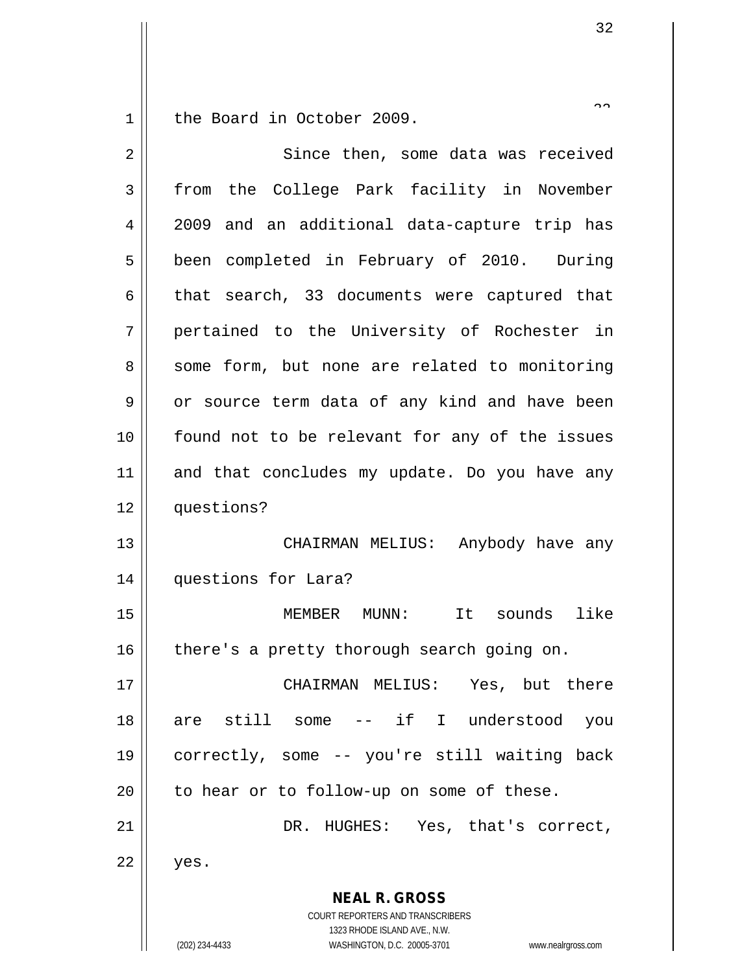the Board in October 2009.

| $\overline{2}$ | Since then, some data was received                                                                                                                              |
|----------------|-----------------------------------------------------------------------------------------------------------------------------------------------------------------|
| 3              | from the College Park facility in November                                                                                                                      |
| 4              | 2009 and an additional data-capture trip has                                                                                                                    |
| 5              | been completed in February of 2010. During                                                                                                                      |
| 6              | that search, 33 documents were captured that                                                                                                                    |
| 7              | pertained to the University of Rochester in                                                                                                                     |
| 8              | some form, but none are related to monitoring                                                                                                                   |
| 9              | or source term data of any kind and have been                                                                                                                   |
| 10             | found not to be relevant for any of the issues                                                                                                                  |
| 11             | and that concludes my update. Do you have any                                                                                                                   |
| 12             | questions?                                                                                                                                                      |
| 13             | CHAIRMAN MELIUS: Anybody have any                                                                                                                               |
| 14             | questions for Lara?                                                                                                                                             |
| 15             | It sounds<br>like<br>MEMBER MUNN:                                                                                                                               |
| 16             | there's a pretty thorough search going on.                                                                                                                      |
| 17             | CHAIRMAN MELIUS: Yes, but there                                                                                                                                 |
| 18             | are still some -- if I understood you                                                                                                                           |
| 19             | correctly, some -- you're still waiting back                                                                                                                    |
| 20             | to hear or to follow-up on some of these.                                                                                                                       |
| 21             | DR. HUGHES: Yes, that's correct,                                                                                                                                |
| 22             | yes.                                                                                                                                                            |
|                | <b>NEAL R. GROSS</b><br>COURT REPORTERS AND TRANSCRIBERS<br>1323 RHODE ISLAND AVE., N.W.<br>(202) 234-4433<br>WASHINGTON, D.C. 20005-3701<br>www.nealrgross.com |

 $\widehat{\phantom{a}}$  .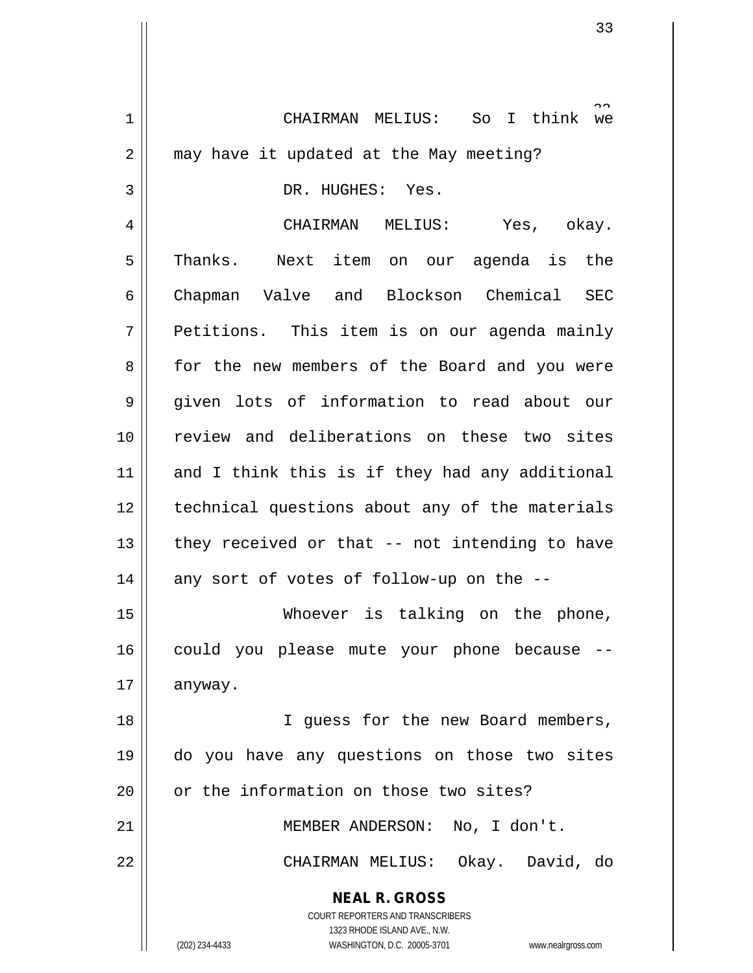**NEAL R. GROSS** COURT REPORTERS AND TRANSCRIBERS 1323 RHODE ISLAND AVE., N.W. (202) 234-4433 WASHINGTON, D.C. 20005-3701 www.nealrgross.com So I think we 1 CHAIRMAN MELIUS: So I think we  $2 \parallel$  may have it updated at the May meeting? 3 || DR. HUGHES: Yes. 4 CHAIRMAN MELIUS: Yes, okay. 5 Thanks. Next item on our agenda is the 6 || Chapman Valve and Blockson Chemical SEC  $7 \parallel$  Petitions. This item is on our agenda mainly 8 for the new members of the Board and you were 9 given lots of information to read about our 10 review and deliberations on these two sites  $11$  and I think this is if they had any additional 12 || technical questions about any of the materials 13  $\parallel$  they received or that -- not intending to have  $14$  || any sort of votes of follow-up on the --15 Whoever is talking on the phone, 16 || could you please mute your phone because -- $17 \parallel$  anyway. 18 || I guess for the new Board members, 19 do you have any questions on those two sites 20 || or the information on those two sites? 21 || MEMBER ANDERSON: No, I don't. 22 CHAIRMAN MELIUS: Okay. David, do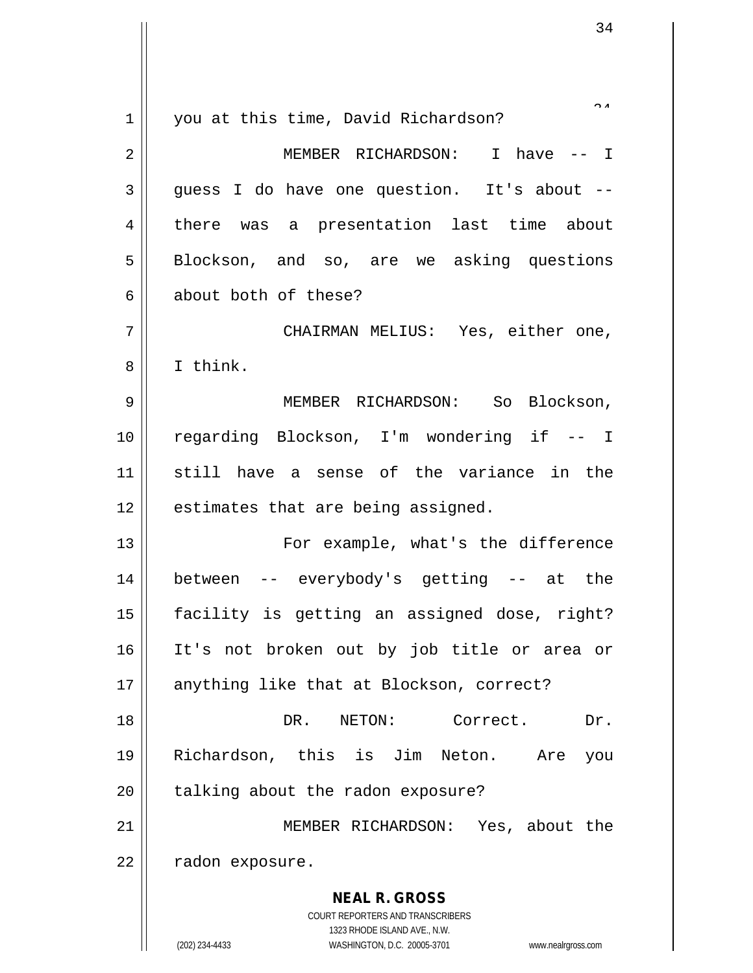| $\mathbf 1$    | you at this time, David Richardson?                                                                 |
|----------------|-----------------------------------------------------------------------------------------------------|
| 2              | MEMBER RICHARDSON: I have -- I                                                                      |
| $\mathbf{3}$   | guess I do have one question. It's about --                                                         |
| $\overline{4}$ | there was a presentation last time about                                                            |
| 5              | Blockson, and so, are we asking questions                                                           |
| 6              | about both of these?                                                                                |
| 7              | CHAIRMAN MELIUS: Yes, either one,                                                                   |
| 8              | I think.                                                                                            |
| 9              | MEMBER RICHARDSON: So Blockson,                                                                     |
| 10             | regarding Blockson, I'm wondering if -- I                                                           |
| 11             | still have a sense of the variance in the                                                           |
| 12             | estimates that are being assigned.                                                                  |
| 13             | For example, what's the difference                                                                  |
| 14             | between -- everybody's getting -- at the                                                            |
| 15             | facility is getting an assigned dose, right?                                                        |
| 16             | It's not broken out by job title or area or                                                         |
| 17             | anything like that at Blockson, correct?                                                            |
| 18             | DR. NETON:<br>Correct.<br>Dr.                                                                       |
| 19             | Richardson, this is Jim Neton. Are<br>you                                                           |
| 20             | talking about the radon exposure?                                                                   |
| 21             | MEMBER RICHARDSON: Yes, about the                                                                   |
| 22             | radon exposure.                                                                                     |
|                | <b>NEAL R. GROSS</b>                                                                                |
|                | COURT REPORTERS AND TRANSCRIBERS                                                                    |
|                | 1323 RHODE ISLAND AVE., N.W.<br>(202) 234-4433<br>WASHINGTON, D.C. 20005-3701<br>www.nealrgross.com |

 $\mathsf{I}$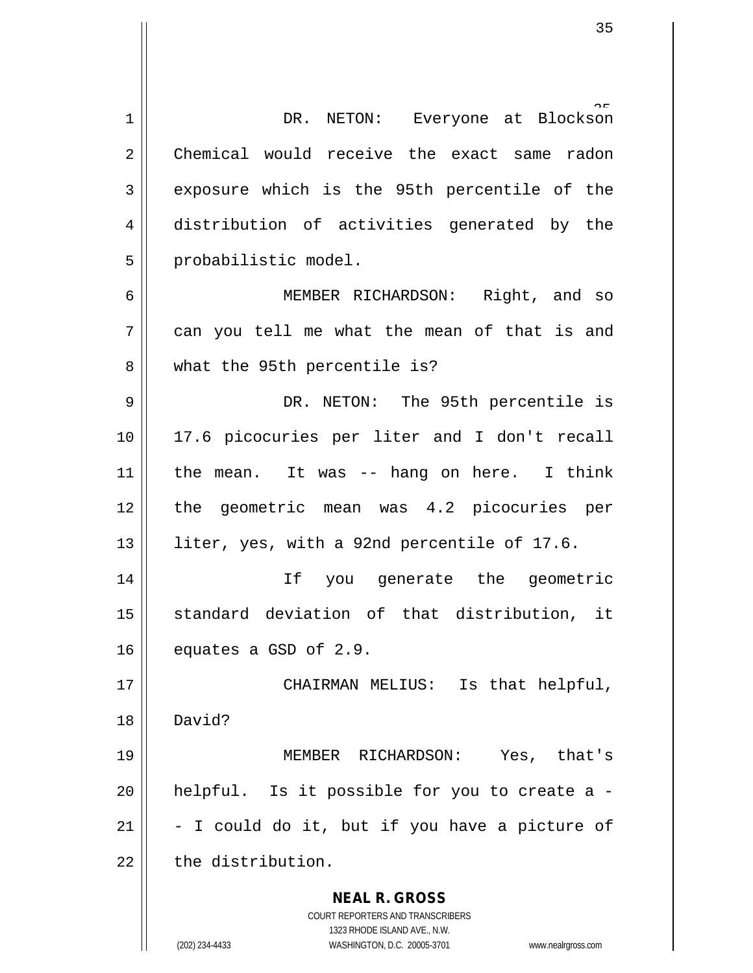**NEAL R. GROSS** COURT REPORTERS AND TRANSCRIBERS 1323 RHODE ISLAND AVE., N.W. 1 || DR. NETON: Everyone at Blockson 2 Chemical would receive the exact same radon 3 exposure which is the 95th percentile of the 4 distribution of activities generated by the 5 | probabilistic model. 6 MEMBER RICHARDSON: Right, and so  $7 \parallel$  can you tell me what the mean of that is and 8 what the 95th percentile is? 9 DR. NETON: The 95th percentile is 10 17.6 picocuries per liter and I don't recall  $11$  | the mean. It was -- hang on here. I think 12 the geometric mean was 4.2 picocuries per 13 || liter, yes, with a 92nd percentile of 17.6. 14 If you generate the geometric 15 || standard deviation of that distribution, it  $16$  equates a GSD of 2.9. 17 || CHAIRMAN MELIUS: Is that helpful, 18 David? 19 MEMBER RICHARDSON: Yes, that's 20  $\parallel$  helpful. Is it possible for you to create a -21  $\parallel$  - I could do it, but if you have a picture of  $22$   $\parallel$  the distribution.

(202) 234-4433 WASHINGTON, D.C. 20005-3701 www.nealrgross.com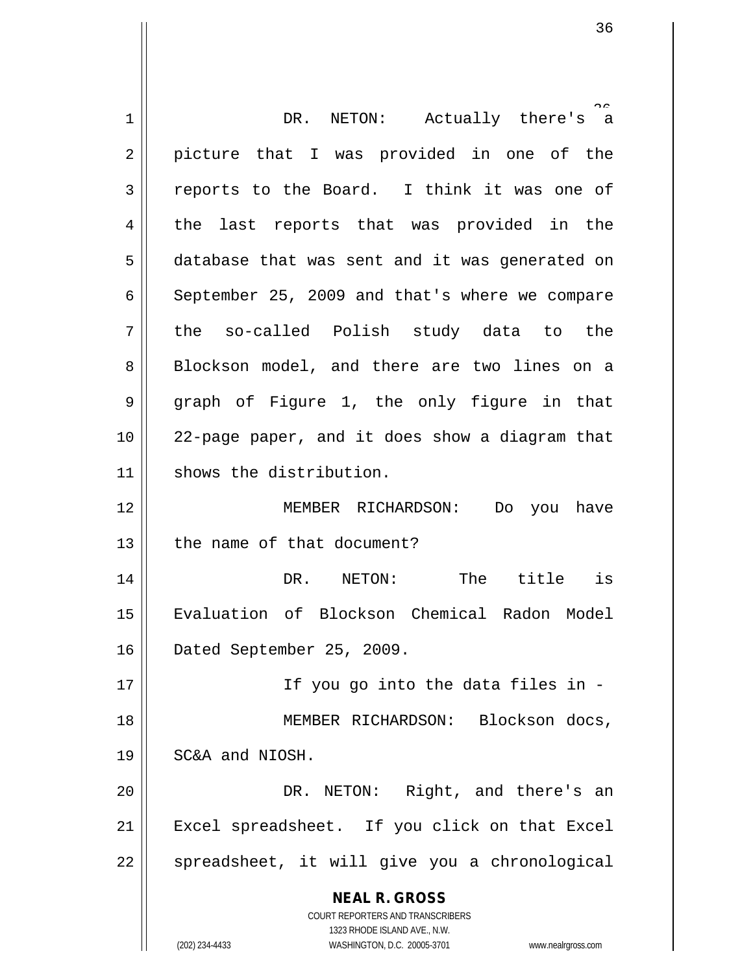| 1  | DR. NETON: Actually there's a                                                                       |
|----|-----------------------------------------------------------------------------------------------------|
| 2  | picture that I was provided in one of the                                                           |
| 3  | reports to the Board. I think it was one of                                                         |
| 4  | the last reports that was provided in the                                                           |
| 5  | database that was sent and it was generated on                                                      |
| 6  | September 25, 2009 and that's where we compare                                                      |
| 7  | the so-called Polish study data to the                                                              |
| 8  | Blockson model, and there are two lines on a                                                        |
| 9  | graph of Figure 1, the only figure in that                                                          |
| 10 | 22-page paper, and it does show a diagram that                                                      |
| 11 | shows the distribution.                                                                             |
| 12 | MEMBER RICHARDSON:<br>Do you have                                                                   |
| 13 | the name of that document?                                                                          |
| 14 | DR. NETON: The title is                                                                             |
| 15 | Evaluation of Blockson Chemical Radon Model                                                         |
| 16 | Dated September 25, 2009.                                                                           |
| 17 | If you go into the data files in -                                                                  |
| 18 | MEMBER RICHARDSON: Blockson docs,                                                                   |
| 19 | SC&A and NIOSH.                                                                                     |
| 20 | DR. NETON: Right, and there's an                                                                    |
| 21 | Excel spreadsheet. If you click on that Excel                                                       |
| 22 | spreadsheet, it will give you a chronological                                                       |
|    | <b>NEAL R. GROSS</b>                                                                                |
|    | <b>COURT REPORTERS AND TRANSCRIBERS</b>                                                             |
|    | 1323 RHODE ISLAND AVE., N.W.<br>(202) 234-4433<br>WASHINGTON, D.C. 20005-3701<br>www.nealrgross.com |
|    |                                                                                                     |

 $\mathsf{I}$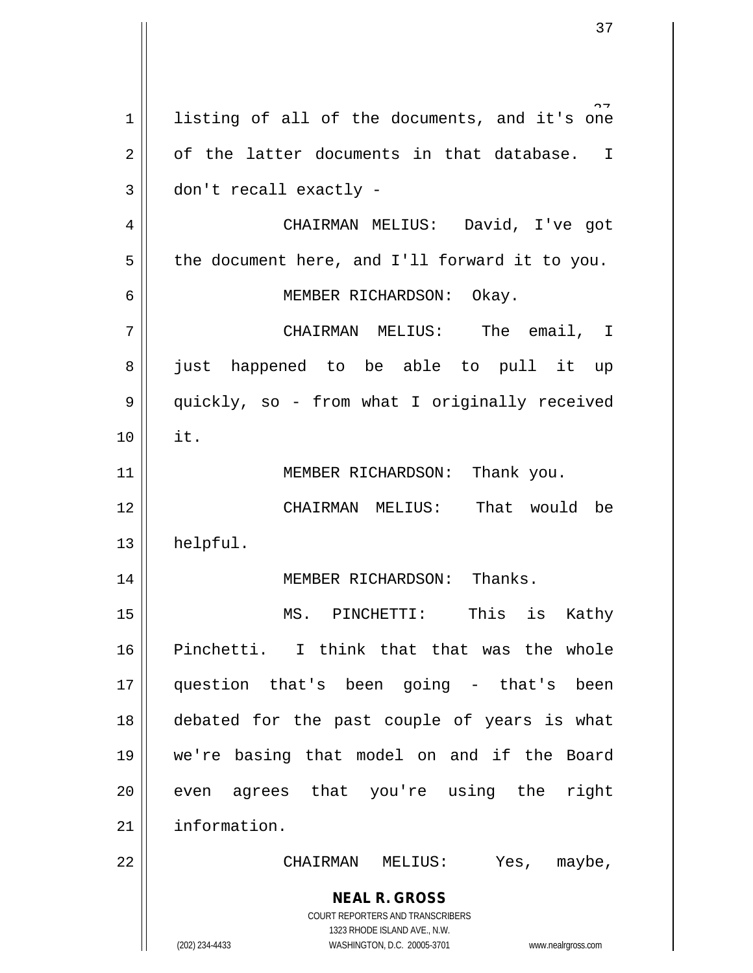**NEAL R. GROSS** COURT REPORTERS AND TRANSCRIBERS 1323 RHODE ISLAND AVE., N.W. (202) 234-4433 WASHINGTON, D.C. 20005-3701 www.nealrgross.com  $1 \parallel$  listing of all of the documents, and it's one  $2 \parallel$  of the latter documents in that database. I  $3 \parallel$  don't recall exactly -4 CHAIRMAN MELIUS: David, I've got  $5 \parallel$  the document here, and I'll forward it to you. 6 MEMBER RICHARDSON: Okay. 7 CHAIRMAN MELIUS: The email, I 8 || just happened to be able to pull it up 9 || quickly, so - from what I originally received 10 it. 11 || MEMBER RICHARDSON: Thank you. 12 CHAIRMAN MELIUS: That would be 13 | helpful. 14 || MEMBER RICHARDSON: Thanks. 15 MS. PINCHETTI: This is Kathy 16 Pinchetti. I think that that was the whole 17 question that's been going - that's been 18 debated for the past couple of years is what 19 we're basing that model on and if the Board  $20$  || even agrees that you're using the right 21 | information. 22 CHAIRMAN MELIUS: Yes, maybe,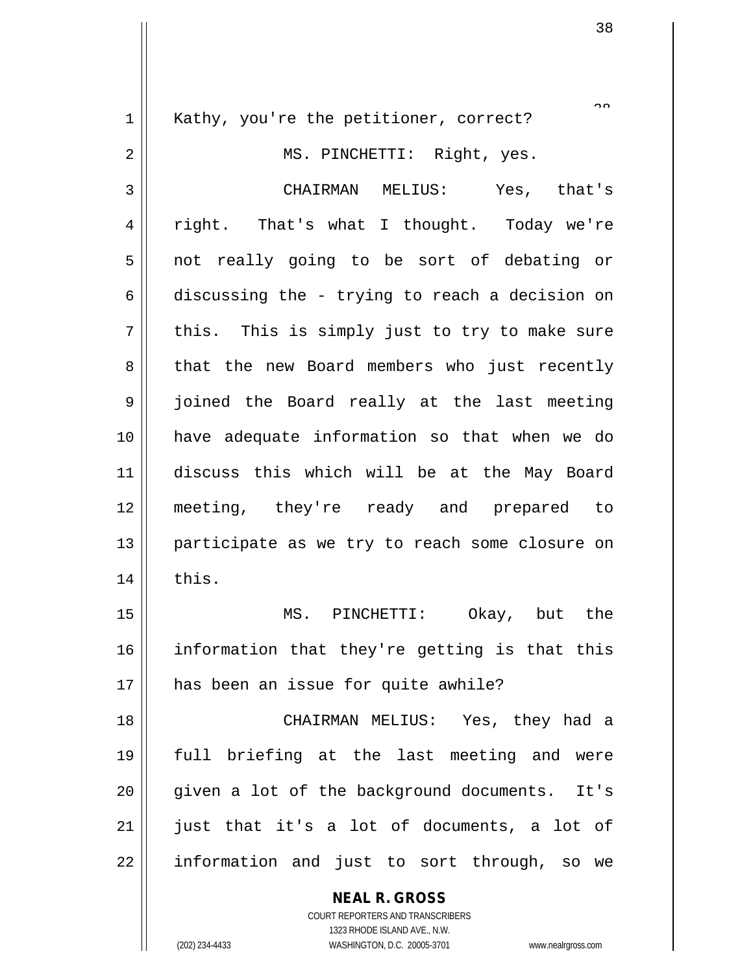**NEAL R. GROSS** COURT REPORTERS AND TRANSCRIBERS  $\sim$ 1 || Kathy, you're the petitioner, correct? 2 || MS. PINCHETTI: Right, yes. 3 CHAIRMAN MELIUS: Yes, that's 4 right. That's what I thought. Today we're 5 || not really going to be sort of debating or 6 discussing the - trying to reach a decision on  $7 \parallel$  this. This is simply just to try to make sure 8 || that the new Board members who just recently 9 || joined the Board really at the last meeting 10 have adequate information so that when we do 11 discuss this which will be at the May Board 12 meeting, they're ready and prepared to 13 || participate as we try to reach some closure on  $14$  | this. 15 MS. PINCHETTI: Okay, but the 16 information that they're getting is that this 17 has been an issue for quite awhile? 18 CHAIRMAN MELIUS: Yes, they had a 19 full briefing at the last meeting and were 20 || qiven a lot of the background documents. It's  $21$  just that it's a lot of documents, a lot of 22 || information and just to sort through, so we

1323 RHODE ISLAND AVE., N.W.

(202) 234-4433 WASHINGTON, D.C. 20005-3701 www.nealrgross.com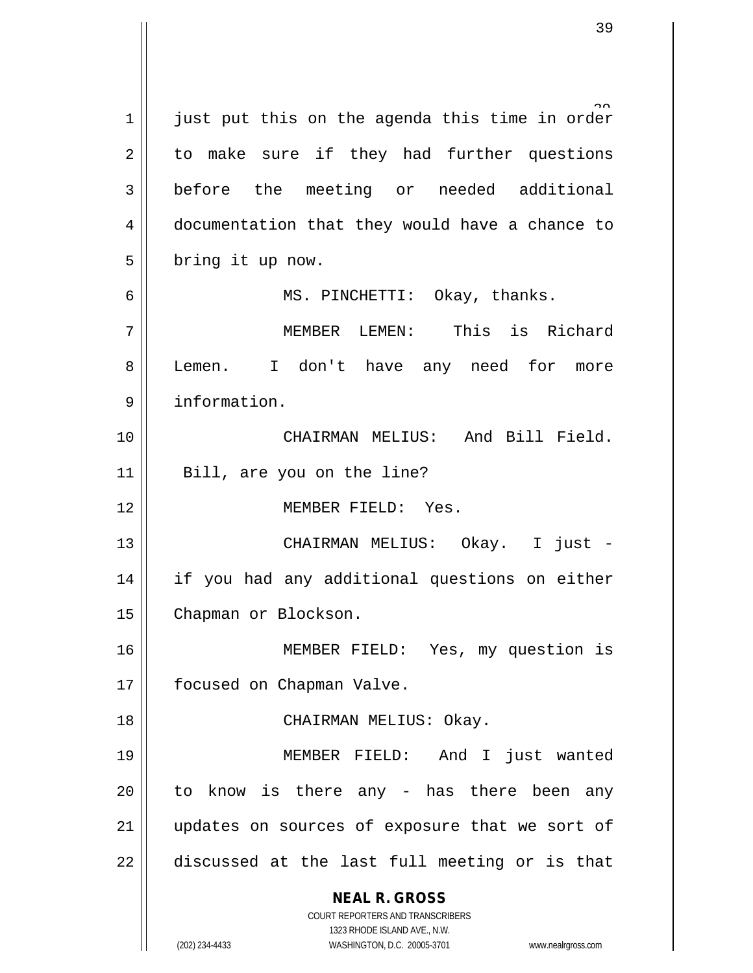**NEAL R. GROSS** COURT REPORTERS AND TRANSCRIBERS 1323 RHODE ISLAND AVE., N.W. (202) 234-4433 WASHINGTON, D.C. 20005-3701 www.nealrgross.com 1  $\parallel$  just put this on the agenda this time in order  $2 \parallel$  to make sure if they had further questions 3 before the meeting or needed additional 4 | documentation that they would have a chance to  $5 \parallel$  bring it up now. 6 MS. PINCHETTI: Okay, thanks. 7 MEMBER LEMEN: This is Richard 8 || Lemen. I don't have any need for more 9 information. 10 CHAIRMAN MELIUS: And Bill Field. 11 || Bill, are you on the line? 12 MEMBER FIELD: Yes. 13 CHAIRMAN MELIUS: Okay. I just - 14 if you had any additional questions on either 15 | Chapman or Blockson. 16 MEMBER FIELD: Yes, my question is 17 | focused on Chapman Valve. 18 || CHAIRMAN MELIUS: Okay. 19 MEMBER FIELD: And I just wanted 20 || to know is there any - has there been any 21 || updates on sources of exposure that we sort of  $22$   $\parallel$  discussed at the last full meeting or is that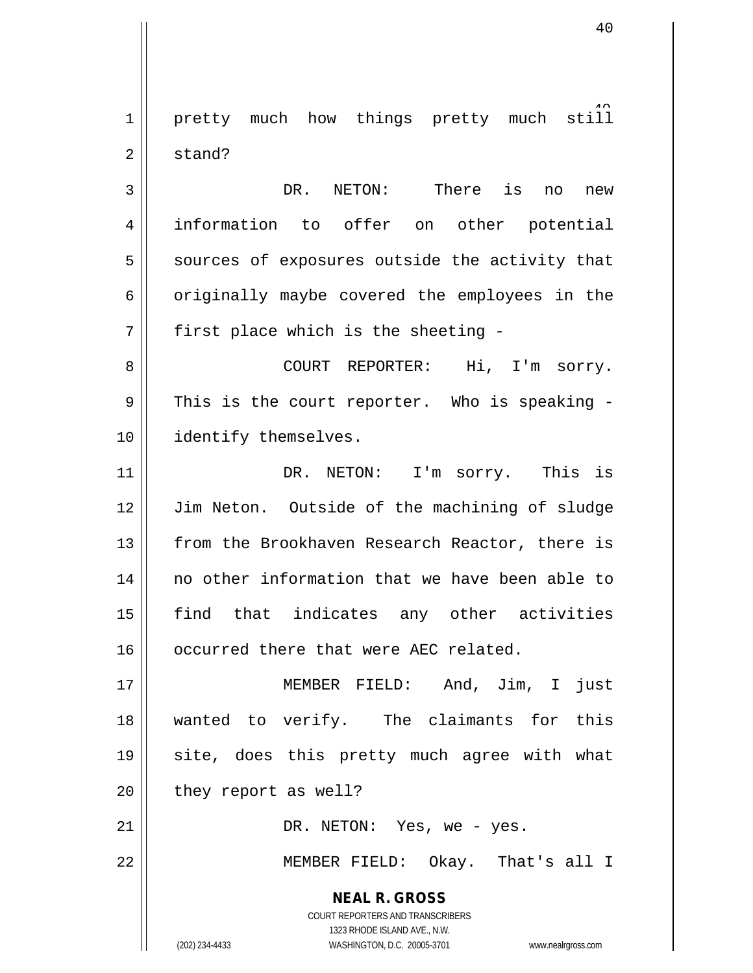1 pretty much how things pretty much still 2 stand?

 DR. NETON: There is no new information to offer on other potential sources of exposures outside the activity that  $6 \parallel$  originally maybe covered the employees in the || first place which is the sheeting -

8 COURT REPORTER: Hi, I'm sorry.  $9 \parallel$  This is the court reporter. Who is speaking -10 || identify themselves.

11 || DR. NETON: I'm sorry. This is 12 Jim Neton. Outside of the machining of sludge 13 From the Brookhaven Research Reactor, there is 14 no other information that we have been able to 15 find that indicates any other activities 16 | occurred there that were AEC related.

 MEMBER FIELD: And, Jim, I just wanted to verify. The claimants for this 19 || site, does this pretty much agree with what | they report as well?

21 DR. NETON: Yes, we - yes.

22 MEMBER FIELD: Okay. That's all I

**NEAL R. GROSS** COURT REPORTERS AND TRANSCRIBERS

1323 RHODE ISLAND AVE., N.W.

(202) 234-4433 WASHINGTON, D.C. 20005-3701 www.nealrgross.com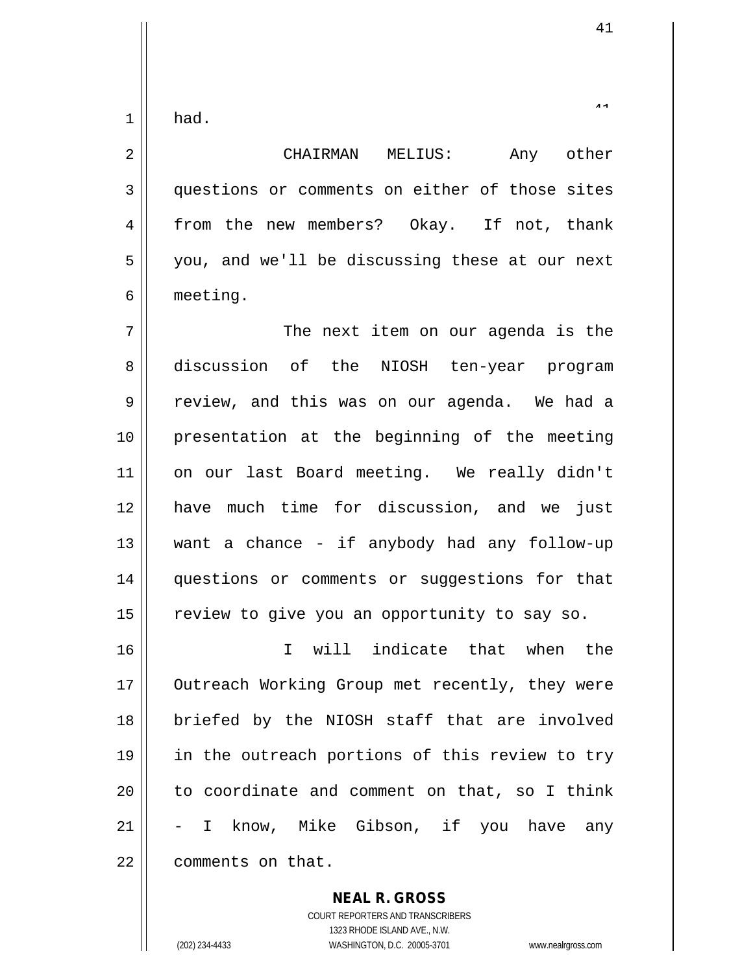$1$  had.

2 CHAIRMAN MELIUS: Any other 3 questions or comments on either of those sites 4 from the new members? Okay. If not, thank 5 || you, and we'll be discussing these at our next 6 meeting. 7 The next item on our agenda is the 8 discussion of the NIOSH ten-year program  $9 \parallel$  review, and this was on our agenda. We had a 10 presentation at the beginning of the meeting 11 || on our last Board meeting. We really didn't 12 have much time for discussion, and we just  $13$  want a chance - if anybody had any follow-up 14 || questions or comments or suggestions for that  $15$  review to give you an opportunity to say so. 16 I will indicate that when the 17 || Outreach Working Group met recently, they were 18 || briefed by the NIOSH staff that are involved 19 || in the outreach portions of this review to try  $20$  || to coordinate and comment on that, so I think 21 || - I know, Mike Gibson, if you have any 22 ll comments on that.

**NEAL R. GROSS**

COURT REPORTERS AND TRANSCRIBERS 1323 RHODE ISLAND AVE., N.W. (202) 234-4433 WASHINGTON, D.C. 20005-3701 www.nealrgross.com

41

 $4<sub>1</sub>$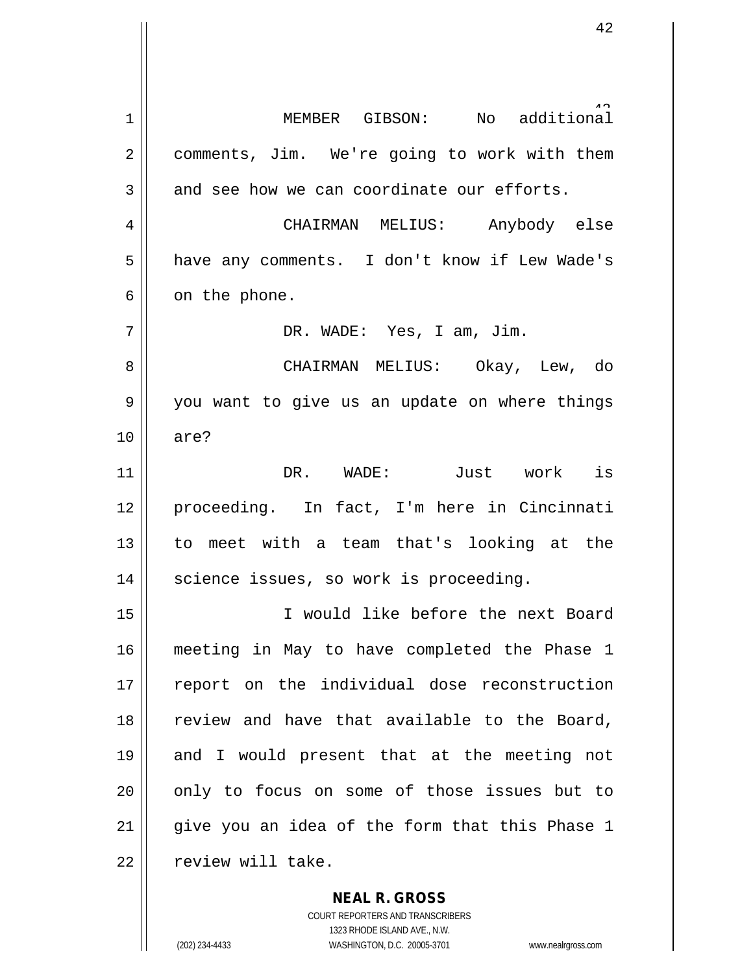additional 1 || MEMBER GIBSON: No 2 | comments, Jim. We're going to work with them  $3 \parallel$  and see how we can coordinate our efforts. 4 CHAIRMAN MELIUS: Anybody else 5 | have any comments. I don't know if Lew Wade's  $6 \parallel$  on the phone. 7 DR. WADE: Yes, I am, Jim. 8 CHAIRMAN MELIUS: Okay, Lew, do 9 you want to give us an update on where things 10 are? 11 DR. WADE: Just work is 12 proceeding. In fact, I'm here in Cincinnati 13 to meet with a team that's looking at the  $14$  | science issues, so work is proceeding. 15 I would like before the next Board 16 meeting in May to have completed the Phase 1 17 || report on the individual dose reconstruction 18 || review and have that available to the Board, 19 and I would present that at the meeting not 20 || only to focus on some of those issues but to  $21$  || give you an idea of the form that this Phase 1 22 | review will take.

> COURT REPORTERS AND TRANSCRIBERS 1323 RHODE ISLAND AVE., N.W. (202) 234-4433 WASHINGTON, D.C. 20005-3701 www.nealrgross.com

**NEAL R. GROSS**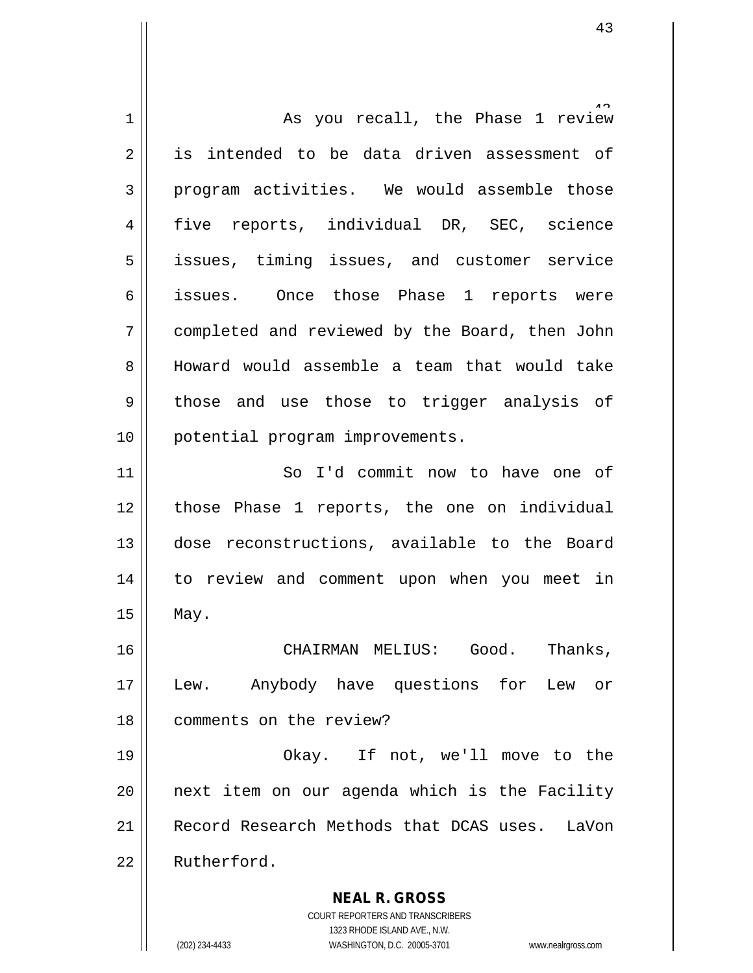**NEAL R. GROSS** COURT REPORTERS AND TRANSCRIBERS 1323 RHODE ISLAND AVE., N.W. (202) 234-4433 WASHINGTON, D.C. 20005-3701 www.nealrgross.com 1 As you recall, the Phase 1 review 2 || is intended to be data driven assessment of 3 program activities. We would assemble those 4 five reports, individual DR, SEC, science 5 || issues, timing issues, and customer service 6 issues. Once those Phase 1 reports were 7 completed and reviewed by the Board, then John 8 Howard would assemble a team that would take  $9 \parallel$  those and use those to trigger analysis of 10 || potential program improvements. 11 || So I'd commit now to have one of 12 those Phase 1 reports, the one on individual 13 dose reconstructions, available to the Board 14 || to review and comment upon when you meet in  $15$  | May. 16 CHAIRMAN MELIUS: Good. Thanks, 17 || Lew. Anybody have questions for Lew or 18 comments on the review? 19 Okay. If not, we'll move to the 20 next item on our agenda which is the Facility 21 Record Research Methods that DCAS uses. LaVon 22 Rutherford.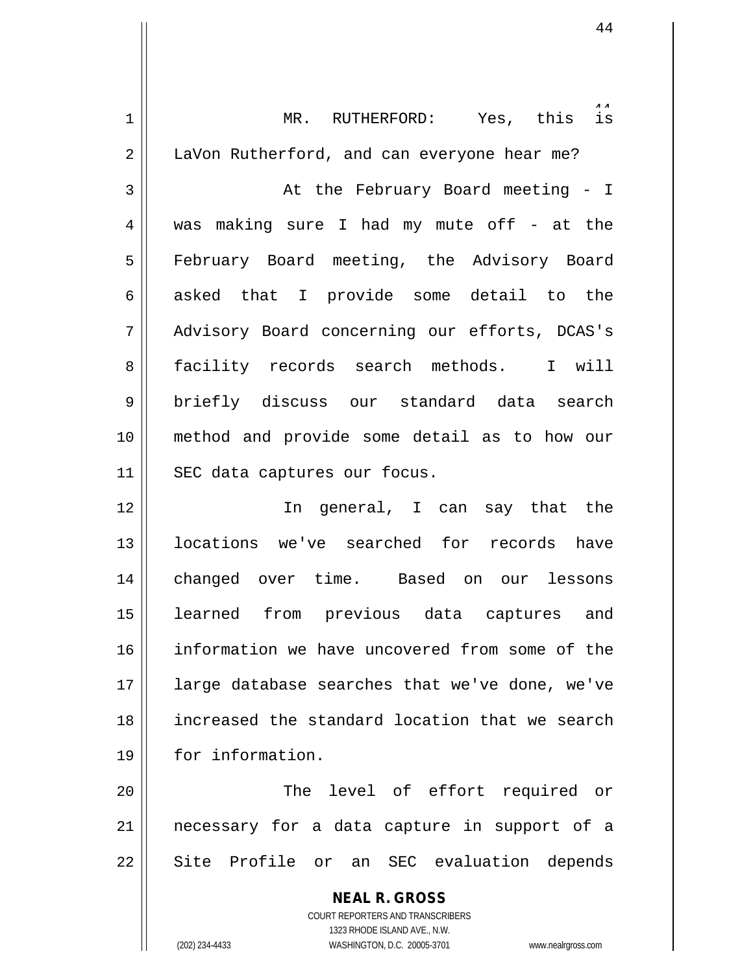| 1  | MR. RUTHERFORD: Yes, this is                                        |
|----|---------------------------------------------------------------------|
| 2  | LaVon Rutherford, and can everyone hear me?                         |
| 3  | At the February Board meeting - I                                   |
| 4  | was making sure I had my mute off - at the                          |
| 5  | February Board meeting, the Advisory Board                          |
| 6  | asked that I provide some detail to the                             |
| 7  | Advisory Board concerning our efforts, DCAS's                       |
| 8  | facility records search methods. I will                             |
| 9  | briefly discuss our standard data search                            |
| 10 | method and provide some detail as to how our                        |
| 11 | SEC data captures our focus.                                        |
| 12 | In general, I can say that the                                      |
| 13 | locations we've searched for records have                           |
| 14 | changed over time. Based on our lessons                             |
| 15 | learned from previous data captures and                             |
| 16 | information we have uncovered from some of the                      |
| 17 | large database searches that we've done, we've                      |
| 18 | increased the standard location that we search                      |
| 19 | for information.                                                    |
| 20 | The level of effort required or                                     |
|    |                                                                     |
| 21 | necessary for a data capture in support of a                        |
| 22 | Site Profile or an SEC evaluation depends                           |
|    | <b>NEAL R. GROSS</b>                                                |
|    | COURT REPORTERS AND TRANSCRIBERS<br>1323 RHODE ISLAND AVE., N.W.    |
|    | (202) 234-4433<br>WASHINGTON, D.C. 20005-3701<br>www.nealrgross.com |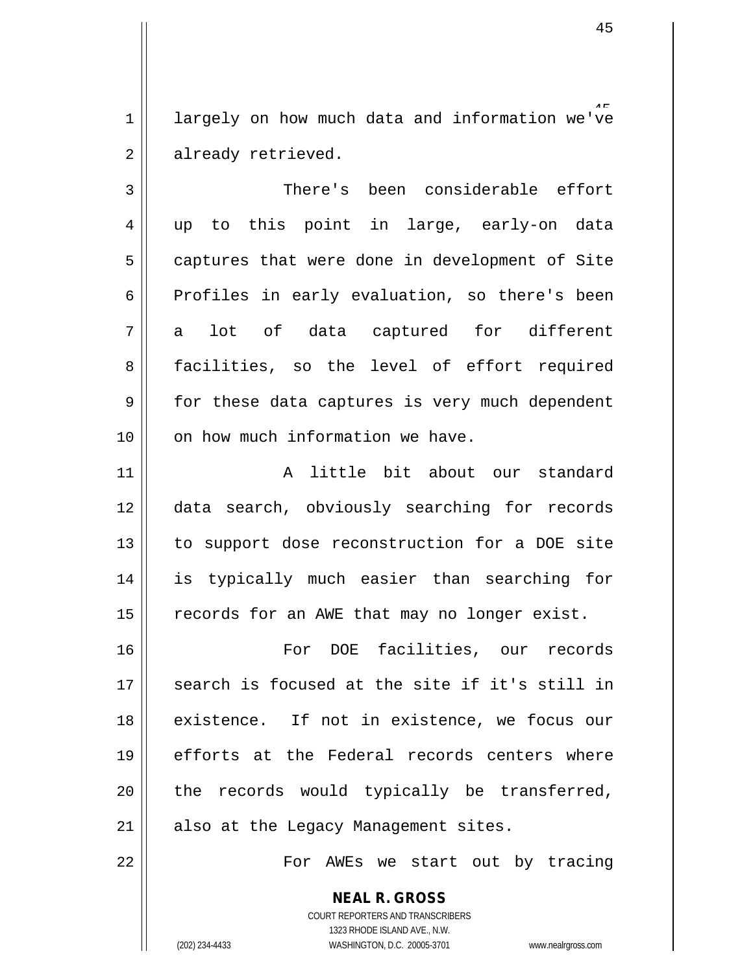1 | largely on how much data and information we've 2 already retrieved.

3 There's been considerable effort 4 up to this point in large, early-on data  $5 \parallel$  captures that were done in development of Site 6 | Profiles in early evaluation, so there's been  $7 \parallel$  a lot of data captured for different 8 facilities, so the level of effort required  $9 \parallel$  for these data captures is very much dependent  $10$  | on how much information we have.

11 A little bit about our standard 12 data search, obviously searching for records 13 || to support dose reconstruction for a DOE site 14 is typically much easier than searching for 15 | records for an AWE that may no longer exist.

16 For DOE facilities, our records 17 || search is focused at the site if it's still in 18 || existence. If not in existence, we focus our 19 || efforts at the Federal records centers where  $20$  || the records would typically be transferred,  $21$  || also at the Legacy Management sites.

22 For AWEs we start out by tracing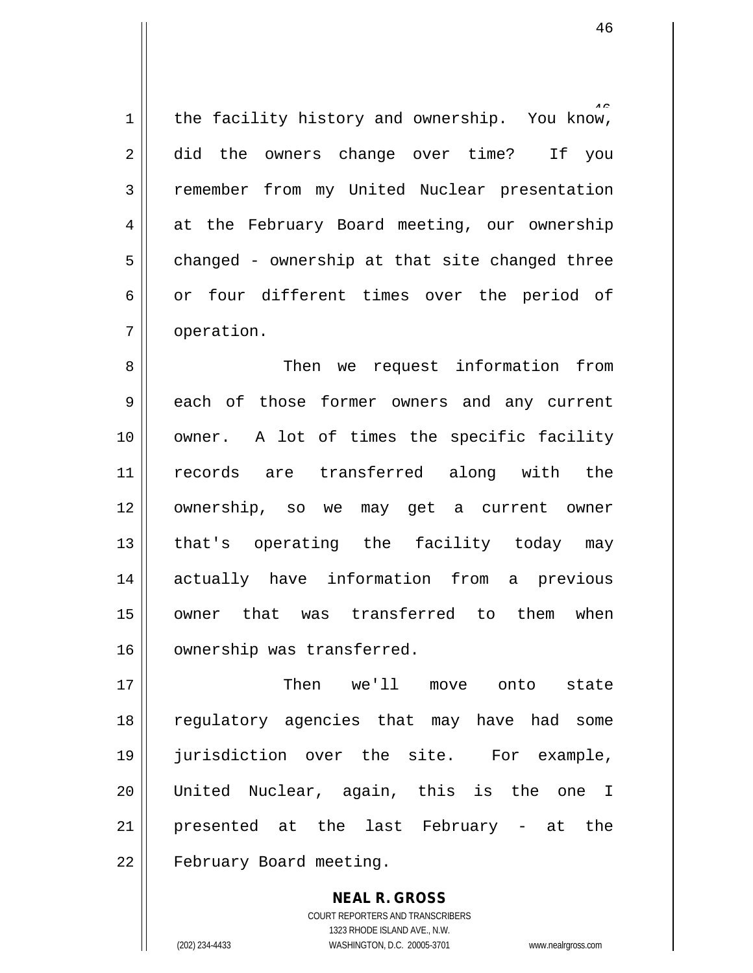1 | the facility history and ownership. You know, 2 did the owners change over time? If you 3 Temember from my United Nuclear presentation 4 at the February Board meeting, our ownership  $5 \parallel$  changed - ownership at that site changed three  $6 \parallel$  or four different times over the period of 7 | operation.

 Then we request information from 9 each of those former owners and any current owner. A lot of times the specific facility records are transferred along with the ownership, so we may get a current owner 13 || that's operating the facility today may actually have information from a previous owner that was transferred to them when 16 | ownership was transferred.

17 Then we'll move onto state 18 || regulatory agencies that may have had some 19 jurisdiction over the site. For example, 20 United Nuclear, again, this is the one I 21 || presented at the last February - at the 22 | February Board meeting.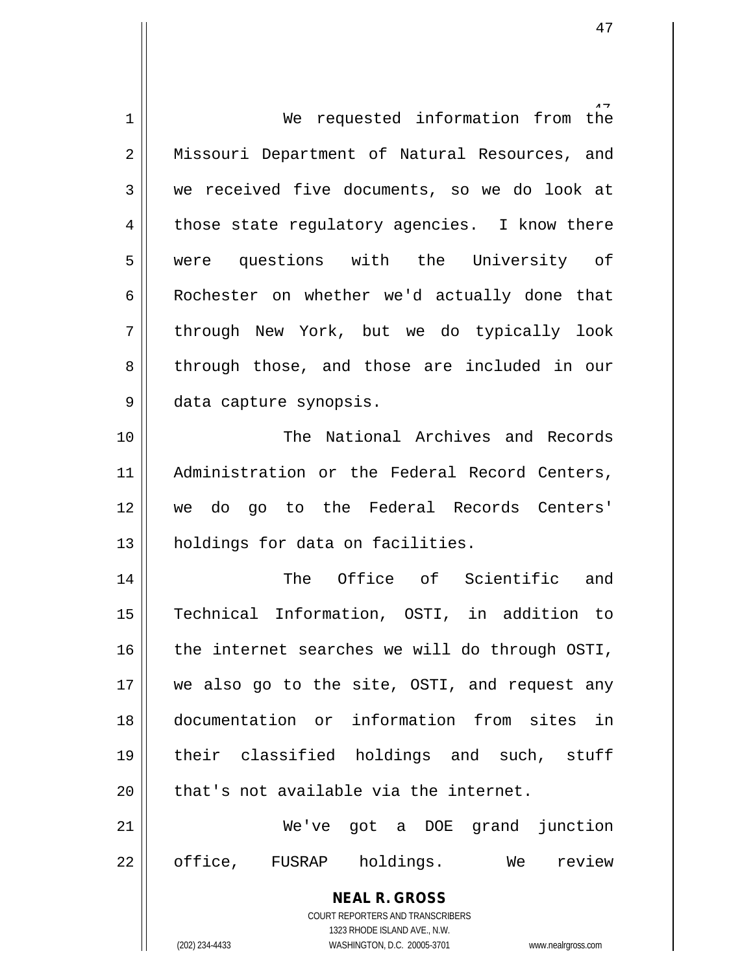| $\mathbf 1$    | We requested information from<br>the                                                                |
|----------------|-----------------------------------------------------------------------------------------------------|
| $\overline{2}$ | Missouri Department of Natural Resources, and                                                       |
| 3              | we received five documents, so we do look at                                                        |
| 4              | those state regulatory agencies. I know there                                                       |
| 5              | were questions with the University of                                                               |
| 6              | Rochester on whether we'd actually done that                                                        |
| 7              | through New York, but we do typically look                                                          |
| 8              | through those, and those are included in our                                                        |
| 9              | data capture synopsis.                                                                              |
| 10             | The National Archives and Records                                                                   |
| 11             | Administration or the Federal Record Centers,                                                       |
| 12             | we do go to the Federal Records Centers'                                                            |
| 13             | holdings for data on facilities.                                                                    |
| 14             | The Office of Scientific and                                                                        |
| 15             | Technical Information, OSTI, in addition to                                                         |
| 16             | the internet searches we will do through OSTI,                                                      |
| 17             | we also go to the site, OSTI, and request any                                                       |
| 18             | documentation or information from sites in                                                          |
| 19             | their classified holdings and such, stuff                                                           |
| 20             | that's not available via the internet.                                                              |
| 21             | We've got a DOE grand junction                                                                      |
| 22             | office,<br>FUSRAP holdings. We<br>review                                                            |
|                | <b>NEAL R. GROSS</b>                                                                                |
|                | COURT REPORTERS AND TRANSCRIBERS                                                                    |
|                | 1323 RHODE ISLAND AVE., N.W.<br>WASHINGTON, D.C. 20005-3701<br>(202) 234-4433<br>www.nealrgross.com |
|                |                                                                                                     |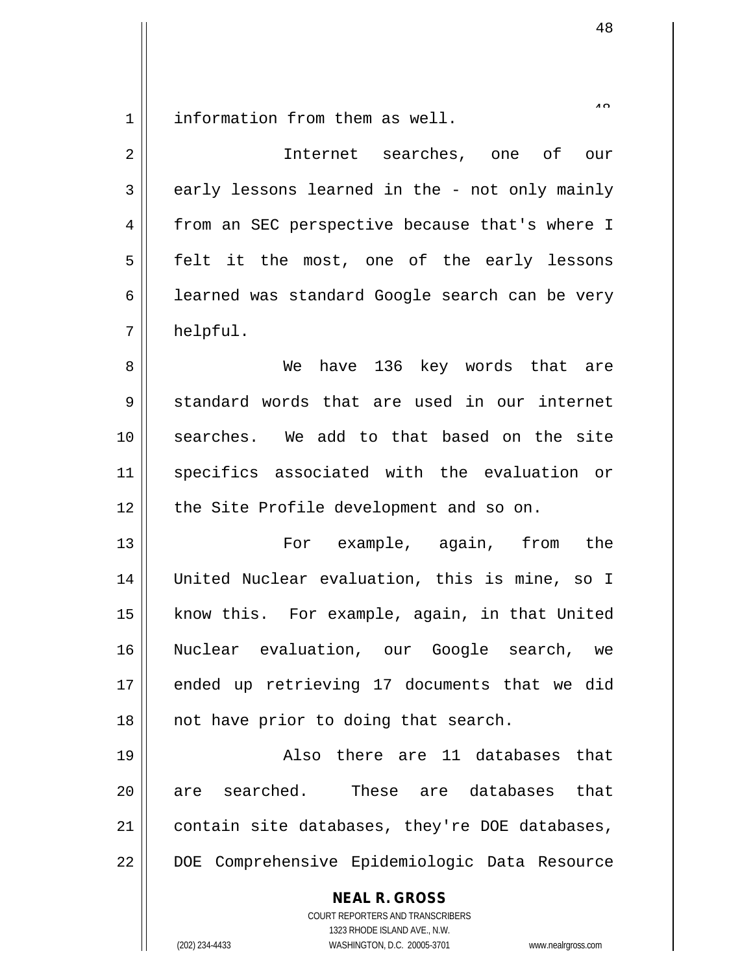information from them as well.

| 2  | Internet searches, one of our                                                                                                                                   |
|----|-----------------------------------------------------------------------------------------------------------------------------------------------------------------|
| 3  | early lessons learned in the - not only mainly                                                                                                                  |
| 4  | from an SEC perspective because that's where I                                                                                                                  |
| 5  | felt it the most, one of the early lessons                                                                                                                      |
| 6  | learned was standard Google search can be very                                                                                                                  |
| 7  | helpful.                                                                                                                                                        |
| 8  | have 136 key words that are<br>We                                                                                                                               |
| 9  | standard words that are used in our internet                                                                                                                    |
| 10 | searches. We add to that based on the site                                                                                                                      |
| 11 | specifics associated with the evaluation or                                                                                                                     |
| 12 | the Site Profile development and so on.                                                                                                                         |
| 13 | For example, again,<br>from<br>the                                                                                                                              |
| 14 | United Nuclear evaluation, this is mine, so I                                                                                                                   |
| 15 | know this. For example, again, in that United                                                                                                                   |
| 16 | Nuclear evaluation, our Google search, we                                                                                                                       |
| 17 | ended up retrieving 17 documents that we did                                                                                                                    |
| 18 | not have prior to doing that search.                                                                                                                            |
| 19 | Also there are 11 databases that                                                                                                                                |
| 20 | are searched. These are databases<br>that                                                                                                                       |
| 21 | contain site databases, they're DOE databases,                                                                                                                  |
| 22 | DOE Comprehensive Epidemiologic Data Resource                                                                                                                   |
|    | <b>NEAL R. GROSS</b><br>COURT REPORTERS AND TRANSCRIBERS<br>1323 RHODE ISLAND AVE., N.W.<br>(202) 234-4433<br>WASHINGTON, D.C. 20005-3701<br>www.nealrgross.com |

 $\lambda$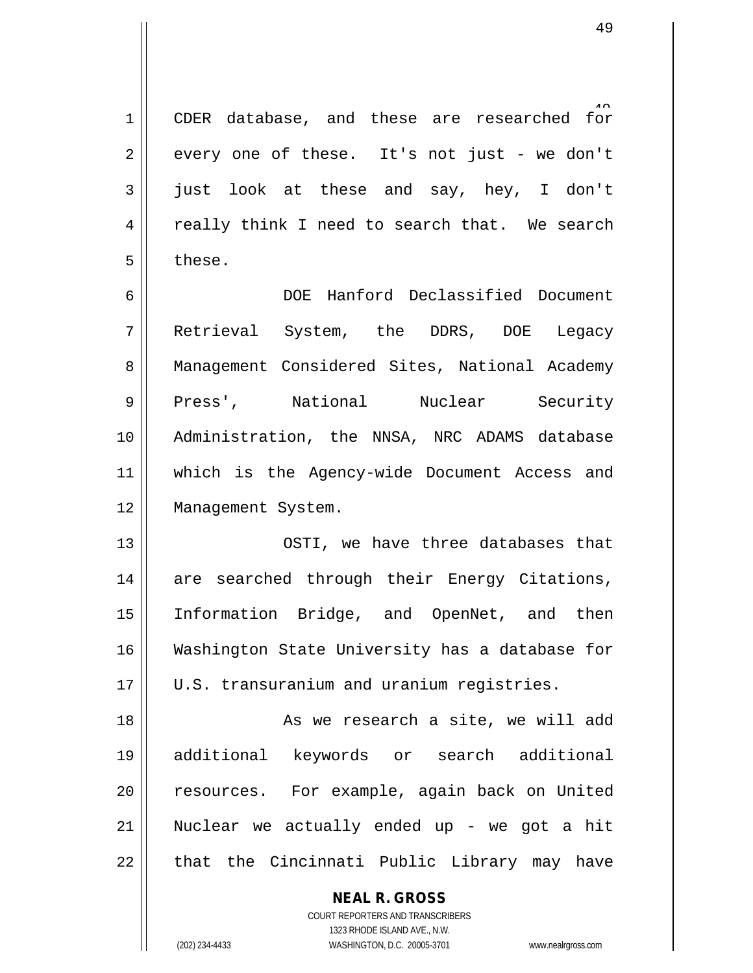1 || CDER database, and these are researched for  $2 \parallel$  every one of these. It's not just - we don't  $3 \parallel$  just look at these and say, hey, I don't  $4 \parallel$  really think I need to search that. We search  $5 \parallel$  these.

6 DOE Hanford Declassified Document 7 Retrieval System, the DDRS, DOE Legacy 8 || Management Considered Sites, National Academy 9 || Press', National Nuclear Security 10 || Administration, the NNSA, NRC ADAMS database 11 which is the Agency-wide Document Access and 12 || Management System.

13 OSTI, we have three databases that 14 || are searched through their Energy Citations, 15 Information Bridge, and OpenNet, and then 16 Washington State University has a database for 17 || U.S. transuranium and uranium registries.

18 || As we research a site, we will add 19 additional keywords or search additional 20 || resources. For example, again back on United 21 Nuclear we actually ended up - we got a hit  $22$  || that the Cincinnati Public Library may have

**NEAL R. GROSS**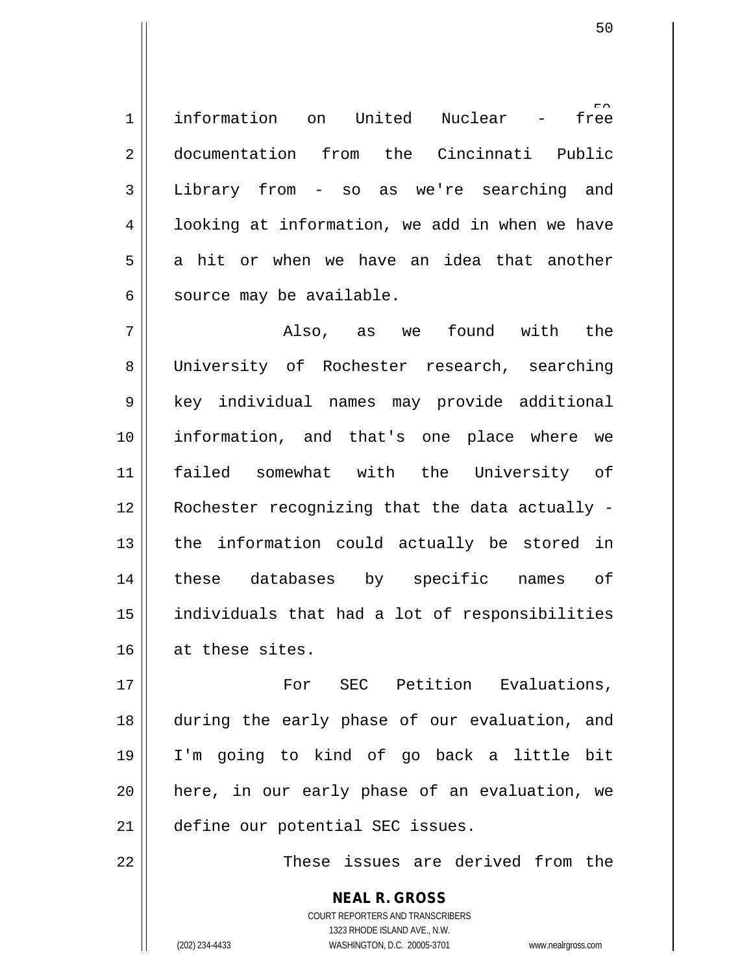free 1 || information on United Nuclear -2 documentation from the Cincinnati Public 3 Library from - so as we're searching and 4 | looking at information, we add in when we have  $5 \parallel$  a hit or when we have an idea that another  $6 \parallel$  source may be available.

7 Also, as we found with the 8 University of Rochester research, searching 9 || key individual names may provide additional 10 information, and that's one place where we 11 failed somewhat with the University of 12 | Rochester recognizing that the data actually - $13$  || the information could actually be stored in 14 || these databases by specific names of 15 individuals that had a lot of responsibilities 16 at these sites.

17 For SEC Petition Evaluations, 18 during the early phase of our evaluation, and 19 I'm going to kind of go back a little bit 20 || here, in our early phase of an evaluation, we 21 | define our potential SEC issues.

22 || These issues are derived from the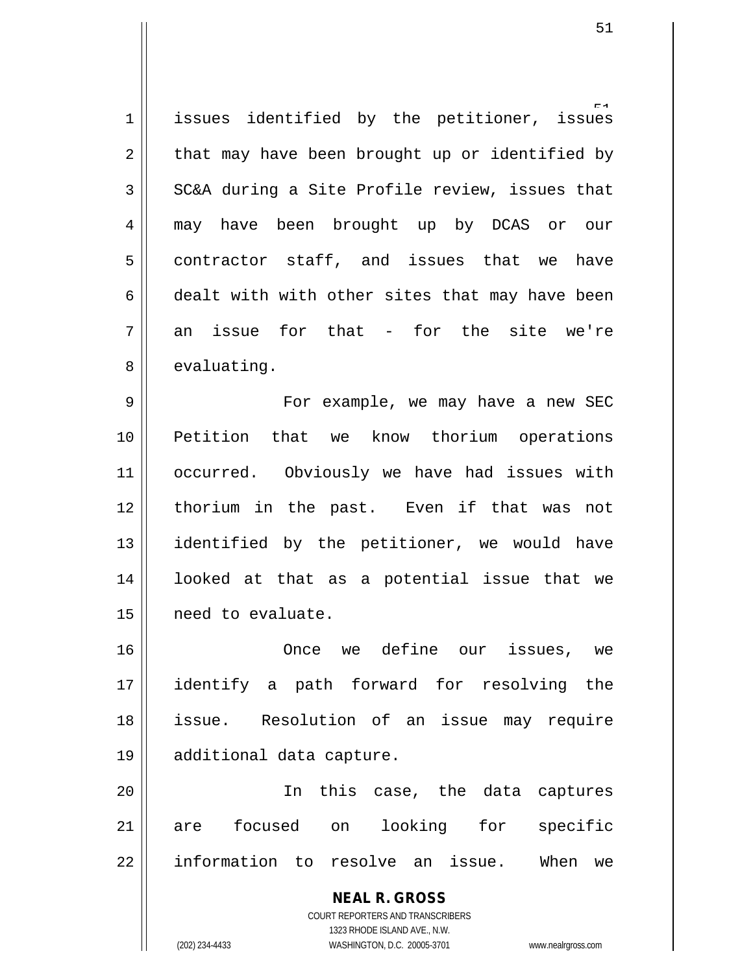issues  $1$  | issues identified by the petitioner,  $2 \parallel$  that may have been brought up or identified by  $3 \parallel$  SC&A during a Site Profile review, issues that 4 may have been brought up by DCAS or our  $5 \parallel$  contractor staff, and issues that we have  $6 \parallel$  dealt with with other sites that may have been  $7 \parallel$  an issue for that - for the site we're  $8 \parallel$  evaluating.

9 || For example, we may have a new SEC 10 Petition that we know thorium operations 11 | occurred. Obviously we have had issues with 12 thorium in the past. Even if that was not 13 identified by the petitioner, we would have 14 looked at that as a potential issue that we 15 need to evaluate.

 Once we define our issues, we identify a path forward for resolving the issue. Resolution of an issue may require additional data capture.

20 In this case, the data captures 21 are focused on looking for specific 22 || information to resolve an issue. When we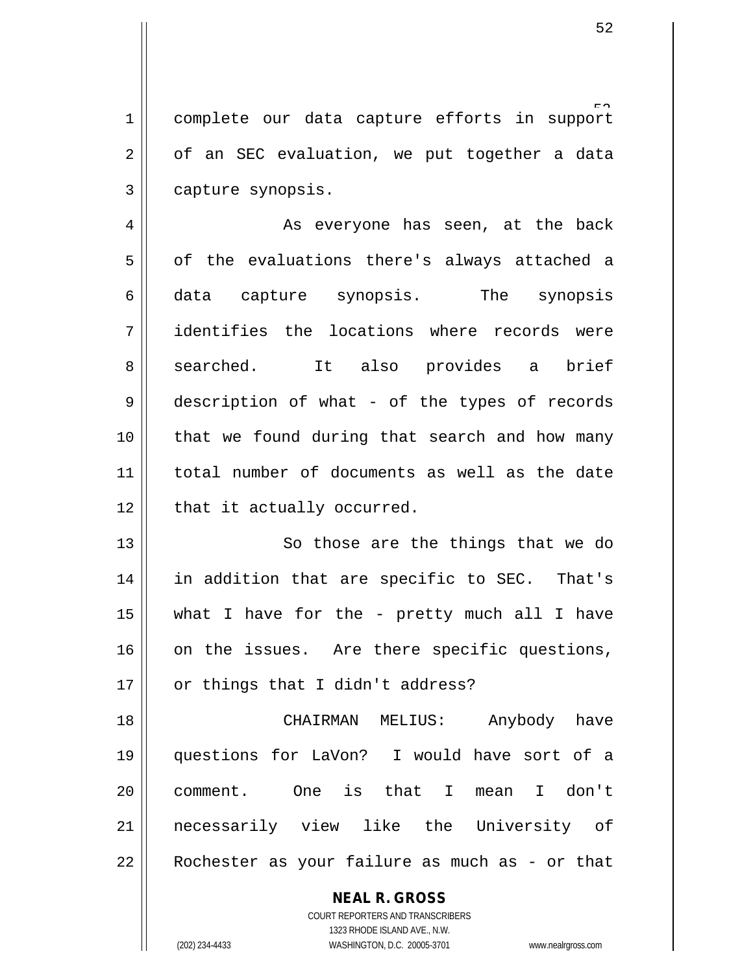1 complete our data capture efforts in support  $2 \parallel$  of an SEC evaluation, we put together a data 3 | capture synopsis.

4 || As everyone has seen, at the back  $5 \parallel$  of the evaluations there's always attached a 6 data capture synopsis. The synopsis 7 dentifies the locations where records were 8 || searched. It also provides a brief 9 description of what - of the types of records 10 || that we found during that search and how many 11 total number of documents as well as the date  $12$  | that it actually occurred.

13 || So those are the things that we do 14 || in addition that are specific to SEC. That's 15  $\parallel$  what I have for the - pretty much all I have  $16$  on the issues. Are there specific questions,  $17 \parallel$  or things that I didn't address?

 CHAIRMAN MELIUS: Anybody have questions for LaVon? I would have sort of a comment. One is that I mean I don't necessarily view like the University of || Rochester as your failure as much as - or that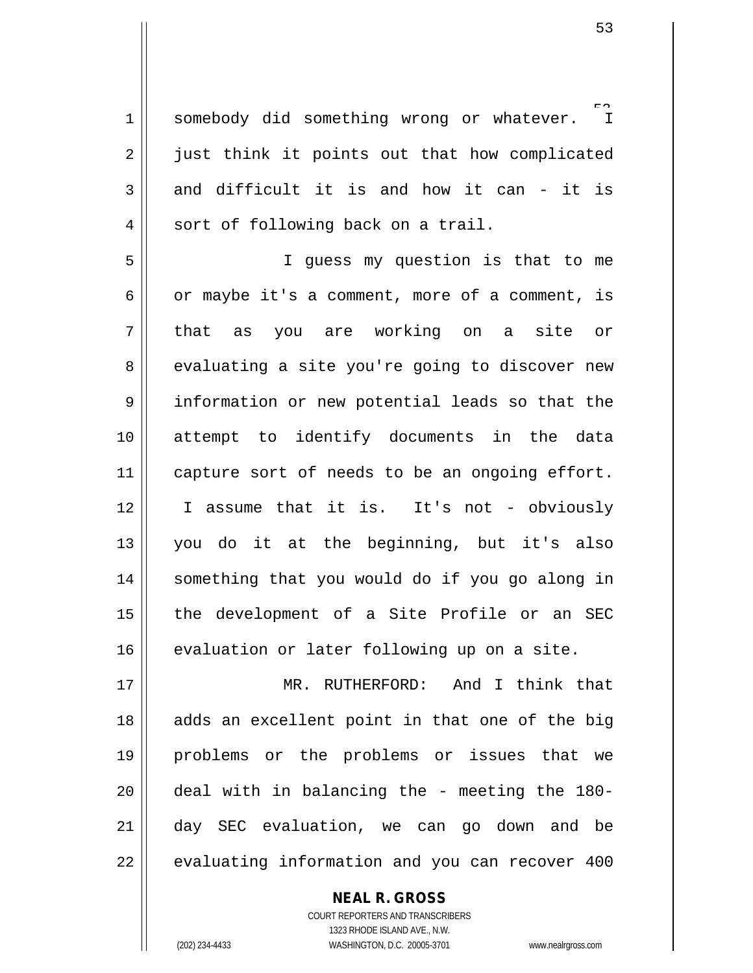$\Gamma$  $1$  somebody did something wrong or whatever. 2 || just think it points out that how complicated  $3 \parallel$  and difficult it is and how it can - it is 4 || sort of following back on a trail.

5 I guess my question is that to me  $6 \parallel$  or maybe it's a comment, more of a comment, is 7 that as you are working on a site or 8 || evaluating a site you're going to discover new 9 || information or new potential leads so that the 10 attempt to identify documents in the data 11 | capture sort of needs to be an ongoing effort. 12 I assume that it is. It's not - obviously 13 you do it at the beginning, but it's also 14 || something that you would do if you go along in 15 || the development of a Site Profile or an SEC 16 || evaluation or later following up on a site.

 MR. RUTHERFORD: And I think that || adds an excellent point in that one of the big problems or the problems or issues that we || deal with in balancing the - meeting the 180- day SEC evaluation, we can go down and be  $\vert$  evaluating information and you can recover 400

> COURT REPORTERS AND TRANSCRIBERS 1323 RHODE ISLAND AVE., N.W. (202) 234-4433 WASHINGTON, D.C. 20005-3701 www.nealrgross.com

**NEAL R. GROSS**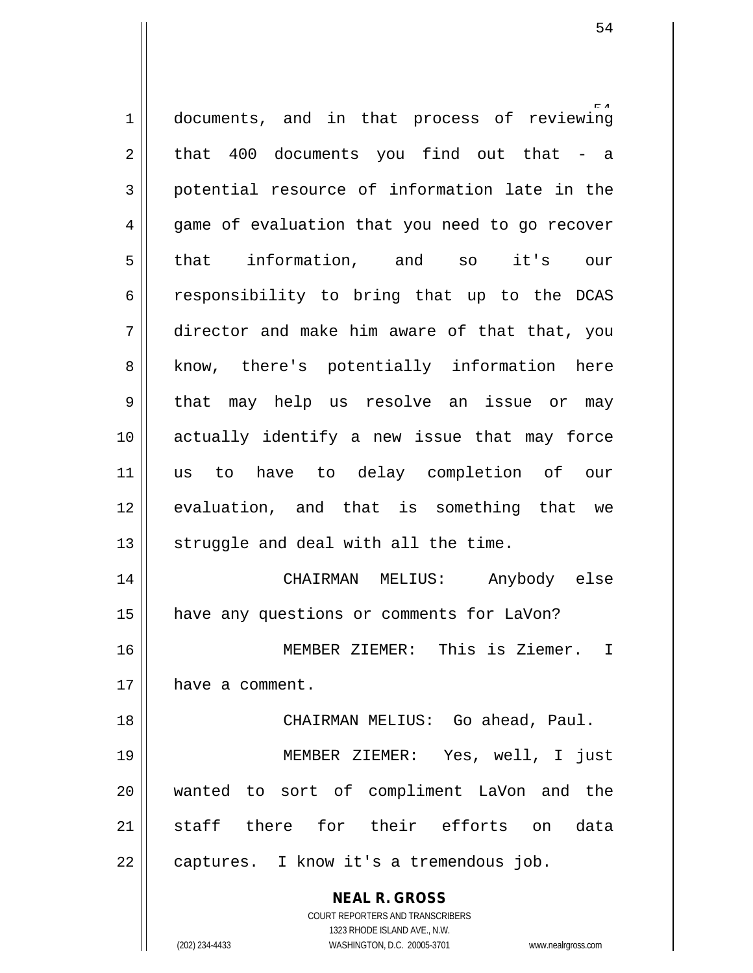**NEAL R. GROSS** 1 documents, and in that process of reviewing  $2 \parallel$  that 400 documents you find out that - a 3 potential resource of information late in the 4 || game of evaluation that you need to go recover 5 that information, and so it's our  $6 \parallel$  responsibility to bring that up to the DCAS 7 director and make him aware of that that, you 8 || know, there's potentially information here 9 that may help us resolve an issue or may 10 actually identify a new issue that may force 11 us to have to delay completion of our 12 || evaluation, and that is something that we  $13$   $\parallel$  struggle and deal with all the time. 14 CHAIRMAN MELIUS: Anybody else 15 | have any questions or comments for LaVon? 16 MEMBER ZIEMER: This is Ziemer. I 17 | have a comment. 18 CHAIRMAN MELIUS: Go ahead, Paul. 19 MEMBER ZIEMER: Yes, well, I just 20 wanted to sort of compliment LaVon and the 21 staff there for their efforts on data 22 | captures. I know it's a tremendous job.

1323 RHODE ISLAND AVE., N.W.

COURT REPORTERS AND TRANSCRIBERS

(202) 234-4433 WASHINGTON, D.C. 20005-3701 www.nealrgross.com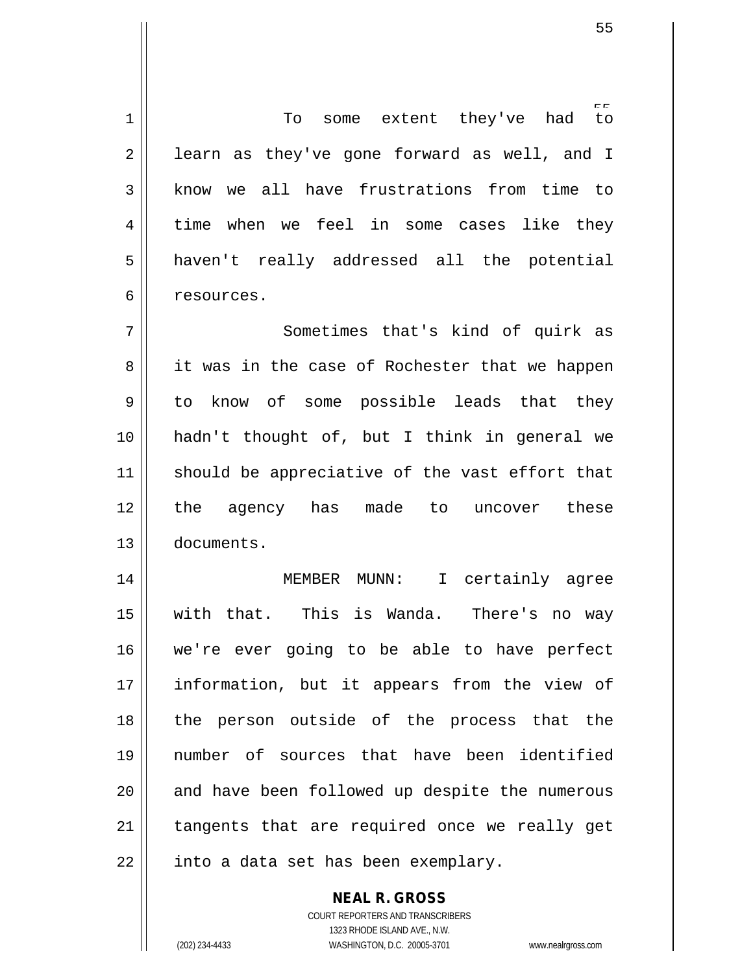$t_{\Omega}$   $\parallel$  To some extent they've had  $2 \parallel$  learn as they've gone forward as well, and I 3 || know we all have frustrations from time to 4 time when we feel in some cases like they haven't really addressed all the potential 6 | resources. Sometimes that's kind of quirk as 8 it was in the case of Rochester that we happen to know of some possible leads that they hadn't thought of, but I think in general we should be appreciative of the vast effort that the agency has made to uncover these documents. MEMBER MUNN: I certainly agree with that. This is Wanda. There's no way we're ever going to be able to have perfect 17 || information, but it appears from the view of 18 || the person outside of the process that the number of sources that have been identified 20 || and have been followed up despite the numerous | tangents that are required once we really get || into a data set has been exemplary.

> **NEAL R. GROSS** COURT REPORTERS AND TRANSCRIBERS 1323 RHODE ISLAND AVE., N.W.

(202) 234-4433 WASHINGTON, D.C. 20005-3701 www.nealrgross.com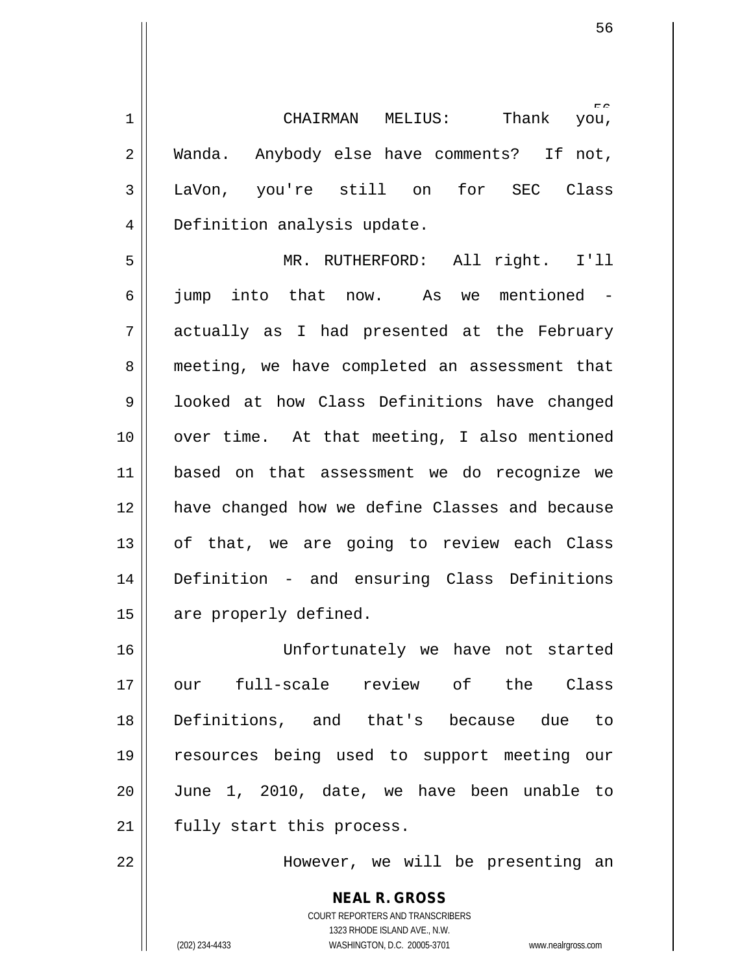rr<br>vou, 1 CHAIRMAN MELIUS: Thank you, 2 || Wanda. Anybody else have comments? If not, 3 LaVon, you're still on for SEC Class 4 | Definition analysis update.

5 MR. RUTHERFORD: All right. I'll 6 || jump into that now. As we mentioned - $7 \parallel$  actually as I had presented at the February 8 || meeting, we have completed an assessment that 9 | looked at how Class Definitions have changed 10 || over time. At that meeting, I also mentioned 11 based on that assessment we do recognize we 12 || have changed how we define Classes and because  $13$  of that, we are going to review each Class 14 Definition - and ensuring Class Definitions 15 | are properly defined.

 Unfortunately we have not started our full-scale review of the Class Definitions, and that's because due to resources being used to support meeting our June 1, 2010, date, we have been unable to 21 || fully start this process.

22 However, we will be presenting an

**NEAL R. GROSS** COURT REPORTERS AND TRANSCRIBERS 1323 RHODE ISLAND AVE., N.W. (202) 234-4433 WASHINGTON, D.C. 20005-3701 www.nealrgross.com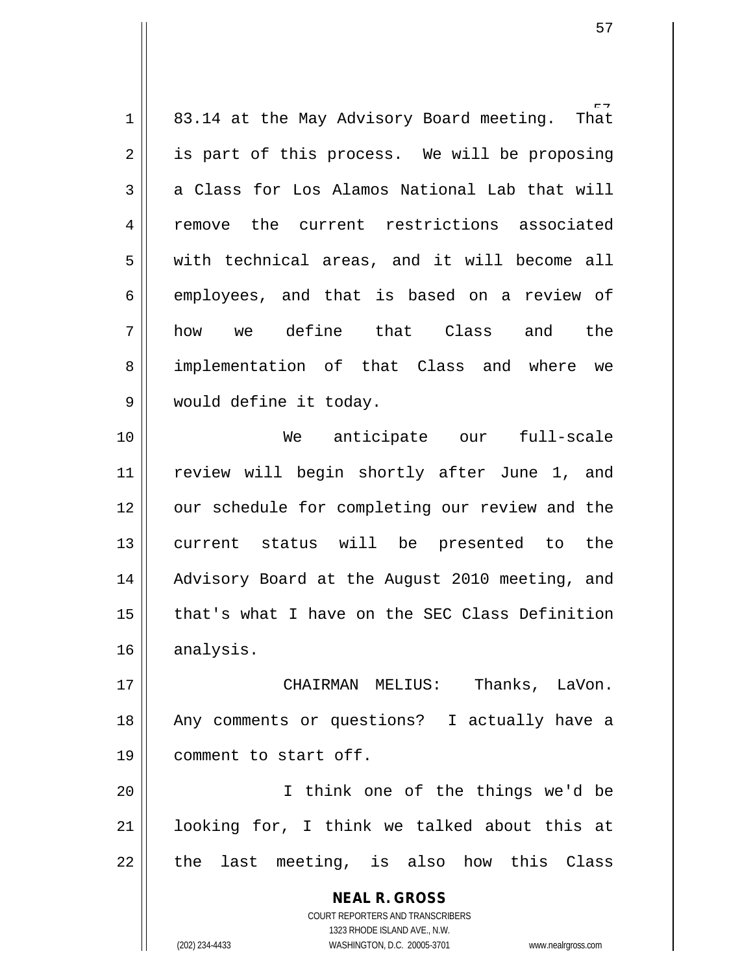| $\mathbf 1$    | 83.14 at the May Advisory Board meeting.<br>That                    |
|----------------|---------------------------------------------------------------------|
| $\overline{2}$ | is part of this process. We will be proposing                       |
| 3              | a Class for Los Alamos National Lab that will                       |
| $\overline{4}$ | remove the current restrictions associated                          |
| 5              | with technical areas, and it will become all                        |
| 6              | employees, and that is based on a review of                         |
| 7              | we define that Class<br>and the<br>how                              |
| 8              | implementation of that Class and where we                           |
| 9              | would define it today.                                              |
| 10             | We anticipate our<br>full-scale                                     |
| 11             | review will begin shortly after June 1, and                         |
| 12             | our schedule for completing our review and the                      |
| 13             | current status will be presented to the                             |
| 14             | Advisory Board at the August 2010 meeting, and                      |
| 15             | that's what I have on the SEC Class Definition                      |
| 16             | analysis.                                                           |
| 17             | CHAIRMAN MELIUS: Thanks, LaVon.                                     |
| 18             | Any comments or questions? I actually have a                        |
| 19             | comment to start off.                                               |
| 20             | I think one of the things we'd be                                   |
| 21             | looking for, I think we talked about this at                        |
| 22             | the last meeting, is also how this Class                            |
|                |                                                                     |
|                | <b>NEAL R. GROSS</b>                                                |
|                | COURT REPORTERS AND TRANSCRIBERS<br>1323 RHODE ISLAND AVE., N.W.    |
|                | (202) 234-4433<br>WASHINGTON, D.C. 20005-3701<br>www.nealrgross.com |

 $\mathsf{I}$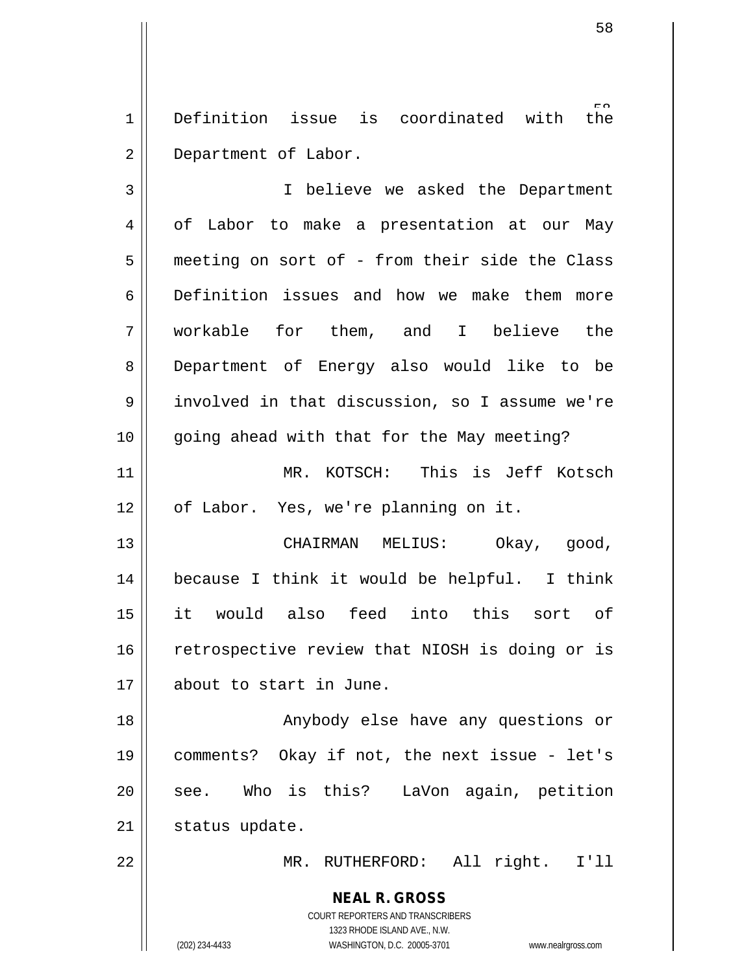$\overline{t}h$ e  $1$  Definition issue is coordinated with 2 Department of Labor.

**NEAL R. GROSS** 3 || I believe we asked the Department 4 of Labor to make a presentation at our May 5 | meeting on sort of - from their side the Class 6 Definition issues and how we make them more 7 workable for them, and I believe the 8 Department of Energy also would like to be 9 involved in that discussion, so I assume we're 10 || going ahead with that for the May meeting? 11 MR. KOTSCH: This is Jeff Kotsch 12 | of Labor. Yes, we're planning on it. 13 CHAIRMAN MELIUS: Okay, good, 14 because I think it would be helpful. I think 15 it would also feed into this sort of 16 || retrospective review that NIOSH is doing or is 17 about to start in June. 18 || Anybody else have any questions or 19 comments? Okay if not, the next issue - let's 20 || see. Who is this? LaVon again, petition 21 | status update. 22 MR. RUTHERFORD: All right. I'll

> COURT REPORTERS AND TRANSCRIBERS 1323 RHODE ISLAND AVE., N.W.

(202) 234-4433 WASHINGTON, D.C. 20005-3701 www.nealrgross.com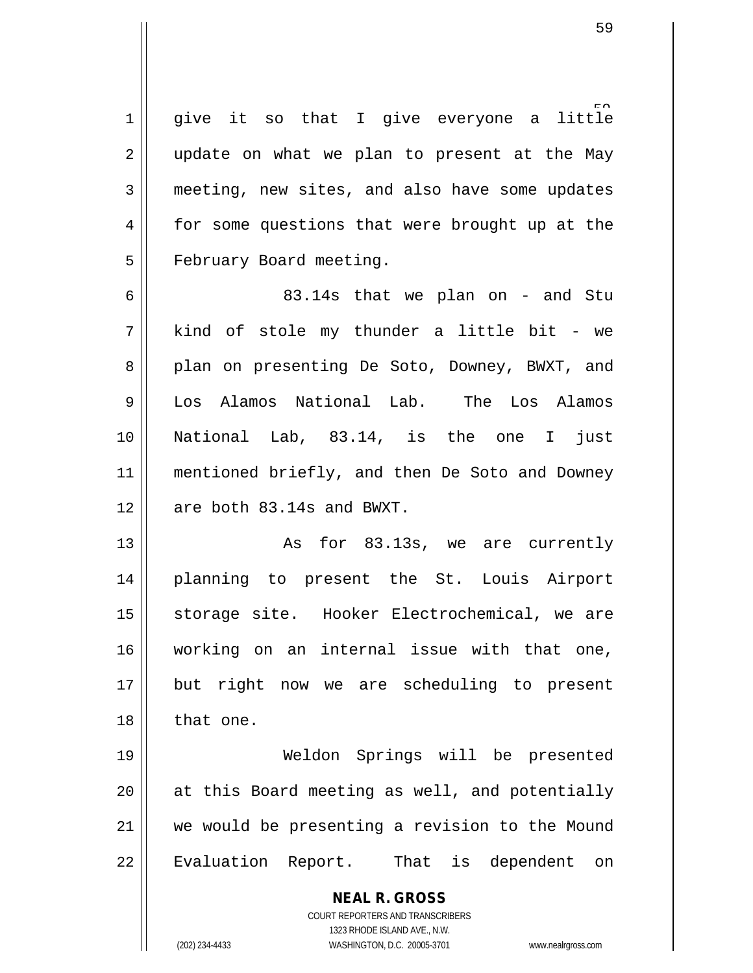1 give it so that I give everyone a little 2 || update on what we plan to present at the May 3 meeting, new sites, and also have some updates 4 for some questions that were brought up at the 5 | February Board meeting.

 $6 \parallel$  83.14s that we plan on - and Stu 7 kind of stole my thunder a little bit - we 8 || plan on presenting De Soto, Downey, BWXT, and 9 Los Alamos National Lab. The Los Alamos 10 National Lab, 83.14, is the one I just 11 || mentioned briefly, and then De Soto and Downey 12  $\parallel$  are both 83.14s and BWXT.

13 || As for 83.13s, we are currently 14 planning to present the St. Louis Airport 15 || storage site. Hooker Electrochemical, we are 16 working on an internal issue with that one, 17 || but right now we are scheduling to present 18 || that one.

 Weldon Springs will be presented || at this Board meeting as well, and potentially we would be presenting a revision to the Mound 22 || Evaluation Report. That is dependent on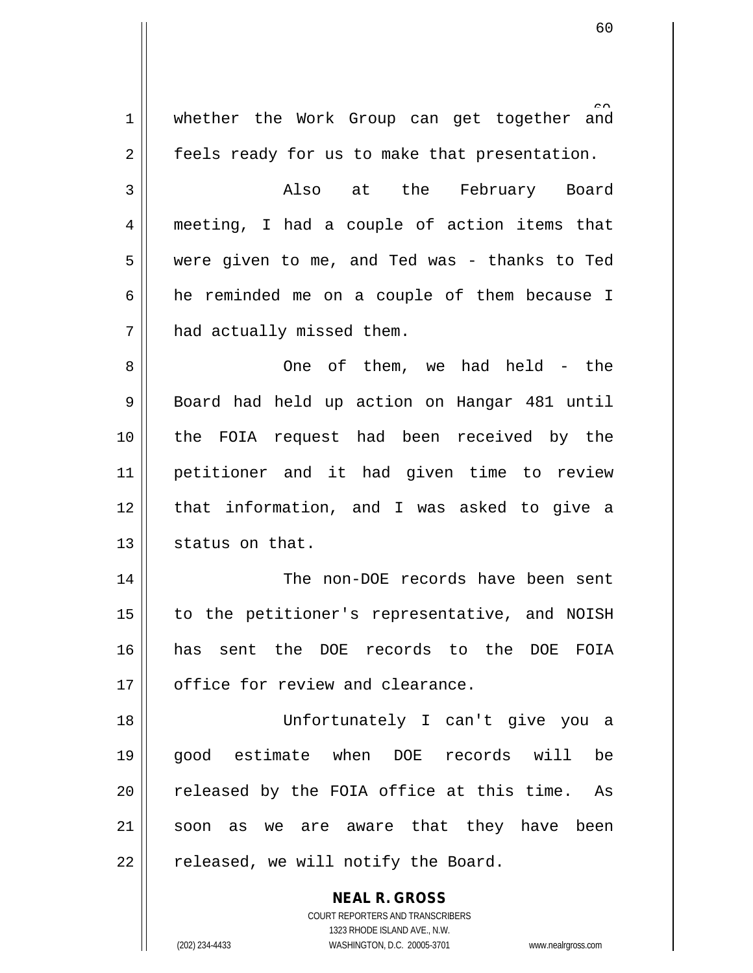**NEAL R. GROSS** COURT REPORTERS AND TRANSCRIBERS 1323 RHODE ISLAND AVE., N.W. 1 whether the Work Group can get together and  $2 \parallel$  feels ready for us to make that presentation. 3 Also at the February Board 4 meeting, I had a couple of action items that 5 were given to me, and Ted was - thanks to Ted  $6$  he reminded me on a couple of them because I 7 | had actually missed them. 8 One of them, we had held - the 9 Board had held up action on Hangar 481 until 10 the FOIA request had been received by the 11 petitioner and it had given time to review 12 || that information, and I was asked to give a 13 | status on that. 14 The non-DOE records have been sent 15 to the petitioner's representative, and NOISH 16 has sent the DOE records to the DOE FOIA 17 | office for review and clearance. 18 Unfortunately I can't give you a 19 good estimate when DOE records will be  $20$  || released by the FOIA office at this time. As 21 || soon as we are aware that they have been  $22$  | released, we will notify the Board.

(202) 234-4433 WASHINGTON, D.C. 20005-3701 www.nealrgross.com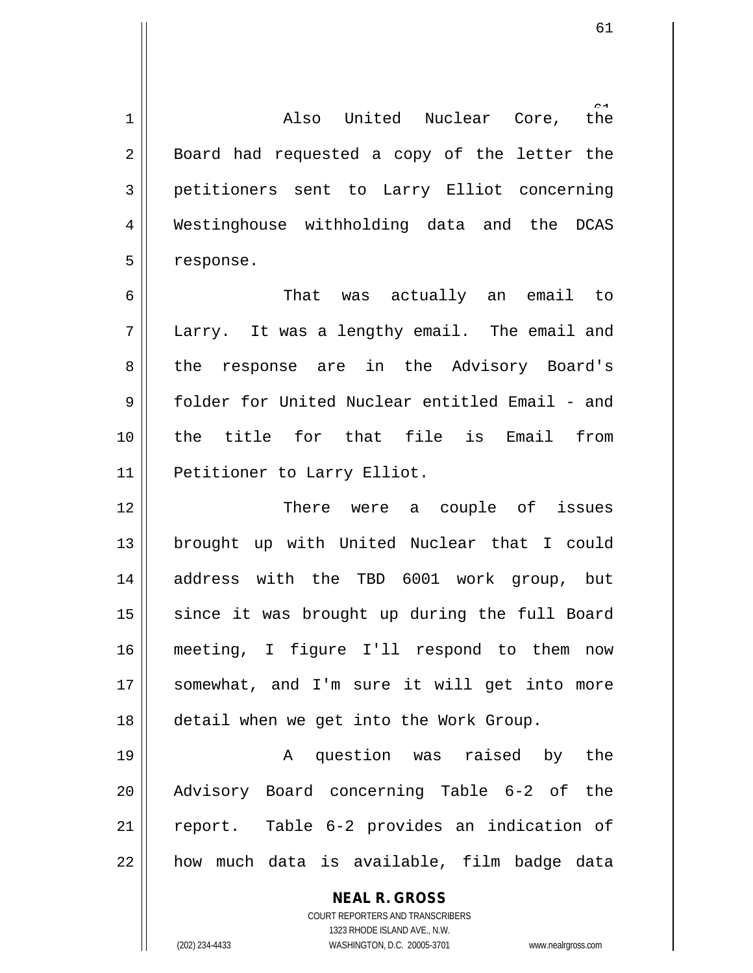the 1 Also United Nuclear Core, the  $2 \parallel$  Board had requested a copy of the letter the 3 petitioners sent to Larry Elliot concerning 4 Westinghouse withholding data and the DCAS 5 | response.

6 That was actually an email to 7 Larry. It was a lengthy email. The email and 8 the response are in the Advisory Board's 9 Folder for United Nuclear entitled Email - and 10 the title for that file is Email from 11 | Petitioner to Larry Elliot.

 There were a couple of issues 13 || brought up with United Nuclear that I could address with the TBD 6001 work group, but since it was brought up during the full Board meeting, I figure I'll respond to them now 17 || somewhat, and I'm sure it will get into more detail when we get into the Work Group.

 A question was raised by the Advisory Board concerning Table 6-2 of the report. Table 6-2 provides an indication of || how much data is available, film badge data

> **NEAL R. GROSS** COURT REPORTERS AND TRANSCRIBERS

1323 RHODE ISLAND AVE., N.W. (202) 234-4433 WASHINGTON, D.C. 20005-3701 www.nealrgross.com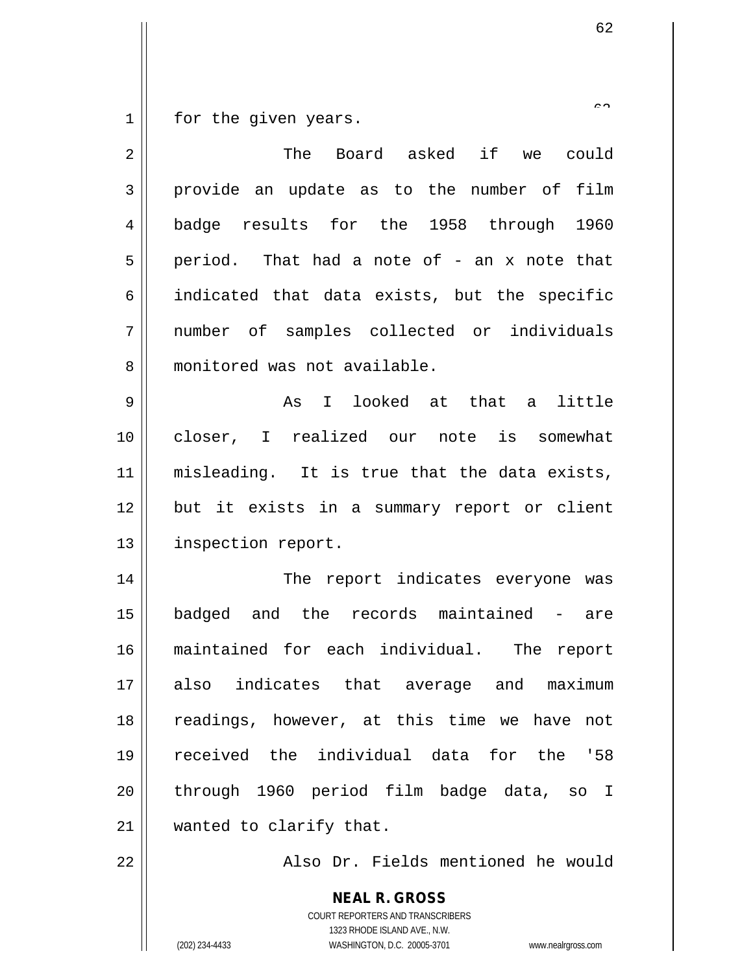$1 \parallel$  for the given years.

| $\overline{2}$ | The Board asked if<br>we could                |
|----------------|-----------------------------------------------|
| 3              | provide an update as to the number of film    |
| 4              | badge results for the 1958 through<br>1960    |
| 5              | period. That had a note of - an x note that   |
| 6              | indicated that data exists, but the specific  |
| 7              | number of samples collected or individuals    |
| 8              | monitored was not available.                  |
| 9              | I looked at that a<br>little<br>As            |
| 10             | closer, I realized our<br>note is somewhat    |
| 11             | misleading. It is true that the data exists,  |
| 12             | but it exists in a summary report or client   |
| 13             | inspection report.                            |
| 14             | The report indicates everyone was             |
| 15             | badged and the records maintained - are       |
| 16             | maintained for each individual. The<br>report |
| 17             | also indicates that average and maximum       |
| 18             | readings, however, at this time we have not   |
| 19             | received the individual data for the '58      |
| 20             | through 1960 period film badge data, so I     |
| 21             | wanted to clarify that.                       |
| 22             | Also Dr. Fields mentioned he would            |
|                | <b>NEAL R. GROSS</b>                          |

1323 RHODE ISLAND AVE., N.W. (202) 234-4433 WASHINGTON, D.C. 20005-3701 www.nealrgross.com

COURT REPORTERS AND TRANSCRIBERS

 $\overline{\phantom{a}}$  <br>  $\overline{\phantom{a}}$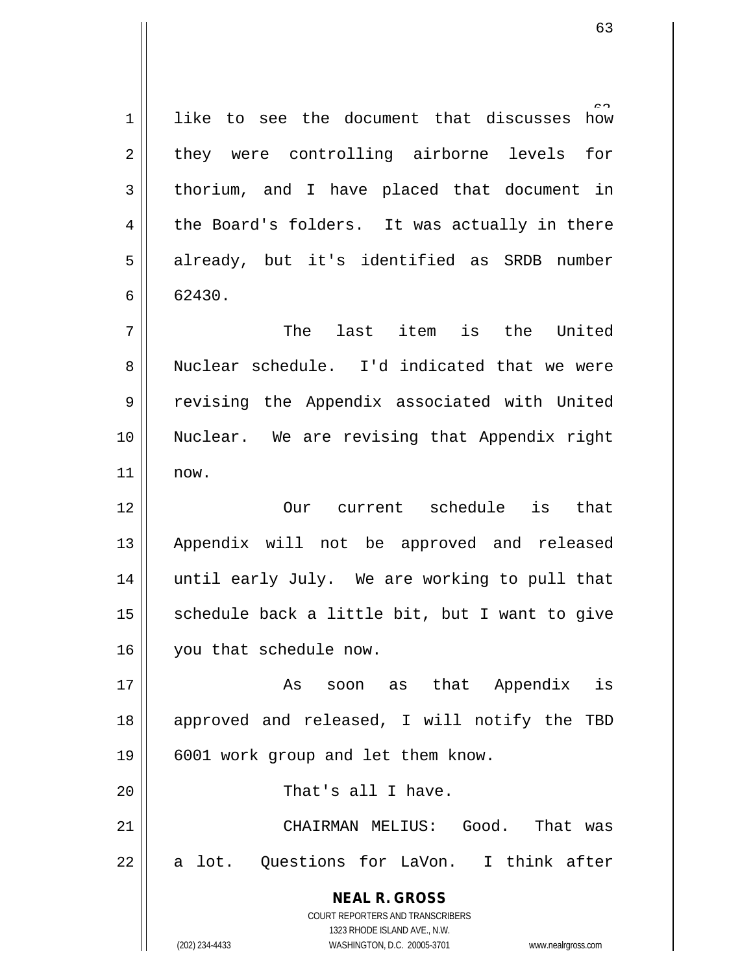1 || like to see the document that discusses how 2 they were controlling airborne levels for  $3 \parallel$  thorium, and I have placed that document in  $4 \parallel$  the Board's folders. It was actually in there 5 || already, but it's identified as SRDB number  $6 \parallel 62430.$ 7 The last item is the United

8 Nuclear schedule. I'd indicated that we were 9 || revising the Appendix associated with United 10 Nuclear. We are revising that Appendix right 11 now.

12 Our current schedule is that 13 || Appendix will not be approved and released 14 || until early July. We are working to pull that 15  $\parallel$  schedule back a little bit, but I want to give 16 | you that schedule now.

17 || As soon as that Appendix is 18 || approved and released, I will notify the TBD 19 || 6001 work group and let them know.

20 || That's all I have.

21 CHAIRMAN MELIUS: Good. That was  $22 \parallel$  a lot. Questions for LaVon. I think after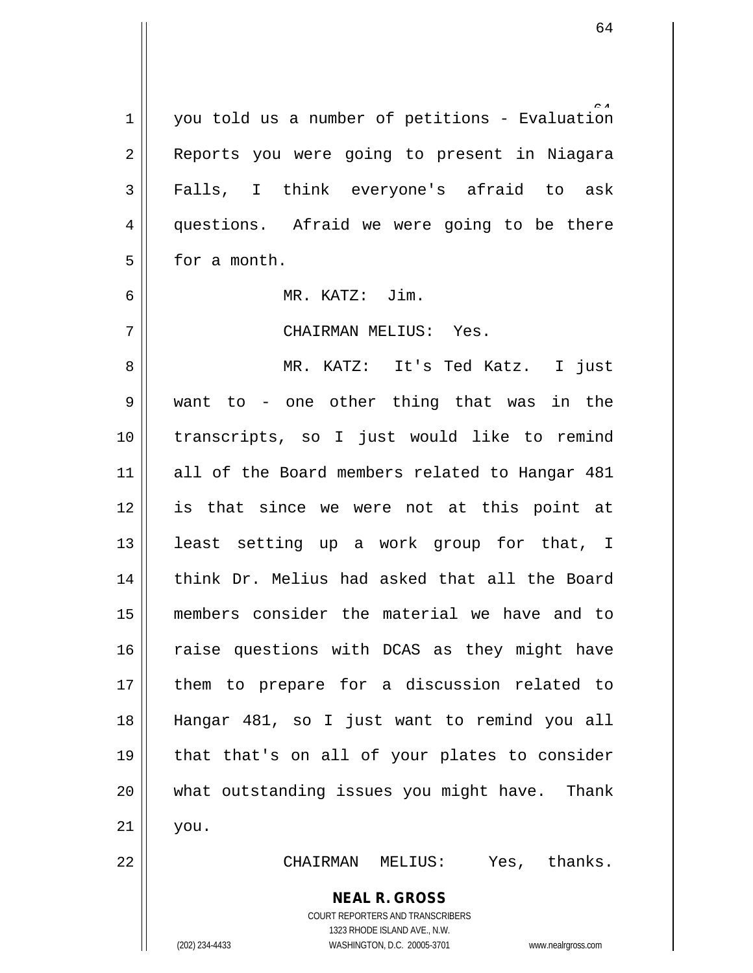1 you told us a number of petitions - Evaluation 2 || Reports you were going to present in Niagara 3 Falls, I think everyone's afraid to ask 4 || questions. Afraid we were going to be there 5 **b** for a month.

6 MR. KATZ: Jim.

7 CHAIRMAN MELIUS: Yes.

8 || MR. KATZ: It's Ted Katz. I just want to - one other thing that was in the transcripts, so I just would like to remind 11 || all of the Board members related to Hangar 481 is that since we were not at this point at least setting up a work group for that, I 14 || think Dr. Melius had asked that all the Board members consider the material we have and to 16 || raise questions with DCAS as they might have them to prepare for a discussion related to Hangar 481, so I just want to remind you all that that's on all of your plates to consider what outstanding issues you might have. Thank  $21$  you.

22 CHAIRMAN MELIUS: Yes, thanks.

**NEAL R. GROSS**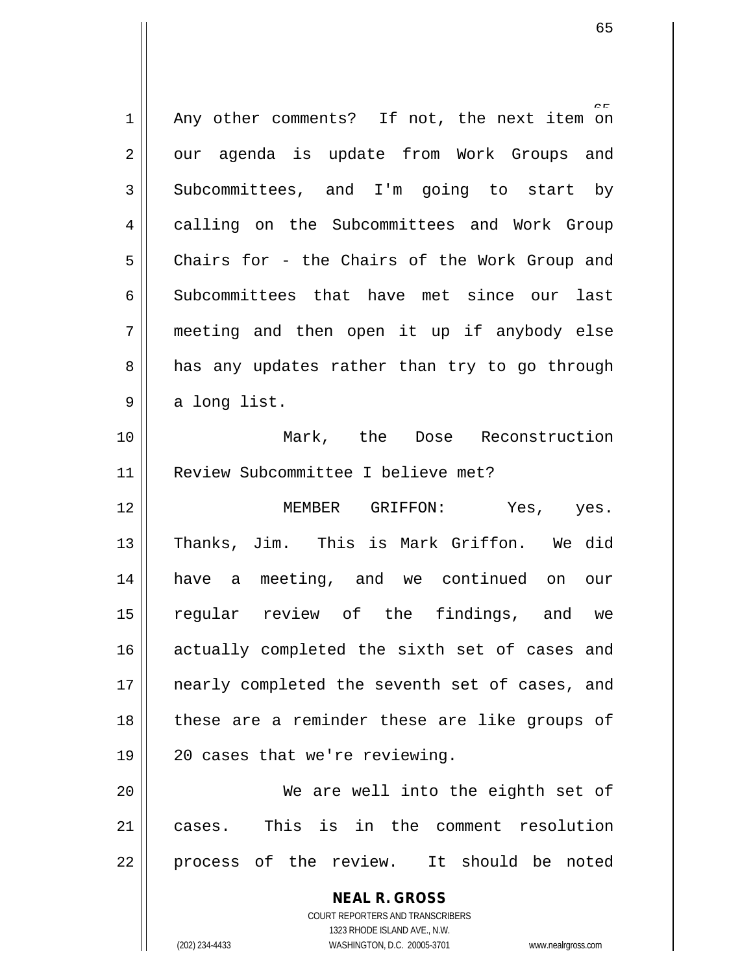| 1  | Any other comments? If not, the next item on   |
|----|------------------------------------------------|
| 2  | our agenda is update from Work Groups and      |
| 3  | Subcommittees, and I'm going to start by       |
| 4  | calling on the Subcommittees and Work Group    |
| 5  | Chairs for - the Chairs of the Work Group and  |
| 6  | Subcommittees that have met since our last     |
| 7  | meeting and then open it up if anybody else    |
| 8  | has any updates rather than try to go through  |
| 9  | a long list.                                   |
| 10 | Mark, the Dose Reconstruction                  |
| 11 | Review Subcommittee I believe met?             |
| 12 | MEMBER GRIFFON:<br>Yes, yes.                   |
| 13 | Thanks, Jim. This is Mark Griffon. We did      |
| 14 | have a meeting, and we continued on our        |
| 15 | regular review of the findings, and we         |
| 16 | actually completed the sixth set of cases and  |
| 17 | nearly completed the seventh set of cases, and |
| 18 | these are a reminder these are like groups of  |
| 19 | 20 cases that we're reviewing.                 |
| 20 | We are well into the eighth set of             |
| 21 | This is in the comment resolution<br>cases.    |
| 22 | process of the review. It should be noted      |
|    | <b>NEAL R. GROSS</b>                           |

COURT REPORTERS AND TRANSCRIBERS 1323 RHODE ISLAND AVE., N.W.

 $\mathsf{II}$ 

(202) 234-4433 WASHINGTON, D.C. 20005-3701 www.nealrgross.com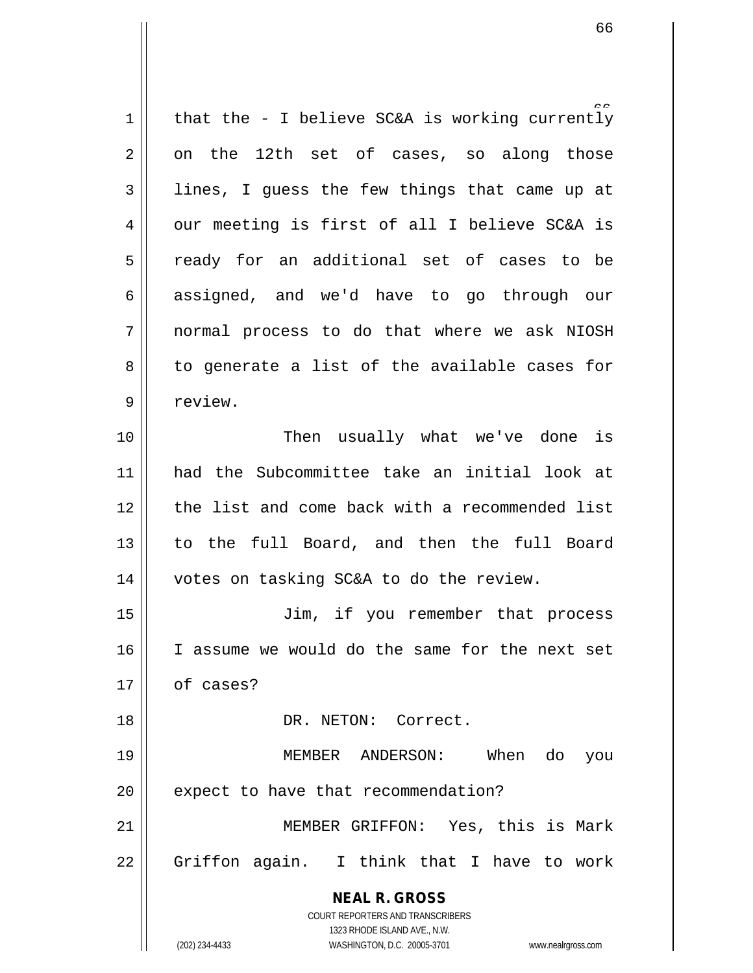**NEAL R. GROSS** COURT REPORTERS AND TRANSCRIBERS 1323 RHODE ISLAND AVE., N.W. (202) 234-4433 WASHINGTON, D.C. 20005-3701 www.nealrgross.com 1 | that the - I believe SC&A is working currently  $2 \parallel$  on the 12th set of cases, so along those  $3 \parallel$  lines, I guess the few things that came up at  $4 \parallel$  our meeting is first of all I believe SC&A is 5 || ready for an additional set of cases to be 6 assigned, and we'd have to go through our 7 normal process to do that where we ask NIOSH  $8 \parallel$  to generate a list of the available cases for 9 || review. 10 || Then usually what we've done is 11 had the Subcommittee take an initial look at 12 || the list and come back with a recommended list 13 || to the full Board, and then the full Board 14 || votes on tasking SC&A to do the review. 15 Jim, if you remember that process 16 I assume we would do the same for the next set 17 of cases? 18 DR. NETON: Correct. 19 MEMBER ANDERSON: When do you  $20$  | expect to have that recommendation? 21 MEMBER GRIFFON: Yes, this is Mark  $22 \parallel$  Griffon again. I think that I have to work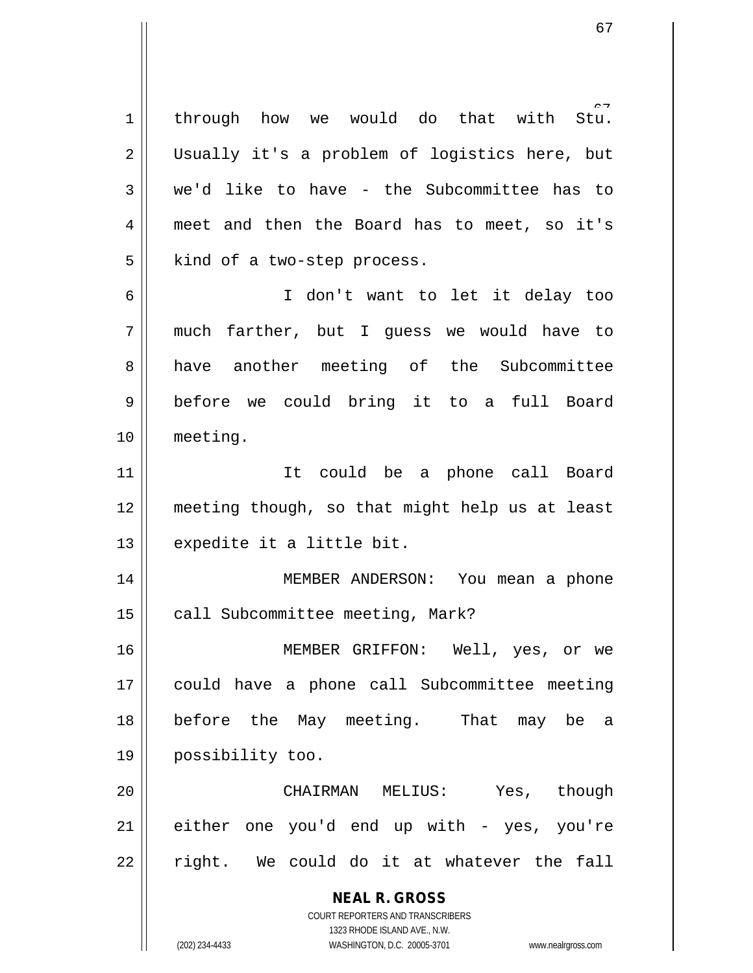**NEAL R. GROSS** COURT REPORTERS AND TRANSCRIBERS Stu. through how we would do that with 2 Usually it's a problem of logistics here, but  $3 \parallel$  we'd like to have - the Subcommittee has to meet and then the Board has to meet, so it's | kind of a two-step process. I don't want to let it delay too much farther, but I guess we would have to 8 have another meeting of the Subcommittee before we could bring it to a full Board meeting. It could be a phone call Board meeting though, so that might help us at least 13 || expedite it a little bit. MEMBER ANDERSON: You mean a phone 15 | call Subcommittee meeting, Mark? MEMBER GRIFFON: Well, yes, or we could have a phone call Subcommittee meeting before the May meeting. That may be a possibility too. CHAIRMAN MELIUS: Yes, though either one you'd end up with - yes, you're  $22 \parallel$  right. We could do it at whatever the fall

(202) 234-4433 WASHINGTON, D.C. 20005-3701 www.nealrgross.com

1323 RHODE ISLAND AVE., N.W.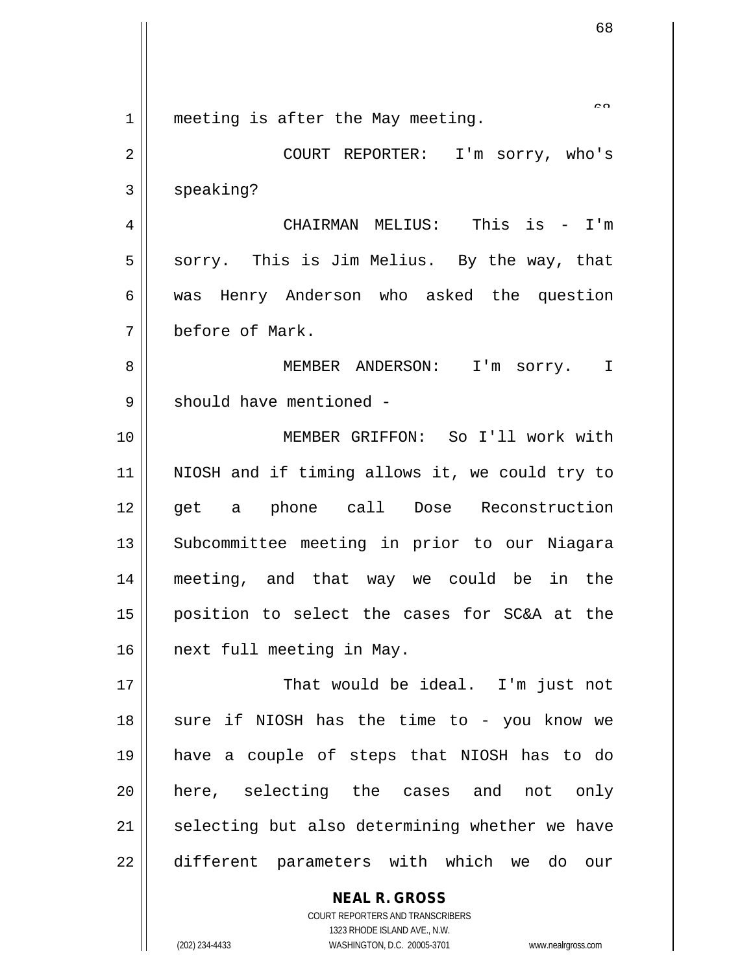**NEAL R. GROSS**  $\sim$ 1 || meeting is after the May meeting. 2 COURT REPORTER: I'm sorry, who's  $3 \parallel$  speaking? 4 CHAIRMAN MELIUS: This is - I'm  $5 \parallel$  sorry. This is Jim Melius. By the way, that 6 was Henry Anderson who asked the question 7 before of Mark. 8 MEMBER ANDERSON: I'm sorry. I 9 || should have mentioned -10 MEMBER GRIFFON: So I'll work with 11 NIOSH and if timing allows it, we could try to 12 || get a phone call Dose Reconstruction 13 || Subcommittee meeting in prior to our Niagara 14 meeting, and that way we could be in the 15 position to select the cases for SC&A at the 16 | next full meeting in May. 17 That would be ideal. I'm just not  $18$  || sure if NIOSH has the time to - you know we 19 have a couple of steps that NIOSH has to do 20 || here, selecting the cases and not only  $21$  selecting but also determining whether we have 22 different parameters with which we do our

> COURT REPORTERS AND TRANSCRIBERS 1323 RHODE ISLAND AVE., N.W.

(202) 234-4433 WASHINGTON, D.C. 20005-3701 www.nealrgross.com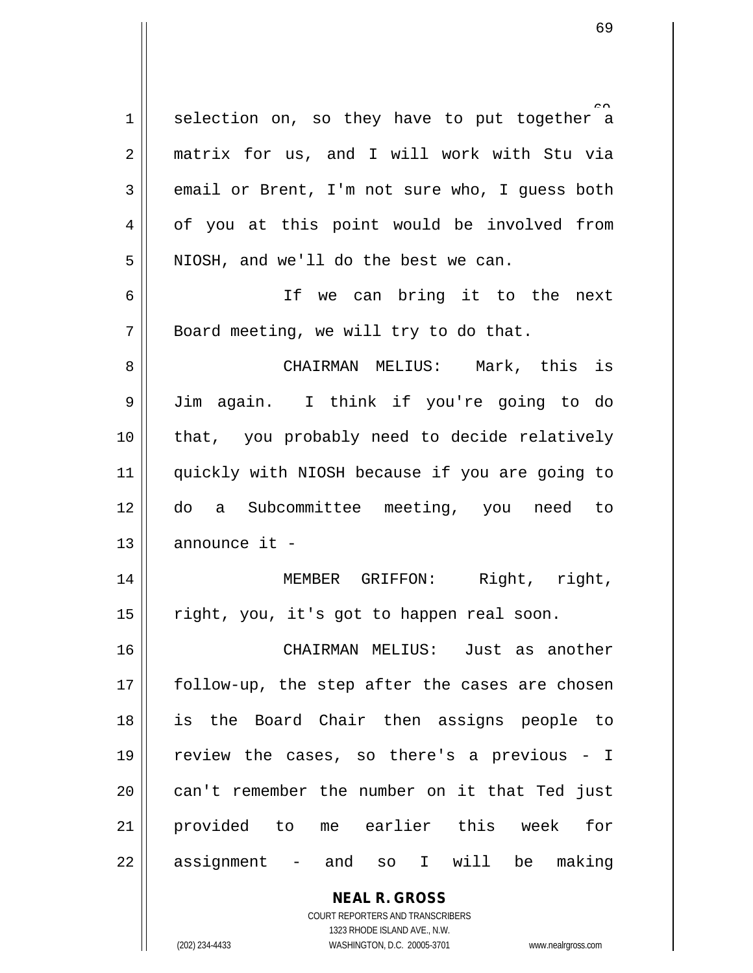$1$  selection on, so they have to put together a 2 matrix for us, and I will work with Stu via  $3 \parallel$  email or Brent, I'm not sure who, I quess both 4 | of you at this point would be involved from 5 || NIOSH, and we'll do the best we can. 6 || Tf we can bring it to the next  $7 \parallel$  Board meeting, we will try to do that. 8 CHAIRMAN MELIUS: Mark, this is 9 Jim again. I think if you're going to do 10 that, you probably need to decide relatively 11 quickly with NIOSH because if you are going to 12 do a Subcommittee meeting, you need to

14 || MEMBER GRIFFON: Right, right, 15 | right, you, it's got to happen real soon.

 CHAIRMAN MELIUS: Just as another || follow-up, the step after the cases are chosen is the Board Chair then assigns people to  $\parallel$  review the cases, so there's a previous - I || can't remember the number on it that Ted just provided to me earlier this week for  $22 \parallel$  assignment - and so I will be making

> **NEAL R. GROSS** COURT REPORTERS AND TRANSCRIBERS 1323 RHODE ISLAND AVE., N.W.

 $13$  | announce it -

(202) 234-4433 WASHINGTON, D.C. 20005-3701 www.nealrgross.com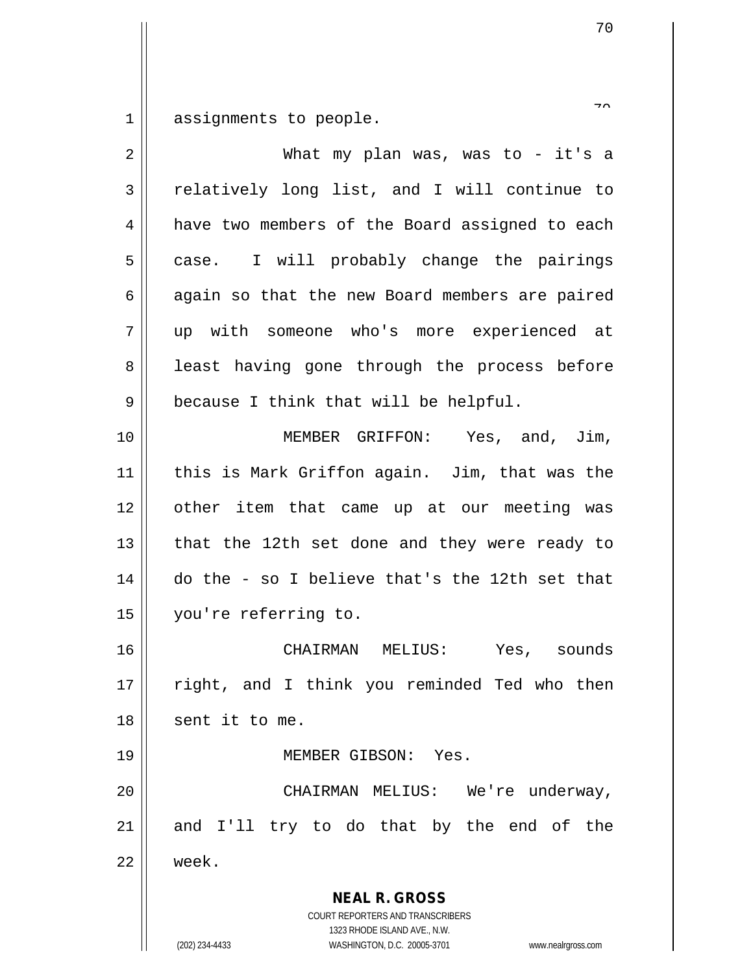assignments to people.

| $\overline{2}$ | What my plan was, was to $-$ it's a                                                                                                                             |
|----------------|-----------------------------------------------------------------------------------------------------------------------------------------------------------------|
| 3              | relatively long list, and I will continue to                                                                                                                    |
| 4              | have two members of the Board assigned to each                                                                                                                  |
| 5              | case. I will probably change the pairings                                                                                                                       |
| 6              | again so that the new Board members are paired                                                                                                                  |
| 7              | up with someone who's more experienced at                                                                                                                       |
| 8              | least having gone through the process before                                                                                                                    |
| 9              | because I think that will be helpful.                                                                                                                           |
| 10             | MEMBER GRIFFON: Yes, and, Jim,                                                                                                                                  |
| 11             | this is Mark Griffon again. Jim, that was the                                                                                                                   |
| 12             | other item that came up at our meeting was                                                                                                                      |
| 13             | that the 12th set done and they were ready to                                                                                                                   |
| 14             | do the - so I believe that's the 12th set that                                                                                                                  |
| 15             | you're referring to.                                                                                                                                            |
| 16             | CHAIRMAN MELIUS: Yes, sounds                                                                                                                                    |
| 17             | right, and I think you reminded Ted who then                                                                                                                    |
| 18             | sent it to me.                                                                                                                                                  |
| 19             | MEMBER GIBSON: Yes.                                                                                                                                             |
| 20             | CHAIRMAN MELIUS: We're underway,                                                                                                                                |
| 21             | and I'll try to do that by the end of the                                                                                                                       |
| 22             | week.                                                                                                                                                           |
|                | <b>NEAL R. GROSS</b><br>COURT REPORTERS AND TRANSCRIBERS<br>1323 RHODE ISLAND AVE., N.W.<br>WASHINGTON, D.C. 20005-3701<br>(202) 234-4433<br>www.nealrgross.com |

 $\overline{a}$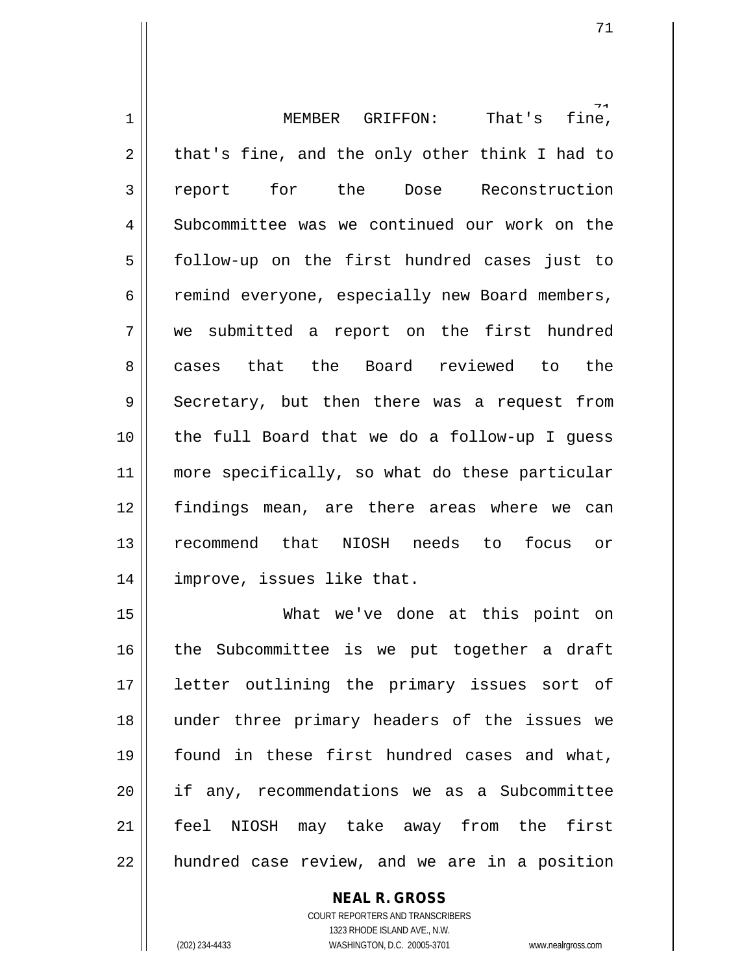fine, 1 MEMBER GRIFFON: That's fine,  $2 \parallel$  that's fine, and the only other think I had to 3 report for the Dose Reconstruction 4 Subcommittee was we continued our work on the 5 || follow-up on the first hundred cases just to 6 remind everyone, especially new Board members, 7 we submitted a report on the first hundred 8 asses that the Board reviewed to the  $9 \parallel$  Secretary, but then there was a request from 10 the full Board that we do a follow-up I guess 11 || more specifically, so what do these particular 12 findings mean, are there areas where we can 13 recommend that NIOSH needs to focus or 14 improve, issues like that.

 What we've done at this point on 16 || the Subcommittee is we put together a draft letter outlining the primary issues sort of under three primary headers of the issues we found in these first hundred cases and what, if any, recommendations we as a Subcommittee feel NIOSH may take away from the first | hundred case review, and we are in a position

> **NEAL R. GROSS** COURT REPORTERS AND TRANSCRIBERS 1323 RHODE ISLAND AVE., N.W.

(202) 234-4433 WASHINGTON, D.C. 20005-3701 www.nealrgross.com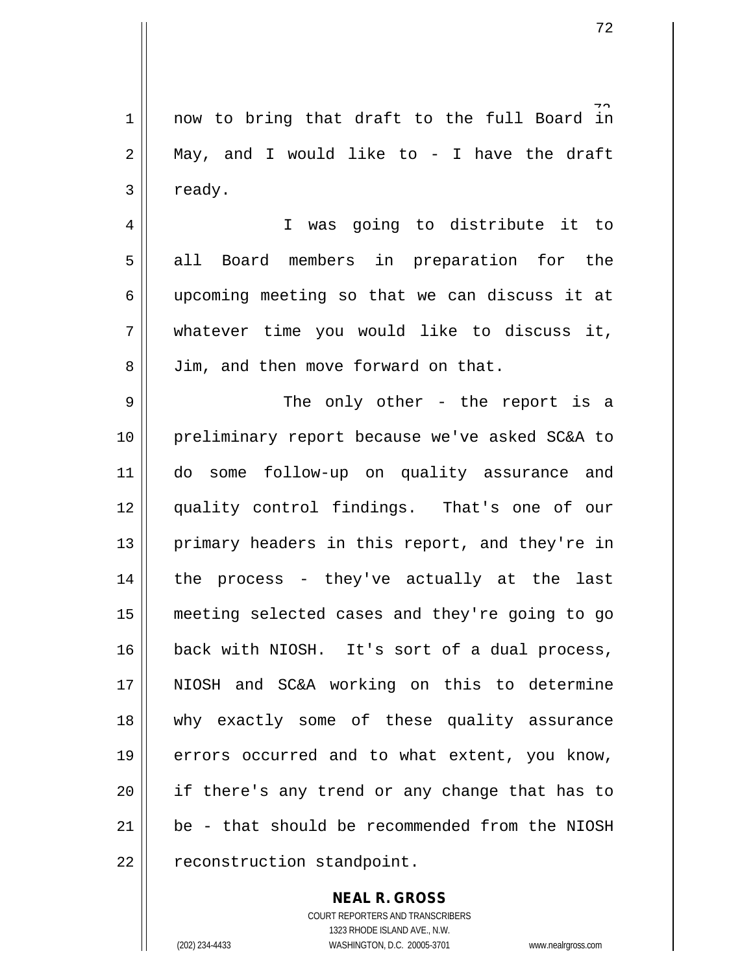1 now to bring that draft to the full Board in  $2 \parallel$  May, and I would like to - I have the draft  $3 \parallel$  ready.

4 I was going to distribute it to 5 || all Board members in preparation for the 6 upcoming meeting so that we can discuss it at 7 whatever time you would like to discuss it, 8 || Jim, and then move forward on that.

 The only other - the report is a preliminary report because we've asked SC&A to do some follow-up on quality assurance and quality control findings. That's one of our 13 || primary headers in this report, and they're in | the process - they've actually at the last meeting selected cases and they're going to go 16 back with NIOSH. It's sort of a dual process, NIOSH and SC&A working on this to determine why exactly some of these quality assurance errors occurred and to what extent, you know, 20 || if there's any trend or any change that has to  $\parallel$  be - that should be recommended from the NIOSH 22 | reconstruction standpoint.

## **NEAL R. GROSS**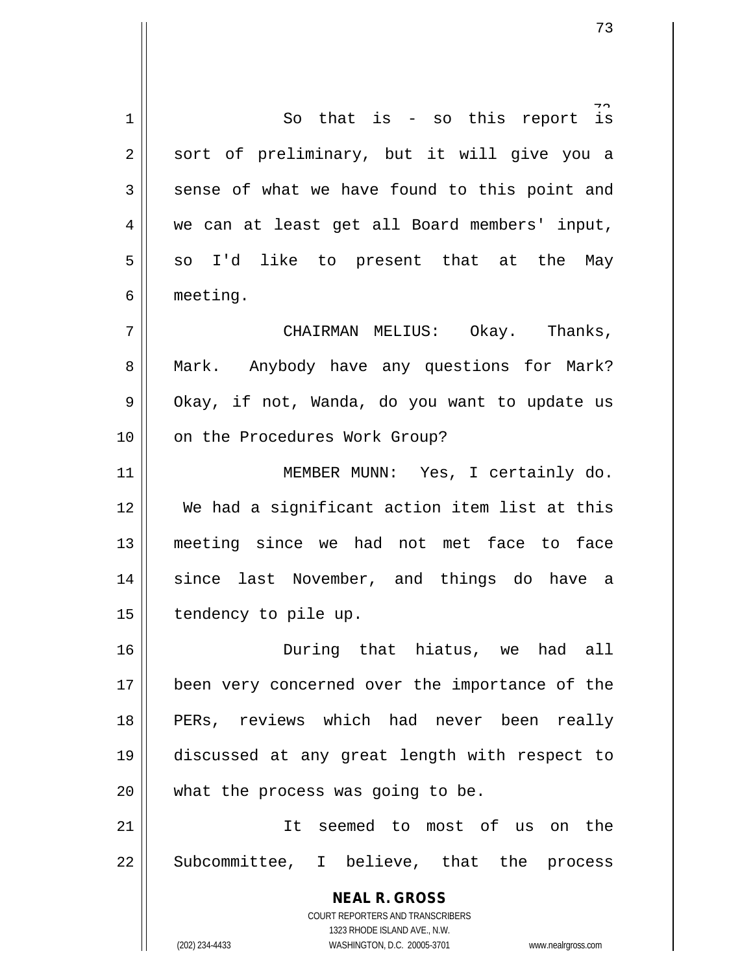**NEAL R. GROSS** COURT REPORTERS AND TRANSCRIBERS 1323 RHODE ISLAND AVE., N.W. (202) 234-4433 WASHINGTON, D.C. 20005-3701 www.nealrgross.com 1 So that is - so this report is 2 || sort of preliminary, but it will give you a  $3 \parallel$  sense of what we have found to this point and 4 we can at least get all Board members' input,  $5 \parallel$  so I'd like to present that at the May 6 meeting. 7 CHAIRMAN MELIUS: Okay. Thanks, 8 || Mark. Anybody have any questions for Mark?  $9 \parallel$  Okay, if not, Wanda, do you want to update us 10 || on the Procedures Work Group? 11 || MEMBER MUNN: Yes, I certainly do. 12 We had a significant action item list at this 13 meeting since we had not met face to face 14 since last November, and things do have a 15 | tendency to pile up. 16 During that hiatus, we had all 17 || been very concerned over the importance of the 18 || PERs, reviews which had never been really 19 discussed at any great length with respect to 20 || what the process was going to be. 21 It seemed to most of us on the 22 || Subcommittee, I believe, that the process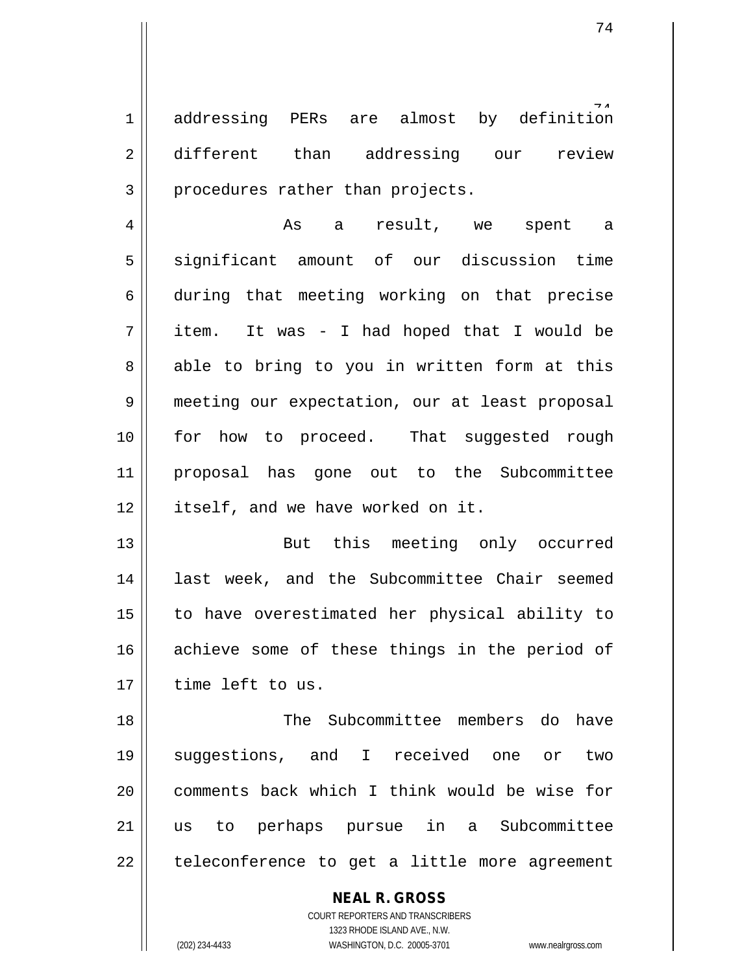definition  $1$  addressing PERs are almost by 2 different than addressing our review  $3$  | procedures rather than projects.

4 As a result, we spent a 5 significant amount of our discussion time 6 during that meeting working on that precise  $7 \parallel$  item. It was - I had hoped that I would be  $8 \parallel$  able to bring to you in written form at this 9 meeting our expectation, our at least proposal 10 for how to proceed. That suggested rough 11 proposal has gone out to the Subcommittee 12 | itself, and we have worked on it.

13 But this meeting only occurred 14 || last week, and the Subcommittee Chair seemed 15 to have overestimated her physical ability to 16 achieve some of these things in the period of 17 l time left to us.

 The Subcommittee members do have suggestions, and I received one or two comments back which I think would be wise for us to perhaps pursue in a Subcommittee || teleconference to get a little more agreement

> **NEAL R. GROSS** COURT REPORTERS AND TRANSCRIBERS 1323 RHODE ISLAND AVE., N.W. (202) 234-4433 WASHINGTON, D.C. 20005-3701 www.nealrgross.com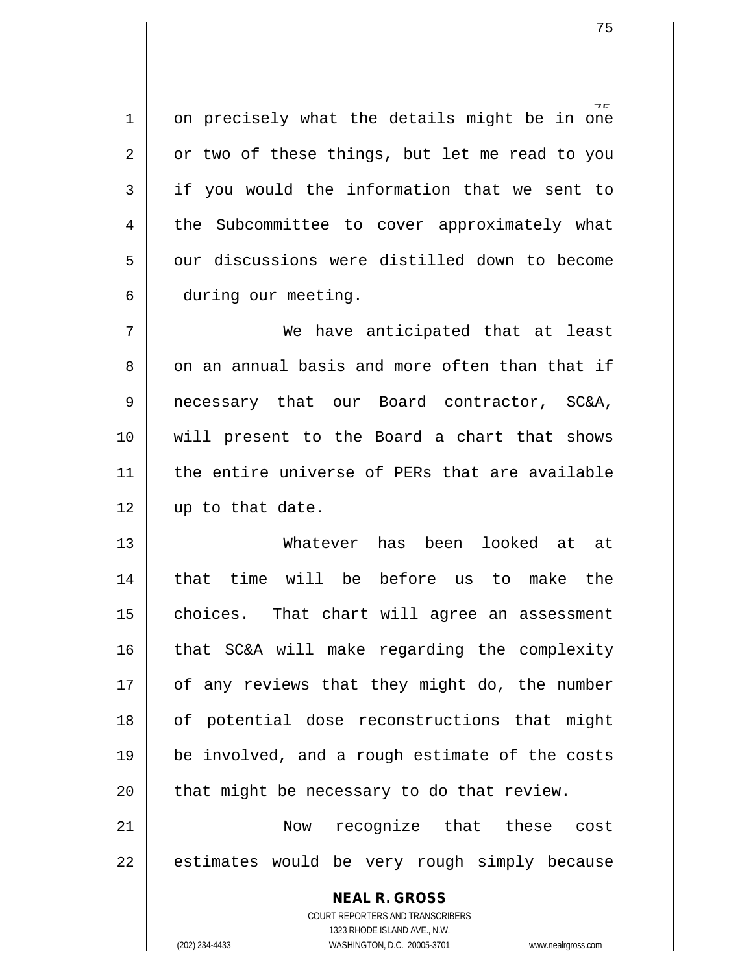1 || on precisely what the details might be in one  $2 \parallel$  or two of these things, but let me read to you  $3 \parallel$  if you would the information that we sent to 4 | the Subcommittee to cover approximately what 5 | our discussions were distilled down to become 6 during our meeting.

7 We have anticipated that at least 8 on an annual basis and more often than that if 9 || necessary that our Board contractor, SC&A, 10 will present to the Board a chart that shows 11 || the entire universe of PERs that are available  $12$  || up to that date.

 Whatever has been looked at at 14 || that time will be before us to make the choices. That chart will agree an assessment that SC&A will make regarding the complexity | of any reviews that they might do, the number 18 || of potential dose reconstructions that might  $19 \parallel$  be involved, and a rough estimate of the costs | that might be necessary to do that review.

21 Now recognize that these cost  $22$  || estimates would be very rough simply because

**NEAL R. GROSS**

COURT REPORTERS AND TRANSCRIBERS 1323 RHODE ISLAND AVE., N.W. (202) 234-4433 WASHINGTON, D.C. 20005-3701 www.nealrgross.com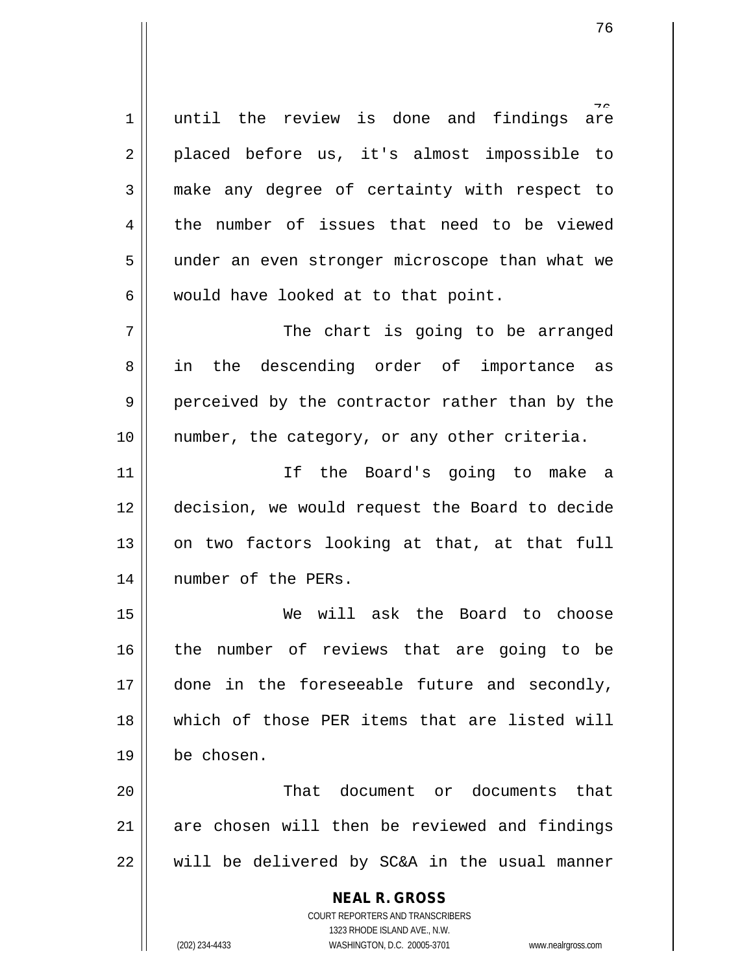1 || until the review is done and findings are 2 || placed before us, it's almost impossible to 3 make any degree of certainty with respect to 4 the number of issues that need to be viewed 5 || under an even stronger microscope than what we  $6 \parallel$  would have looked at to that point.

7 The chart is going to be arranged 8 || in the descending order of importance as 9 perceived by the contractor rather than by the 10 || number, the category, or any other criteria.

 If the Board's going to make a decision, we would request the Board to decide on two factors looking at that, at that full 14 || number of the PERs.

 We will ask the Board to choose the number of reviews that are going to be done in the foreseeable future and secondly, which of those PER items that are listed will be chosen.

20 That document or documents that 21 are chosen will then be reviewed and findings  $22$   $\parallel$  will be delivered by SC&A in the usual manner

> **NEAL R. GROSS** COURT REPORTERS AND TRANSCRIBERS 1323 RHODE ISLAND AVE., N.W. (202) 234-4433 WASHINGTON, D.C. 20005-3701 www.nealrgross.com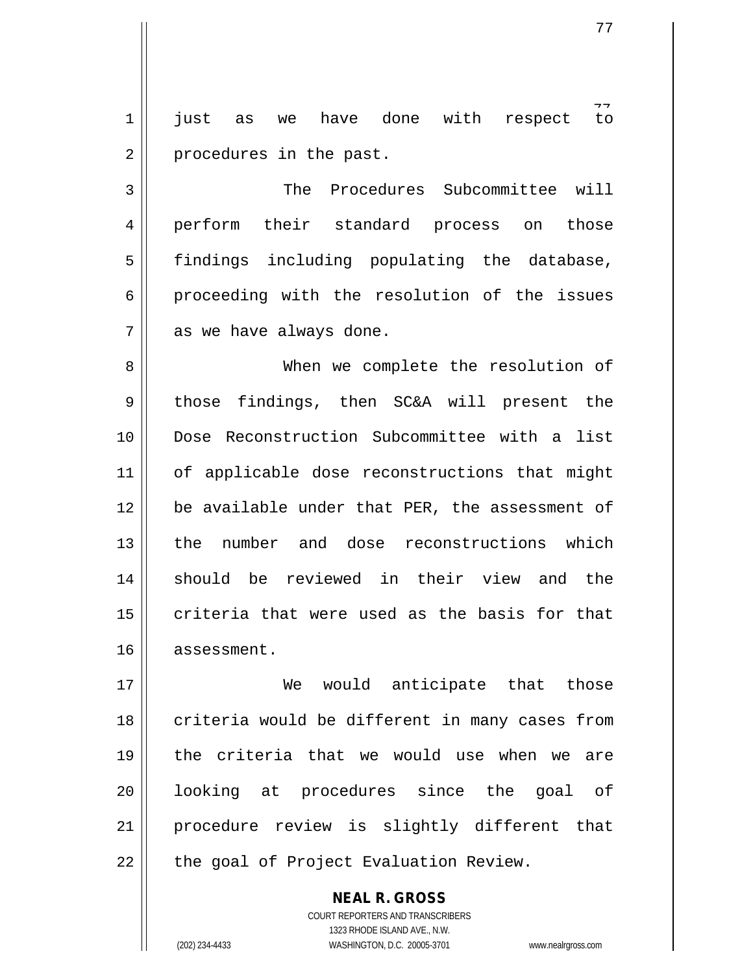$t_{\Omega}$ 1 just as we have done with respect to 2 | procedures in the past.

3 || The Procedures Subcommittee will 4 || perform their standard process on those 5 || findings including populating the database,  $6 \parallel$  proceeding with the resolution of the issues  $7 \parallel$  as we have always done.

8 When we complete the resolution of 9 those findings, then SC&A will present the 10 Dose Reconstruction Subcommittee with a list 11 || of applicable dose reconstructions that might 12 || be available under that PER, the assessment of 13 || the number and dose reconstructions which 14 Should be reviewed in their view and the  $15$  criteria that were used as the basis for that 16 assessment.

 We would anticipate that those  $\parallel$  criteria would be different in many cases from the criteria that we would use when we are 20 || looking at procedures since the goal of procedure review is slightly different that | the goal of Project Evaluation Review.

> COURT REPORTERS AND TRANSCRIBERS 1323 RHODE ISLAND AVE., N.W. (202) 234-4433 WASHINGTON, D.C. 20005-3701 www.nealrgross.com

**NEAL R. GROSS**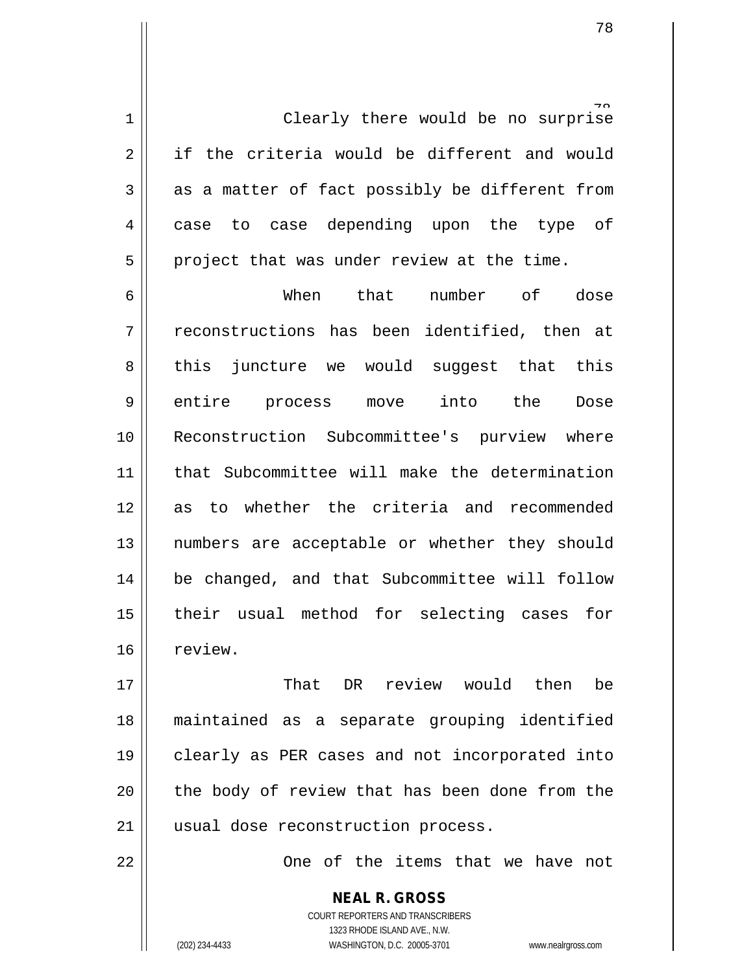1 || Clearly there would be no surprise 2 if the criteria would be different and would  $3 \parallel$  as a matter of fact possibly be different from 4 || case to case depending upon the type of  $5 \parallel$  project that was under review at the time.

6 When that number of dose  $7 \parallel$  reconstructions has been identified, then at  $8 \parallel$  this juncture we would suggest that this 9 || entire process move into the Dose 10 || Reconstruction Subcommittee's purview where 11 that Subcommittee will make the determination 12 as to whether the criteria and recommended 13 || numbers are acceptable or whether they should 14 || be changed, and that Subcommittee will follow 15 their usual method for selecting cases for 16 review.

17 That DR review would then be 18 maintained as a separate grouping identified 19 || clearly as PER cases and not incorporated into  $20$  || the body of review that has been done from the 21 || usual dose reconstruction process.

22 || Che of the items that we have not

**NEAL R. GROSS** COURT REPORTERS AND TRANSCRIBERS 1323 RHODE ISLAND AVE., N.W. (202) 234-4433 WASHINGTON, D.C. 20005-3701 www.nealrgross.com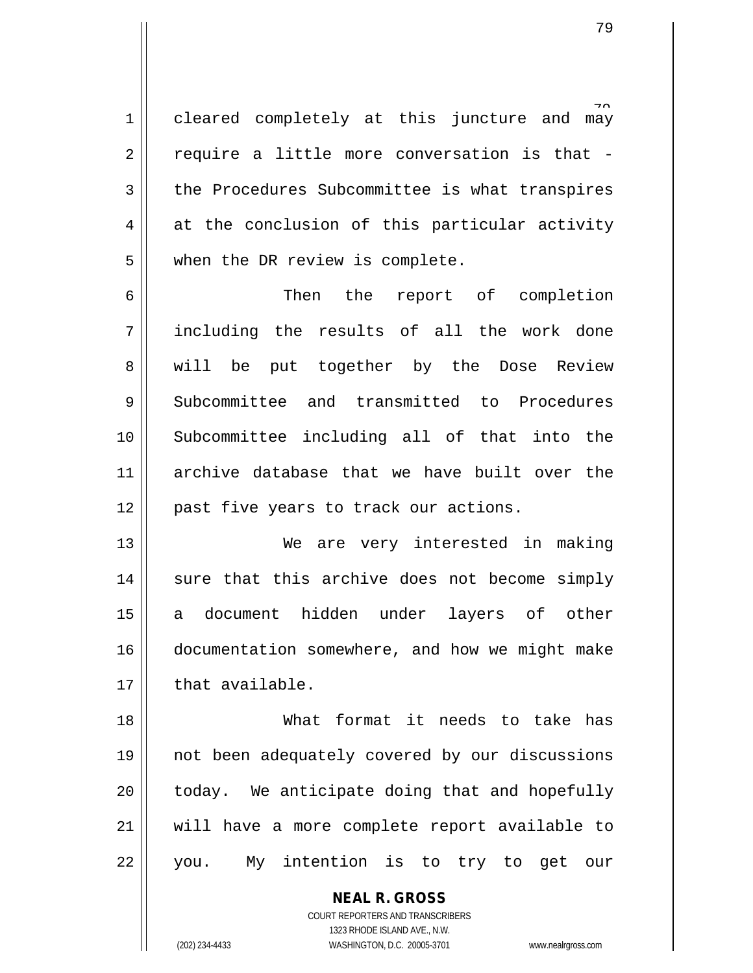1 || cleared completely at this juncture and may  $2 \parallel$  require a little more conversation is that -3 the Procedures Subcommittee is what transpires  $4 \parallel$  at the conclusion of this particular activity 5 | when the DR review is complete.

6 Then the report of completion 7 including the results of all the work done 8 || will be put together by the Dose Review 9 Subcommittee and transmitted to Procedures 10 Subcommittee including all of that into the 11 archive database that we have built over the 12 || past five years to track our actions.

13 || We are very interested in making 14 || sure that this archive does not become simply 15 a document hidden under layers of other 16 documentation somewhere, and how we might make  $17 \parallel$  that available.

 What format it needs to take has not been adequately covered by our discussions | today. We anticipate doing that and hopefully will have a more complete report available to 22 || you. My intention is to try to get our

> **NEAL R. GROSS** COURT REPORTERS AND TRANSCRIBERS 1323 RHODE ISLAND AVE., N.W.

(202) 234-4433 WASHINGTON, D.C. 20005-3701 www.nealrgross.com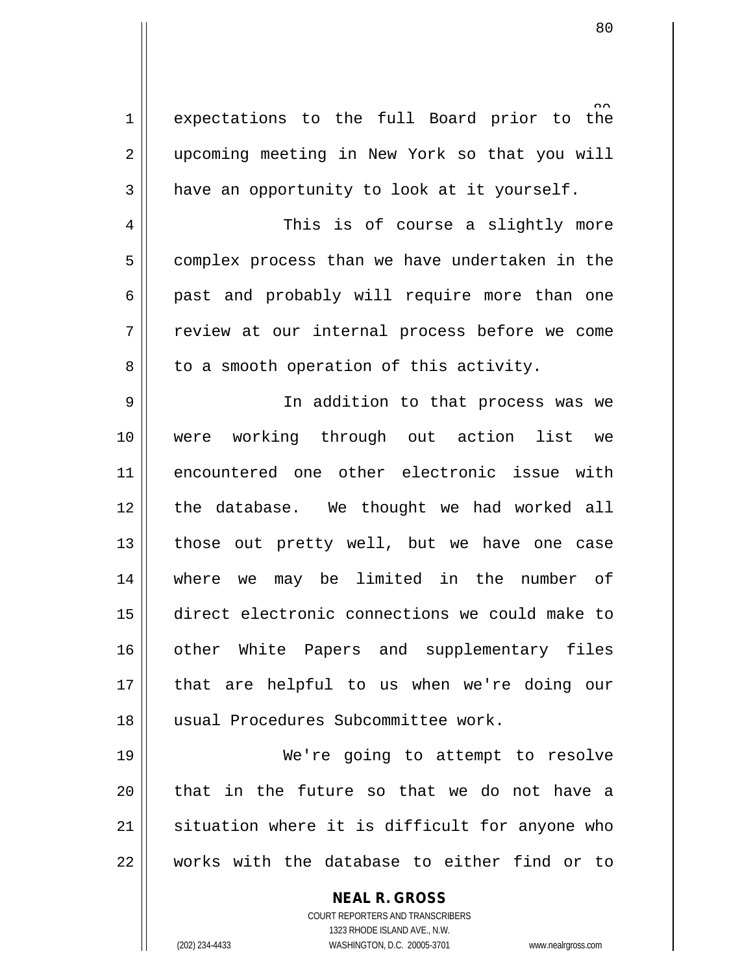1 expectations to the full Board prior to the 2 || upcoming meeting in New York so that you will  $3 \parallel$  have an opportunity to look at it yourself.

4 This is of course a slightly more  $5 \parallel$  complex process than we have undertaken in the  $6 \parallel$  past and probably will require more than one 7 || review at our internal process before we come  $8 \parallel$  to a smooth operation of this activity.

9 || In addition to that process was we were working through out action list we encountered one other electronic issue with 12 || the database. We thought we had worked all || those out pretty well, but we have one case where we may be limited in the number of direct electronic connections we could make to 16 || other White Papers and supplementary files that are helpful to us when we're doing our usual Procedures Subcommittee work.

 We're going to attempt to resolve || that in the future so that we do not have a situation where it is difficult for anyone who  $\parallel$  works with the database to either find or to

> **NEAL R. GROSS** COURT REPORTERS AND TRANSCRIBERS 1323 RHODE ISLAND AVE., N.W. (202) 234-4433 WASHINGTON, D.C. 20005-3701 www.nealrgross.com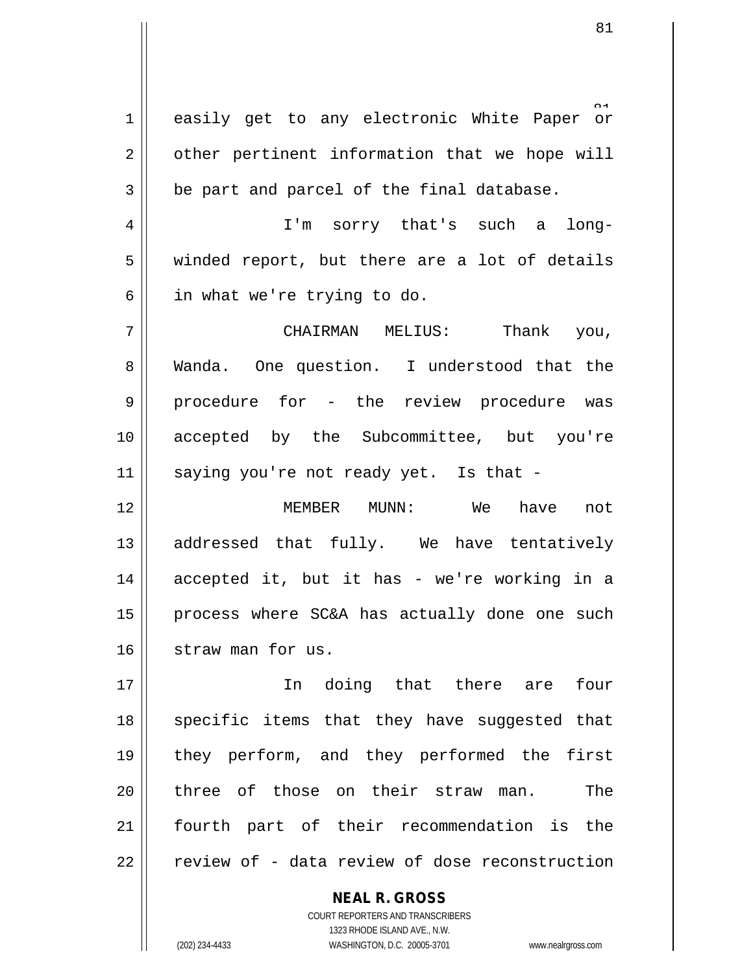1 || easily get to any electronic White Paper or  $2 \parallel$  other pertinent information that we hope will  $3 \parallel$  be part and parcel of the final database. 4 I'm sorry that's such a long- $5 \parallel$  winded report, but there are a lot of details  $6 \parallel$  in what we're trying to do. 7 CHAIRMAN MELIUS: Thank you, 8 Wanda. One question. I understood that the 9 || procedure for - the review procedure was 10 accepted by the Subcommittee, but you're  $11$  saying you're not ready yet. Is that -12 MEMBER MUNN: We have not 13 || addressed that fully. We have tentatively 14 accepted it, but it has - we're working in a 15 || process where SC&A has actually done one such 16 || straw man for us.

 In doing that there are four 18 || specific items that they have suggested that they perform, and they performed the first 20 || three of those on their straw man. The fourth part of their recommendation is the | review of - data review of dose reconstruction

> **NEAL R. GROSS** COURT REPORTERS AND TRANSCRIBERS 1323 RHODE ISLAND AVE., N.W. (202) 234-4433 WASHINGTON, D.C. 20005-3701 www.nealrgross.com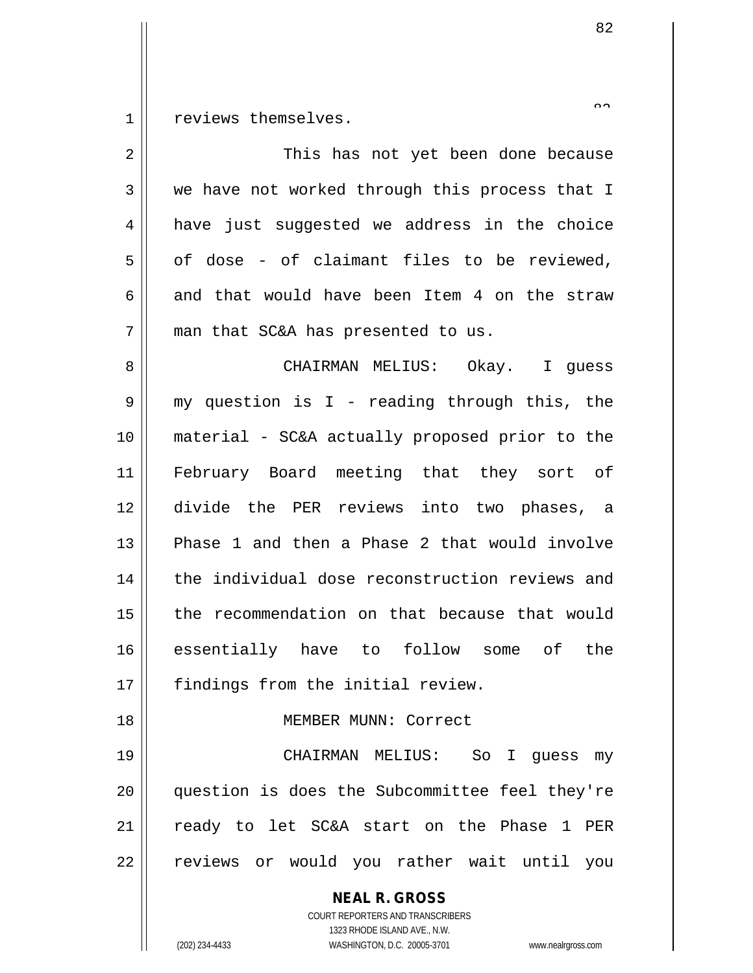reviews themselves.

| $\overline{2}$ | This has not yet been done because                                                                                                                              |
|----------------|-----------------------------------------------------------------------------------------------------------------------------------------------------------------|
| 3              | we have not worked through this process that I                                                                                                                  |
| 4              | have just suggested we address in the choice                                                                                                                    |
| 5              | of dose - of claimant files to be reviewed,                                                                                                                     |
| 6              | and that would have been Item 4 on the straw                                                                                                                    |
| 7              | man that SC&A has presented to us.                                                                                                                              |
| 8              | CHAIRMAN MELIUS: Okay. I guess                                                                                                                                  |
| 9              | my question is I - reading through this, the                                                                                                                    |
| 10             | material - SC&A actually proposed prior to the                                                                                                                  |
| 11             | February Board meeting that they sort of                                                                                                                        |
| 12             | divide the PER reviews into two phases, a                                                                                                                       |
| 13             | Phase 1 and then a Phase 2 that would involve                                                                                                                   |
| 14             | the individual dose reconstruction reviews and                                                                                                                  |
| 15             | the recommendation on that because that would                                                                                                                   |
| 16             | essentially have to follow some of the                                                                                                                          |
| 17             | findings from the initial review.                                                                                                                               |
| 18             | MEMBER MUNN: Correct                                                                                                                                            |
| 19             | CHAIRMAN MELIUS: So I quess my                                                                                                                                  |
| 20             | question is does the Subcommittee feel they're                                                                                                                  |
| 21             | ready to let SC&A start on the Phase 1 PER                                                                                                                      |
| 22             | reviews or would you rather wait until you                                                                                                                      |
|                | <b>NEAL R. GROSS</b><br>COURT REPORTERS AND TRANSCRIBERS<br>1323 RHODE ISLAND AVE., N.W.<br>(202) 234-4433<br>WASHINGTON, D.C. 20005-3701<br>www.nealrgross.com |

 $\small{\sim}$   $\small{\sim}$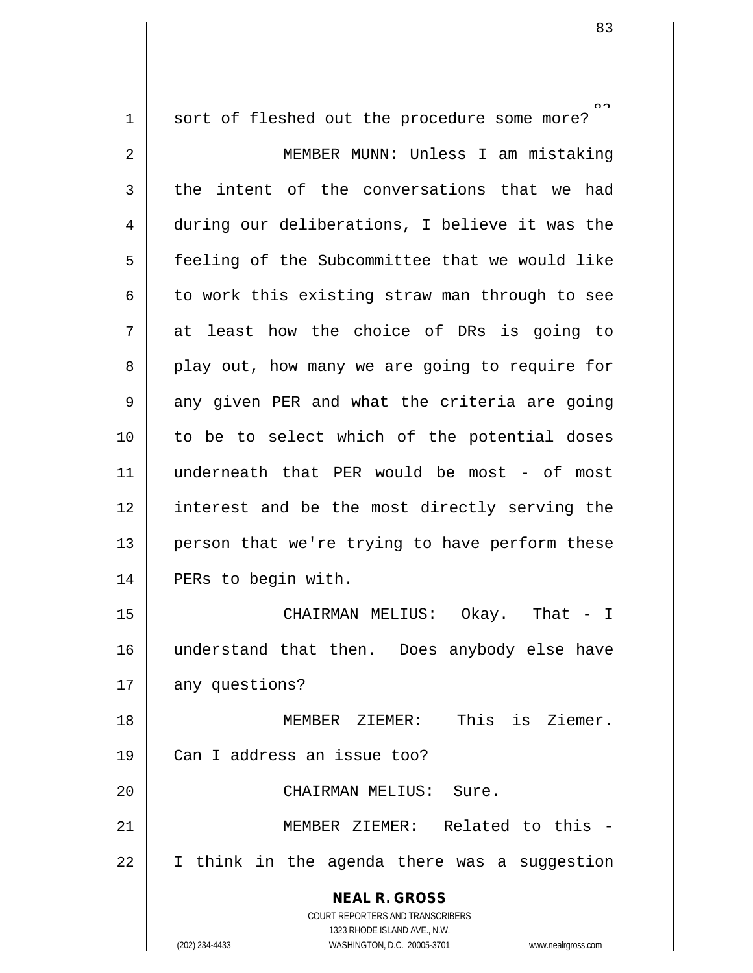**NEAL R. GROSS** COURT REPORTERS AND TRANSCRIBERS 1323 RHODE ISLAND AVE., N.W. (202) 234-4433 WASHINGTON, D.C. 20005-3701 www.nealrgross.com  $\tilde{ }$ 1 || sort of fleshed out the procedure some more? 2 MEMBER MUNN: Unless I am mistaking  $3$  the intent of the conversations that we had 4 during our deliberations, I believe it was the 5 | feeling of the Subcommittee that we would like 6  $\parallel$  to work this existing straw man through to see  $7 \parallel$  at least how the choice of DRs is going to  $8 \parallel$  play out, how many we are going to require for 9 || any given PER and what the criteria are going 10 || to be to select which of the potential doses 11 underneath that PER would be most - of most 12 || interest and be the most directly serving the  $13$  | person that we're trying to have perform these 14 | PERs to begin with. 15 CHAIRMAN MELIUS: Okay. That - I 16 understand that then. Does anybody else have 17 any questions? 18 MEMBER ZIEMER: This is Ziemer. 19 Can I address an issue too? 20 CHAIRMAN MELIUS: Sure. 21 MEMBER ZIEMER: Related to this - 22 I think in the agenda there was a suggestion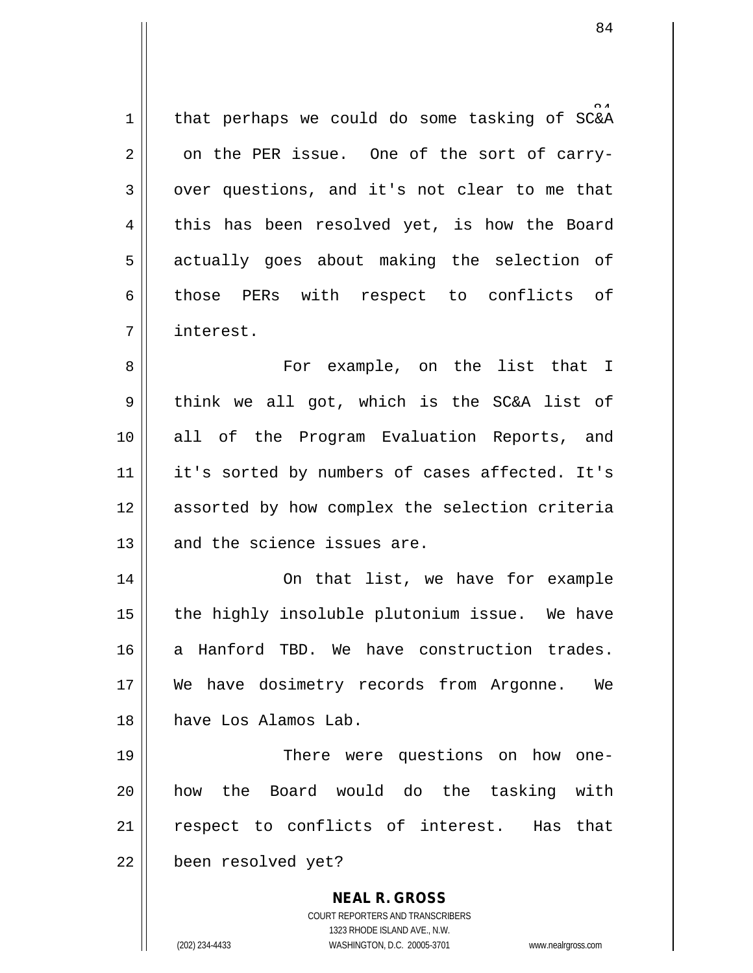1 | that perhaps we could do some tasking of  $SC&A$  $2 \parallel$  on the PER issue. One of the sort of carry- $3 \parallel$  over questions, and it's not clear to me that  $4 \parallel$  this has been resolved yet, is how the Board 5 || actually goes about making the selection of 6 || those PERs with respect to conflicts of 7 interest.

8 For example, on the list that I  $9 \parallel$  think we all got, which is the SC&A list of 10 all of the Program Evaluation Reports, and 11 || it's sorted by numbers of cases affected. It's 12 assorted by how complex the selection criteria 13 || and the science issues are.

14 || Complete Complete Complete Complete Complete Complete Complete Complete Complete Complete Complete Complete Complete Complete Complete Complete Complete Complete Complete Complete Complete Complete Complete Complete  $15$  | the highly insoluble plutonium issue. We have 16 a Hanford TBD. We have construction trades. 17 We have dosimetry records from Argonne. We 18 have Los Alamos Lab.

19 || There were questions on how one-20 || how the Board would do the tasking with 21 || respect to conflicts of interest. Has that 22 | been resolved yet?

> COURT REPORTERS AND TRANSCRIBERS 1323 RHODE ISLAND AVE., N.W. (202) 234-4433 WASHINGTON, D.C. 20005-3701 www.nealrgross.com

**NEAL R. GROSS**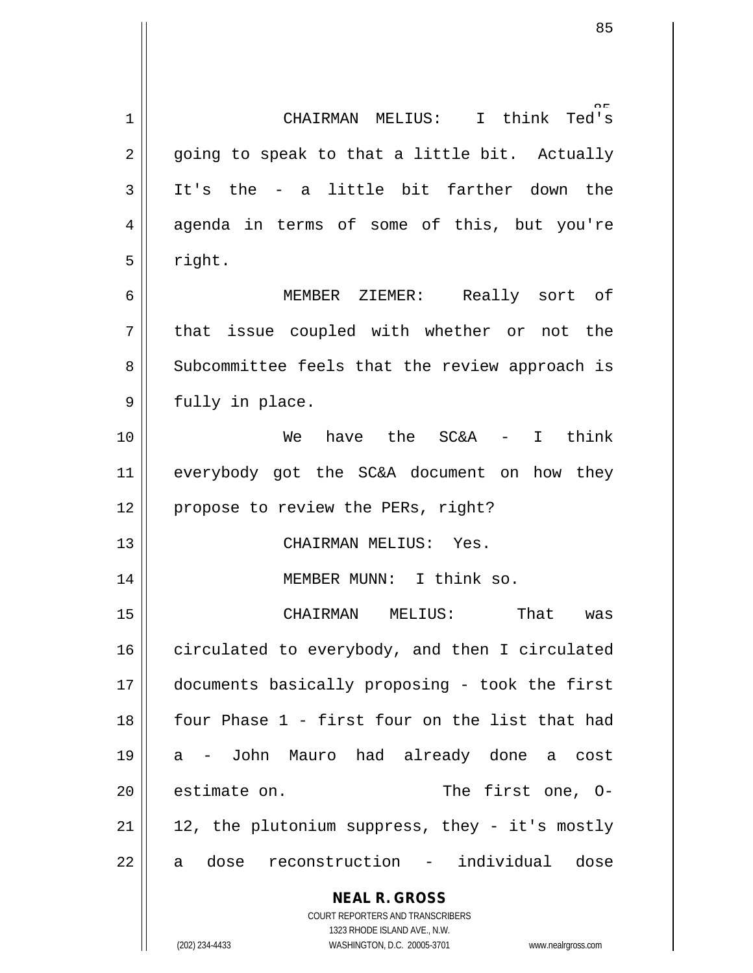**NEAL R. GROSS** COURT REPORTERS AND TRANSCRIBERS 1323 RHODE ISLAND AVE., N.W. 85 1 CHAIRMAN MELIUS: I think Ted's  $2 \parallel$  going to speak to that a little bit. Actually  $3$  || It's the - a little bit farther down the 4 agenda in terms of some of this, but you're  $5 \parallel$  right. 6 MEMBER ZIEMER: Really sort of  $7$  || that issue coupled with whether or not the 8 Subcommittee feels that the review approach is 9 || fully in place. 10 We have the SC&A - I think 11 || everybody got the SC&A document on how they 12 || propose to review the PERs, right? 13 || CHAIRMAN MELIUS: Yes. 14 || **MEMBER MUNN:** I think so. 15 CHAIRMAN MELIUS: That was 16 circulated to everybody, and then I circulated 17 documents basically proposing - took the first 18 four Phase 1 - first four on the list that had 19 a - John Mauro had already done a cost 20 estimate on. The first one, 0- $21$  | 12, the plutonium suppress, they - it's mostly 22 a dose reconstruction - individual dose

(202) 234-4433 WASHINGTON, D.C. 20005-3701 www.nealrgross.com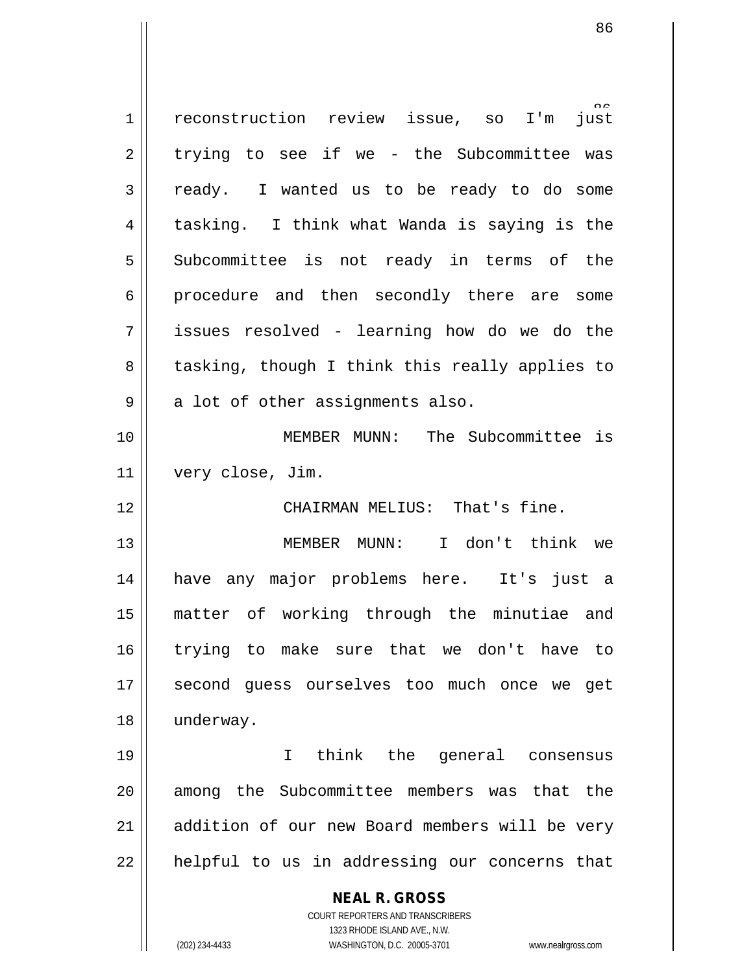| $\mathbf 1$ | reconstruction review issue, so I'm<br>just                                                         |
|-------------|-----------------------------------------------------------------------------------------------------|
| 2           | trying to see if we - the Subcommittee was                                                          |
| 3           | ready. I wanted us to be ready to do some                                                           |
| 4           | tasking. I think what Wanda is saying is the                                                        |
| 5           | Subcommittee is not ready in terms of the                                                           |
| 6           | procedure and then secondly there are some                                                          |
| 7           | issues resolved - learning how do we do the                                                         |
| 8           | tasking, though I think this really applies to                                                      |
| 9           | a lot of other assignments also.                                                                    |
| 10          | MEMBER MUNN: The Subcommittee is                                                                    |
| 11          | very close, Jim.                                                                                    |
| 12          | CHAIRMAN MELIUS: That's fine.                                                                       |
| 13          | MEMBER MUNN: I don't think we                                                                       |
| 14          | have any major problems here. It's just a                                                           |
| 15          | matter of working through the minutiae and                                                          |
| 16          | trying to make sure that we don't have to                                                           |
| 17          | second quess ourselves too much once we get                                                         |
| 18          | underway.                                                                                           |
| 19          | think the general consensus<br>I.                                                                   |
| 20          | among the Subcommittee members was that the                                                         |
| 21          | addition of our new Board members will be very                                                      |
| 22          | helpful to us in addressing our concerns that                                                       |
|             | <b>NEAL R. GROSS</b>                                                                                |
|             | COURT REPORTERS AND TRANSCRIBERS                                                                    |
|             | 1323 RHODE ISLAND AVE., N.W.<br>(202) 234-4433<br>WASHINGTON, D.C. 20005-3701<br>www.nealrgross.com |
|             |                                                                                                     |

 $\mathsf{I}$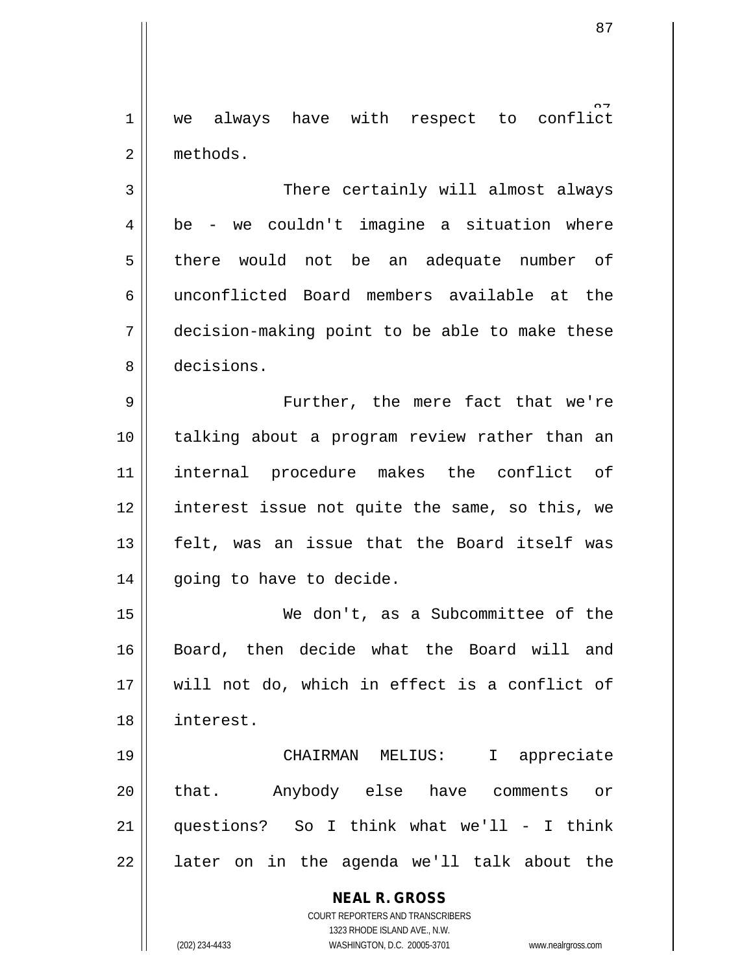1 || we always have with respect to conflict 2 | methods.

3 || There certainly will almost always  $4 \parallel$  be - we couldn't imagine a situation where 5 || there would not be an adequate number of 6 unconflicted Board members available at the 7 decision-making point to be able to make these 8 decisions.

9 || Further, the mere fact that we're 10 talking about a program review rather than an 11 internal procedure makes the conflict of 12 || interest issue not quite the same, so this, we 13 felt, was an issue that the Board itself was 14 | going to have to decide.

 We don't, as a Subcommittee of the Board, then decide what the Board will and will not do, which in effect is a conflict of interest.

 CHAIRMAN MELIUS: I appreciate 20 || that. Anybody else have comments or questions? So I think what we'll - I think || later on in the agenda we'll talk about the

> **NEAL R. GROSS** COURT REPORTERS AND TRANSCRIBERS 1323 RHODE ISLAND AVE., N.W.

(202) 234-4433 WASHINGTON, D.C. 20005-3701 www.nealrgross.com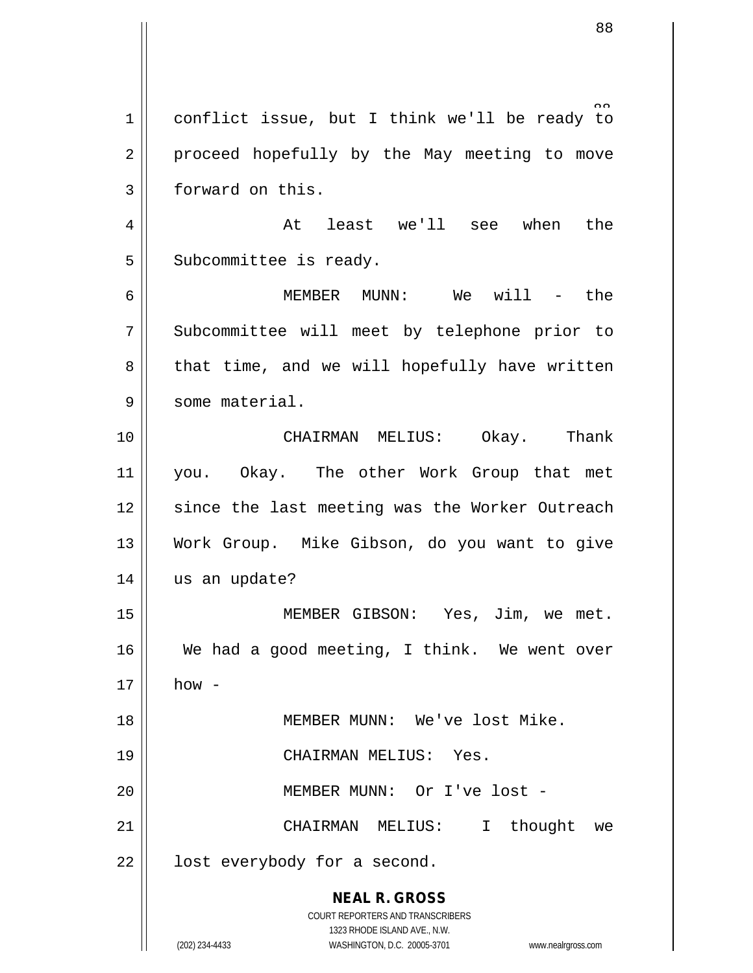**NEAL R. GROSS** COURT REPORTERS AND TRANSCRIBERS 1323 RHODE ISLAND AVE., N.W. (202) 234-4433 WASHINGTON, D.C. 20005-3701 www.nealrgross.com 1 conflict issue, but I think we'll be ready to 2 || proceed hopefully by the May meeting to move 3 | forward on this.  $4 \parallel$  at least we'll see when the  $5$  Subcommittee is ready. 6 MEMBER MUNN: We will - the 7 Subcommittee will meet by telephone prior to  $8 \parallel$  that time, and we will hopefully have written 9 || some material. 10 CHAIRMAN MELIUS: Okay. Thank 11 you. Okay. The other Work Group that met 12 || since the last meeting was the Worker Outreach 13 Work Group. Mike Gibson, do you want to give 14 || us an update? 15 MEMBER GIBSON: Yes, Jim, we met. 16 We had a good meeting, I think. We went over  $17 \parallel$  how -18 MEMBER MUNN: We've lost Mike. 19 CHAIRMAN MELIUS: Yes. 20 || MEMBER MUNN: Or I've lost -21 CHAIRMAN MELIUS: I thought we  $22$  | lost everybody for a second.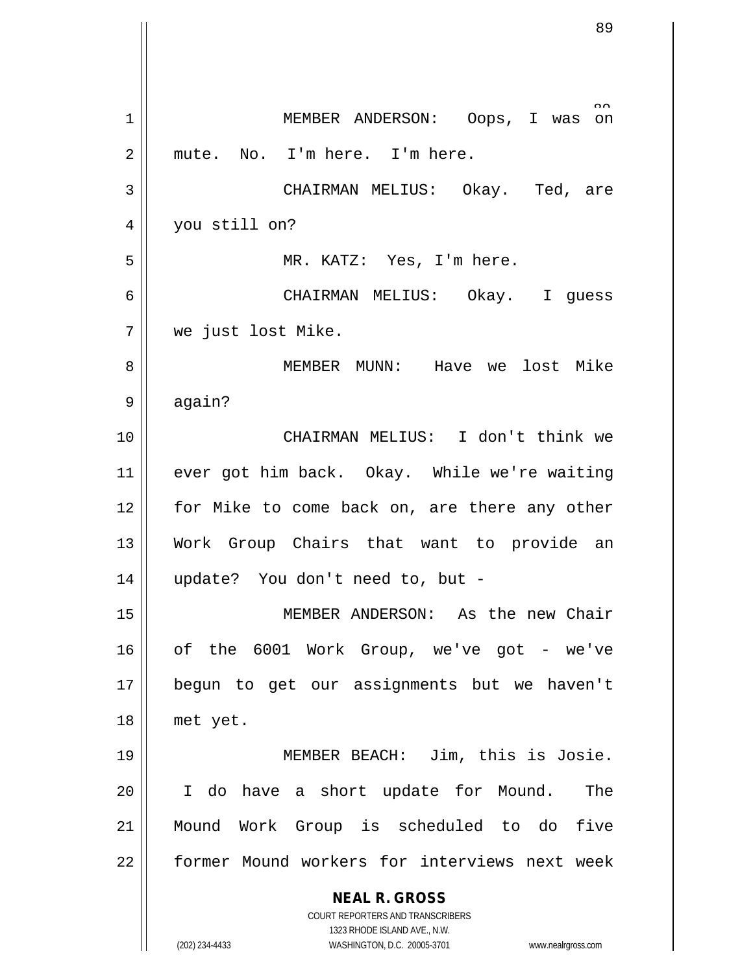|    | 89                                                               |
|----|------------------------------------------------------------------|
|    |                                                                  |
| 1  | $\sim$<br>MEMBER ANDERSON: Oops, I was<br>on                     |
| 2  | mute. No. I'm here. I'm here.                                    |
| 3  | CHAIRMAN MELIUS: Okay. Ted, are                                  |
| 4  | you still on?                                                    |
| 5  | MR. KATZ: Yes, I'm here.                                         |
| 6  | CHAIRMAN MELIUS: Okay. I guess                                   |
| 7  | we just lost Mike.                                               |
| 8  | MEMBER MUNN: Have we lost Mike                                   |
| 9  | again?                                                           |
| 10 | CHAIRMAN MELIUS: I don't think we                                |
| 11 | ever got him back. Okay. While we're waiting                     |
| 12 | for Mike to come back on, are there any other                    |
| 13 | Work Group Chairs that want to provide an                        |
| 14 | update? You don't need to, but -                                 |
| 15 | MEMBER ANDERSON: As the new Chair                                |
| 16 | of the 6001 Work Group, we've got - we've                        |
| 17 | begun to get our assignments but we haven't                      |
| 18 | met yet.                                                         |
| 19 | MEMBER BEACH: Jim, this is Josie.                                |
| 20 | I do have a short update for Mound.<br>The                       |
| 21 | Mound Work Group is scheduled to do five                         |
| 22 | former Mound workers for interviews next week                    |
|    | <b>NEAL R. GROSS</b>                                             |
|    | COURT REPORTERS AND TRANSCRIBERS<br>1323 RHODE ISLAND AVE., N.W. |
|    | (202) 234-4433<br>WASHINGTON, D.C. 20005-3701 www.nealrgross.com |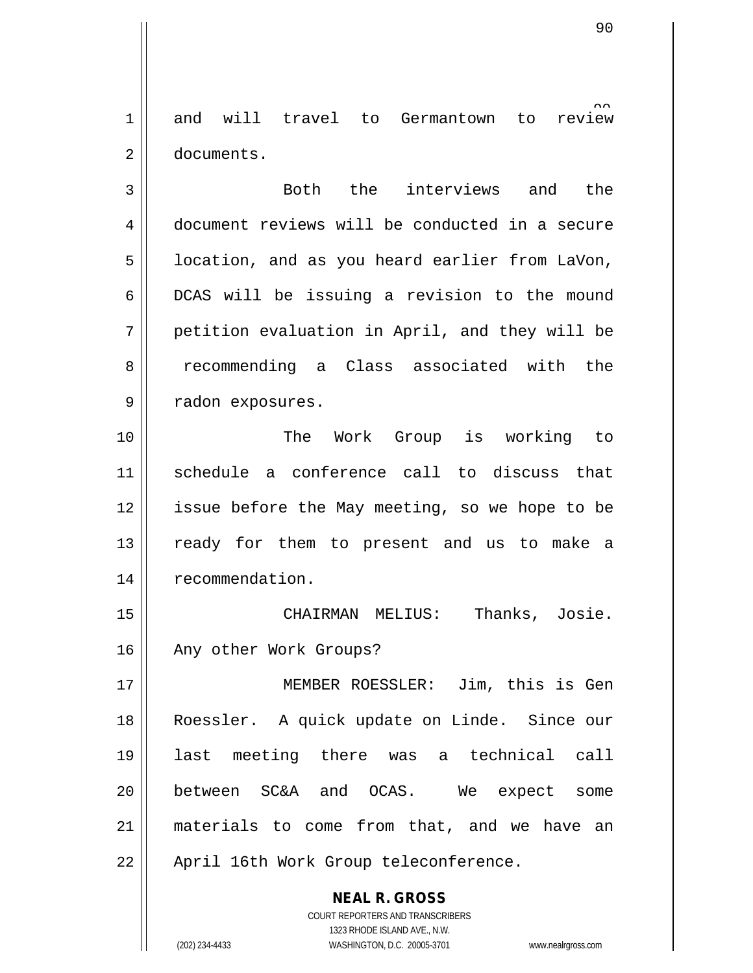Germantown to review 1 and will travel to 2 documents.

3 Both the interviews and the 4 document reviews will be conducted in a secure 5 | location, and as you heard earlier from LaVon,  $6 \parallel$  DCAS will be issuing a revision to the mound  $7 \parallel$  petition evaluation in April, and they will be 8 || recommending a Class associated with the 9 || radon exposures.

10 The Work Group is working to 11 schedule a conference call to discuss that 12 | issue before the May meeting, so we hope to be 13 || ready for them to present and us to make a 14 | recommendation.

15 CHAIRMAN MELIUS: Thanks, Josie. 16 || Any other Work Groups?

 MEMBER ROESSLER: Jim, this is Gen Roessler. A quick update on Linde. Since our last meeting there was a technical call between SC&A and OCAS. We expect some materials to come from that, and we have an 22 || April 16th Work Group teleconference.

> COURT REPORTERS AND TRANSCRIBERS 1323 RHODE ISLAND AVE., N.W. (202) 234-4433 WASHINGTON, D.C. 20005-3701 www.nealrgross.com

**NEAL R. GROSS**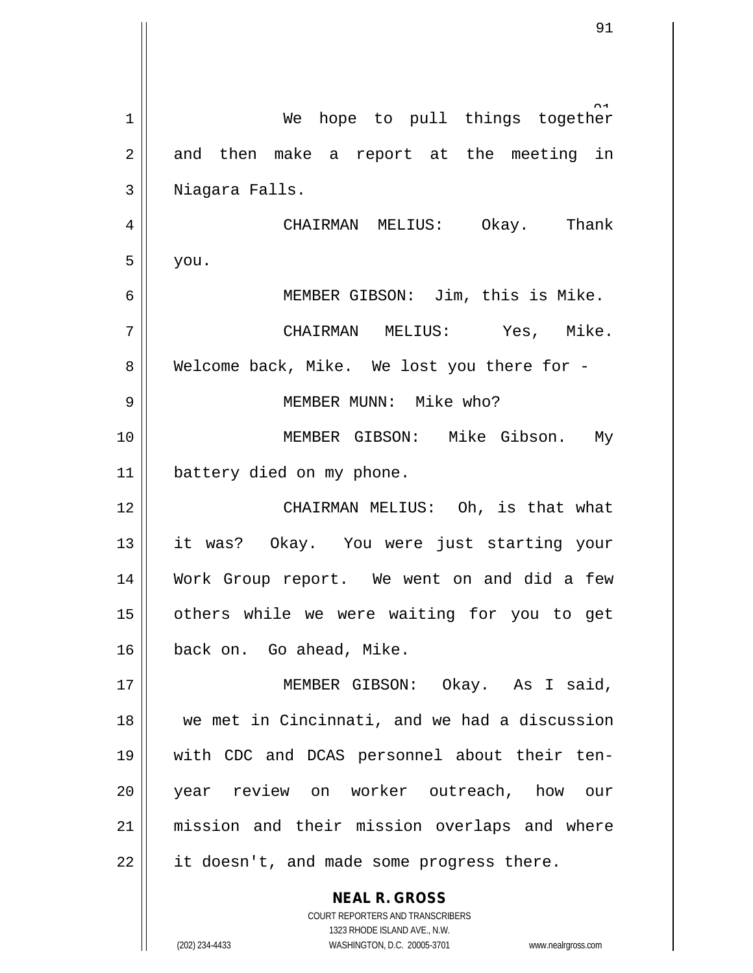| 1  | We hope to pull things together                                     |
|----|---------------------------------------------------------------------|
| 2  | and then make a report at the meeting in                            |
| 3  | Niagara Falls.                                                      |
| 4  | CHAIRMAN MELIUS: Okay. Thank                                        |
| 5  | you.                                                                |
| 6  | MEMBER GIBSON: Jim, this is Mike.                                   |
| 7  | CHAIRMAN MELIUS: Yes, Mike.                                         |
| 8  | Welcome back, Mike. We lost you there for -                         |
| 9  | MEMBER MUNN: Mike who?                                              |
| 10 | MEMBER GIBSON: Mike Gibson. My                                      |
| 11 | battery died on my phone.                                           |
| 12 | CHAIRMAN MELIUS: Oh, is that what                                   |
| 13 | it was? Okay. You were just starting your                           |
| 14 | Work Group report. We went on and did a few                         |
| 15 | others while we were waiting for you to get                         |
| 16 | back on. Go ahead, Mike.                                            |
| 17 | MEMBER GIBSON: Okay. As I said,                                     |
| 18 | we met in Cincinnati, and we had a discussion                       |
| 19 | with CDC and DCAS personnel about their ten-                        |
| 20 | year review on worker outreach, how our                             |
| 21 | mission and their mission overlaps and where                        |
| 22 | it doesn't, and made some progress there.                           |
|    | <b>NEAL R. GROSS</b>                                                |
|    | COURT REPORTERS AND TRANSCRIBERS<br>1323 RHODE ISLAND AVE., N.W.    |
|    | (202) 234-4433<br>WASHINGTON, D.C. 20005-3701<br>www.nealrgross.com |

 $\overline{\phantom{a}}$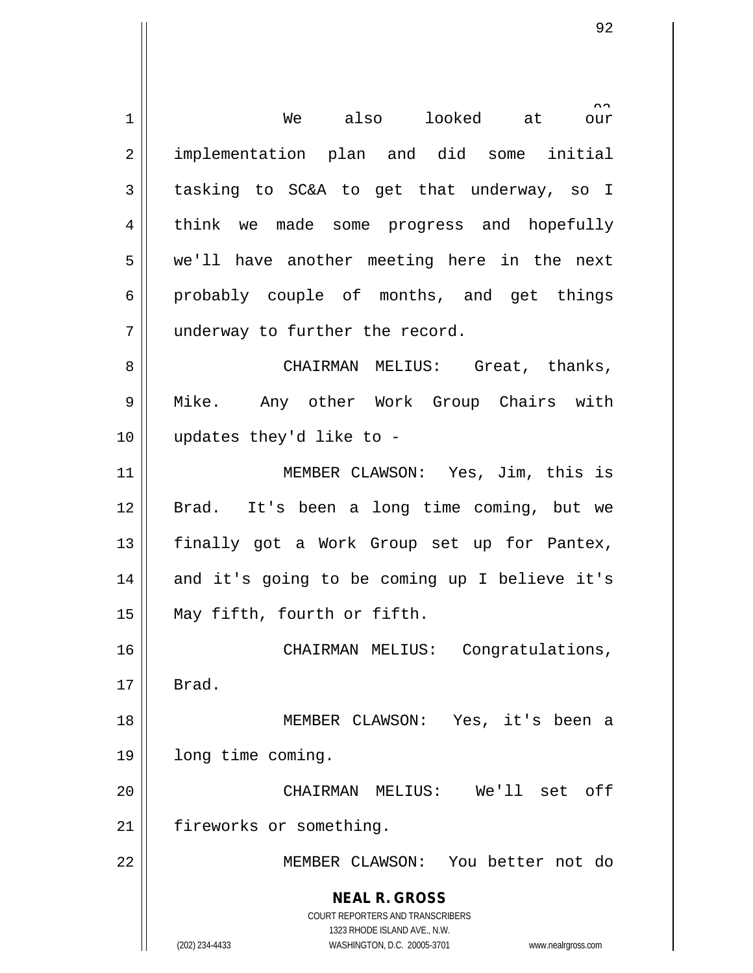**NEAL R. GROSS** COURT REPORTERS AND TRANSCRIBERS 1323 RHODE ISLAND AVE., N.W. (202) 234-4433 WASHINGTON, D.C. 20005-3701 www.nealrgross.com  $\hat{\text{our}}$ 1 || We also looked at 2 || implementation plan and did some initial  $3 \parallel$  tasking to SC&A to get that underway, so I 4 think we made some progress and hopefully 5 we'll have another meeting here in the next  $6 \parallel$  probably couple of months, and get things 7 || underway to further the record. 8 CHAIRMAN MELIUS: Great, thanks, 9 Mike. Any other Work Group Chairs with 10 updates they'd like to - 11 MEMBER CLAWSON: Yes, Jim, this is 12 Brad. It's been a long time coming, but we 13 || finally got a Work Group set up for Pantex,  $14$  and it's going to be coming up I believe it's 15 May fifth, fourth or fifth. 16 CHAIRMAN MELIUS: Congratulations,  $17 \parallel$  Brad. 18 MEMBER CLAWSON: Yes, it's been a 19 | long time coming. 20 CHAIRMAN MELIUS: We'll set off 21 | fireworks or something. 22 MEMBER CLAWSON: You better not do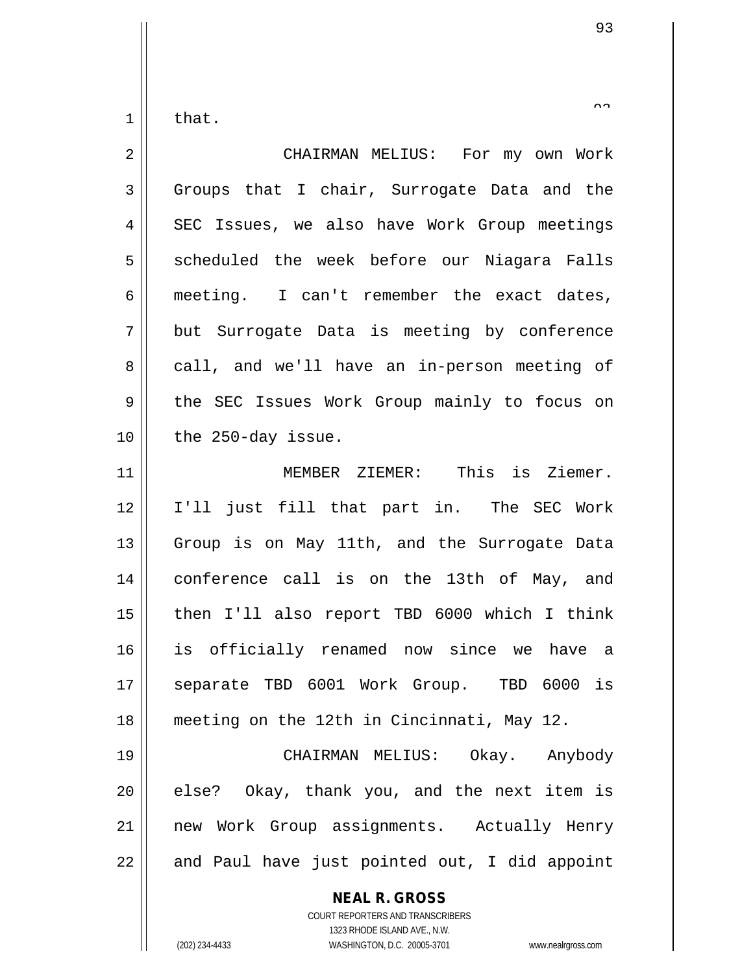$1 \parallel$  that.

| $\overline{2}$ | CHAIRMAN MELIUS: For my own Work              |
|----------------|-----------------------------------------------|
| 3              | Groups that I chair, Surrogate Data and the   |
| 4              | SEC Issues, we also have Work Group meetings  |
| 5              | scheduled the week before our Niagara Falls   |
| 6              | meeting. I can't remember the exact dates,    |
| 7              | but Surrogate Data is meeting by conference   |
| 8              | call, and we'll have an in-person meeting of  |
| $\mathsf 9$    | the SEC Issues Work Group mainly to focus on  |
| 10             | the 250-day issue.                            |
| 11             | MEMBER ZIEMER: This is Ziemer.                |
| 12             | I'll just fill that part in. The SEC Work     |
| 13             | Group is on May 11th, and the Surrogate Data  |
| 14             | conference call is on the 13th of May, and    |
| 15             | then I'll also report TBD 6000 which I think  |
| 16             | is officially renamed now since we have a     |
| 17             | separate TBD 6001 Work Group. TBD 6000 is     |
| 18             | meeting on the 12th in Cincinnati, May 12.    |
| 19             | CHAIRMAN MELIUS: Okay. Anybody                |
| 20             | else? Okay, thank you, and the next item is   |
| 21             | new Work Group assignments. Actually Henry    |
| 22             | and Paul have just pointed out, I did appoint |
|                | <b>NEAL R. GROSS</b>                          |

COURT REPORTERS AND TRANSCRIBERS 1323 RHODE ISLAND AVE., N.W.

(202) 234-4433 WASHINGTON, D.C. 20005-3701 www.nealrgross.com

 $\small{\sim}$   $\small{\sim}$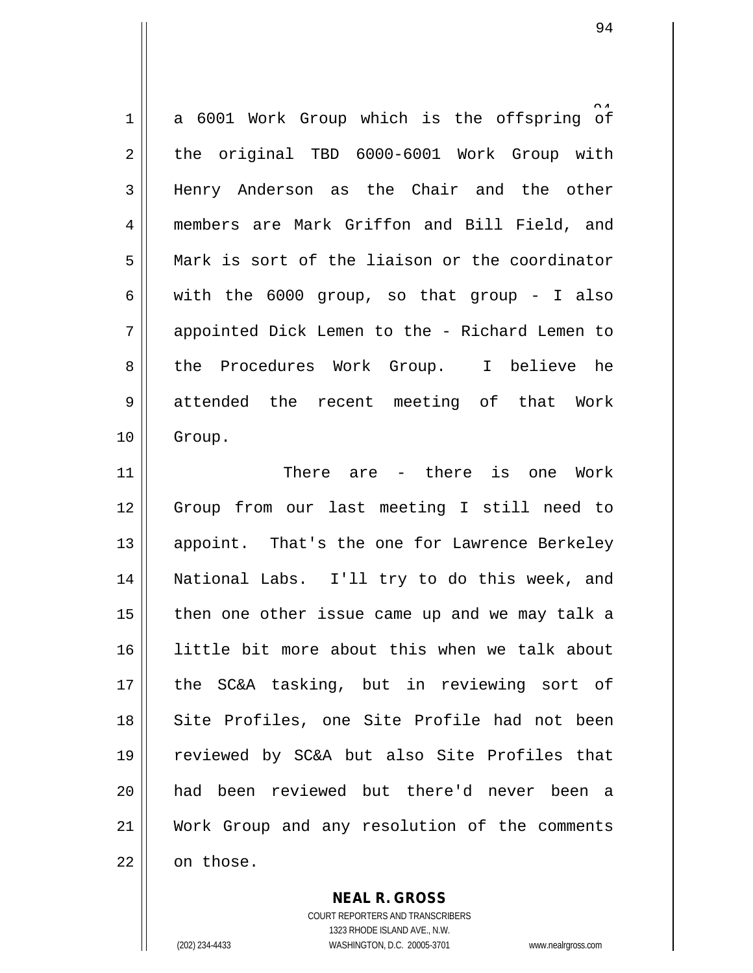1 a 6001 Work Group which is the offspring of 2 the original TBD 6000-6001 Work Group with 3 Henry Anderson as the Chair and the other 4 members are Mark Griffon and Bill Field, and 5 || Mark is sort of the liaison or the coordinator 6 with the 6000 group, so that group - I also 7 appointed Dick Lemen to the - Richard Lemen to 8 the Procedures Work Group. I believe he 9 attended the recent meeting of that Work 10 || Group.

 There are - there is one Work Group from our last meeting I still need to 13 || appoint. That's the one for Lawrence Berkeley 14 || National Labs. I'll try to do this week, and | then one other issue came up and we may talk a little bit more about this when we talk about the SC&A tasking, but in reviewing sort of 18 || Site Profiles, one Site Profile had not been reviewed by SC&A but also Site Profiles that 20 || had been reviewed but there'd never been a Work Group and any resolution of the comments | on those.

> **NEAL R. GROSS** COURT REPORTERS AND TRANSCRIBERS

> > 1323 RHODE ISLAND AVE., N.W.

(202) 234-4433 WASHINGTON, D.C. 20005-3701 www.nealrgross.com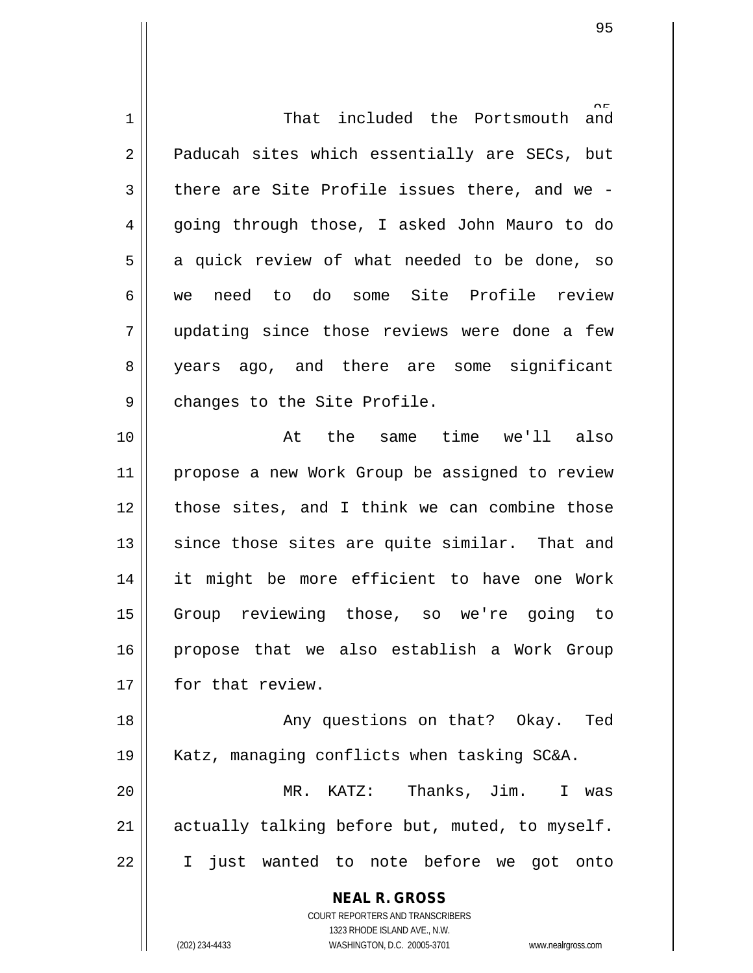| 1  | That included the Portsmouth<br>and                                 |
|----|---------------------------------------------------------------------|
| 2  | Paducah sites which essentially are SECs, but                       |
| 3  | there are Site Profile issues there, and we -                       |
| 4  | going through those, I asked John Mauro to do                       |
| 5  | a quick review of what needed to be done, so                        |
| 6  | need to do some Site Profile review<br>we                           |
| 7  | updating since those reviews were done a few                        |
| 8  | years ago, and there are some significant                           |
| 9  | changes to the Site Profile.                                        |
| 10 | At the same time we'll also                                         |
| 11 | propose a new Work Group be assigned to review                      |
| 12 | those sites, and I think we can combine those                       |
| 13 | since those sites are quite similar. That and                       |
| 14 | it might be more efficient to have one Work                         |
| 15 | Group reviewing those, so we're going to                            |
| 16 | propose that we also establish a Work Group                         |
| 17 | for that review.                                                    |
| 18 | Any questions on that? Okay. Ted                                    |
| 19 | Katz, managing conflicts when tasking SC&A.                         |
| 20 | MR. KATZ: Thanks, Jim.<br>I was                                     |
| 21 | actually talking before but, muted, to myself.                      |
| 22 | I just wanted to note before we got onto                            |
|    |                                                                     |
|    | <b>NEAL R. GROSS</b>                                                |
|    | COURT REPORTERS AND TRANSCRIBERS<br>1323 RHODE ISLAND AVE., N.W.    |
|    | (202) 234-4433<br>WASHINGTON, D.C. 20005-3701<br>www.nealrgross.com |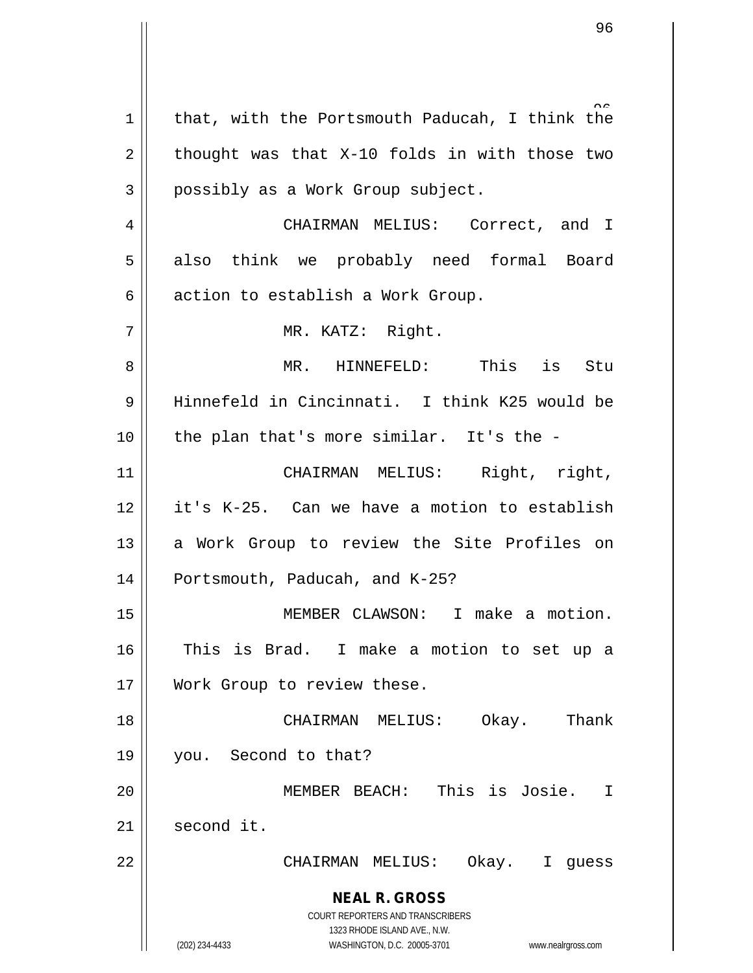**NEAL R. GROSS** COURT REPORTERS AND TRANSCRIBERS 1323 RHODE ISLAND AVE., N.W. (202) 234-4433 WASHINGTON, D.C. 20005-3701 www.nealrgross.com 1 | that, with the Portsmouth Paducah, I think the  $2 \parallel$  thought was that X-10 folds in with those two 3 | possibly as a Work Group subject. 4 | CHAIRMAN MELIUS: Correct, and I 5 also think we probably need formal Board  $6 \parallel$  action to establish a Work Group. 7 || MR. KATZ: Right. 8 MR. HINNEFELD: This is Stu 9 Hinnefeld in Cincinnati. I think K25 would be  $10$  || the plan that's more similar. It's the -11 CHAIRMAN MELIUS: Right, right, 12 it's K-25. Can we have a motion to establish 13 || a Work Group to review the Site Profiles on 14 || Portsmouth, Paducah, and K-25? 15 MEMBER CLAWSON: I make a motion. 16 This is Brad. I make a motion to set up a 17 Work Group to review these. 18 CHAIRMAN MELIUS: Okay. Thank 19 you. Second to that? 20 || **MEMBER BEACH:** This is Josie. I  $21$  second it. 22 CHAIRMAN MELIUS: Okay. I guess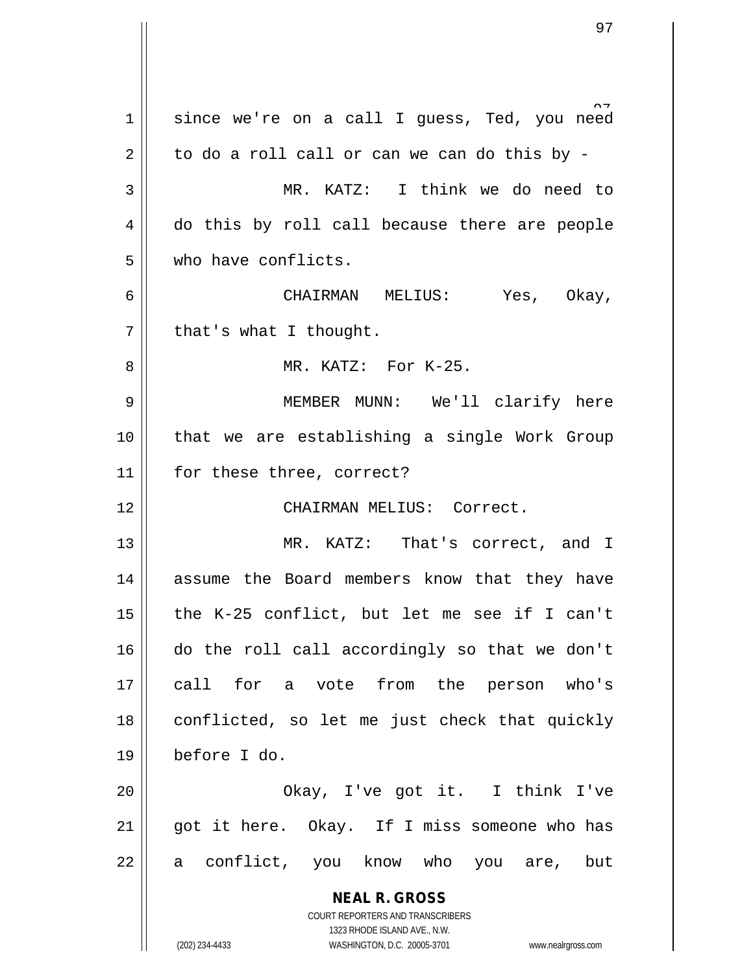**NEAL R. GROSS** COURT REPORTERS AND TRANSCRIBERS 1323 RHODE ISLAND AVE., N.W. (202) 234-4433 WASHINGTON, D.C. 20005-3701 www.nealrgross.com 1 since we're on a call I guess, Ted, you need  $2 \parallel$  to do a roll call or can we can do this by -3 MR. KATZ: I think we do need to 4 do this by roll call because there are people 5 who have conflicts. 6 CHAIRMAN MELIUS: Yes, Okay,  $7 \parallel$  that's what I thought. 8 MR. KATZ: For K-25. 9 MEMBER MUNN: We'll clarify here 10 || that we are establishing a single Work Group 11 || for these three, correct? 12 CHAIRMAN MELIUS: Correct. 13 MR. KATZ: That's correct, and I 14 assume the Board members know that they have 15  $\parallel$  the K-25 conflict, but let me see if I can't 16 do the roll call accordingly so that we don't 17 || call for a vote from the person who's  $18$  conflicted, so let me just check that quickly 19 before I do. 20 Okay, I've got it. I think I've  $21$  || got it here. Okay. If I miss someone who has 22 || a conflict, you know who you are, but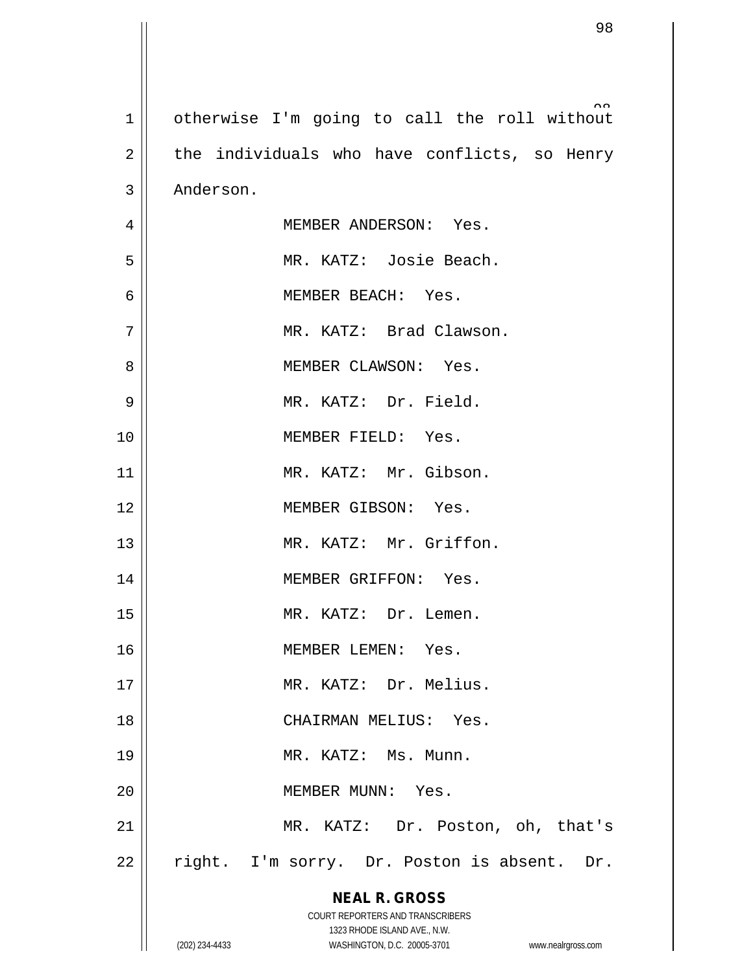| $\mathbf{1}$   | otherwise I'm going to call the roll without                     |
|----------------|------------------------------------------------------------------|
| $\overline{2}$ | the individuals who have conflicts, so Henry                     |
| 3              | Anderson.                                                        |
| 4              | MEMBER ANDERSON: Yes.                                            |
| 5              | MR. KATZ: Josie Beach.                                           |
| 6              | MEMBER BEACH: Yes.                                               |
| 7              | MR. KATZ: Brad Clawson.                                          |
| 8              | MEMBER CLAWSON: Yes.                                             |
| 9              | MR. KATZ: Dr. Field.                                             |
| 10             | MEMBER FIELD: Yes.                                               |
| 11             | MR. KATZ: Mr. Gibson.                                            |
| 12             | MEMBER GIBSON: Yes.                                              |
| 13             | MR. KATZ: Mr. Griffon.                                           |
| 14             | MEMBER GRIFFON: Yes.                                             |
| 15             | MR. KATZ: Dr. Lemen.                                             |
| 16             | MEMBER LEMEN: Yes.                                               |
| 17             | MR. KATZ: Dr. Melius.                                            |
| 18             | CHAIRMAN MELIUS: Yes.                                            |
| 19             | MR. KATZ: Ms. Munn.                                              |
| 20             | MEMBER MUNN: Yes.                                                |
| 21             | MR. KATZ: Dr. Poston, oh, that's                                 |
| 22             | right. I'm sorry. Dr. Poston is absent. Dr.                      |
|                | <b>NEAL R. GROSS</b>                                             |
|                | COURT REPORTERS AND TRANSCRIBERS<br>1323 RHODE ISLAND AVE., N.W. |
|                | (202) 234-4433<br>WASHINGTON, D.C. 20005-3701 www.nealrgross.com |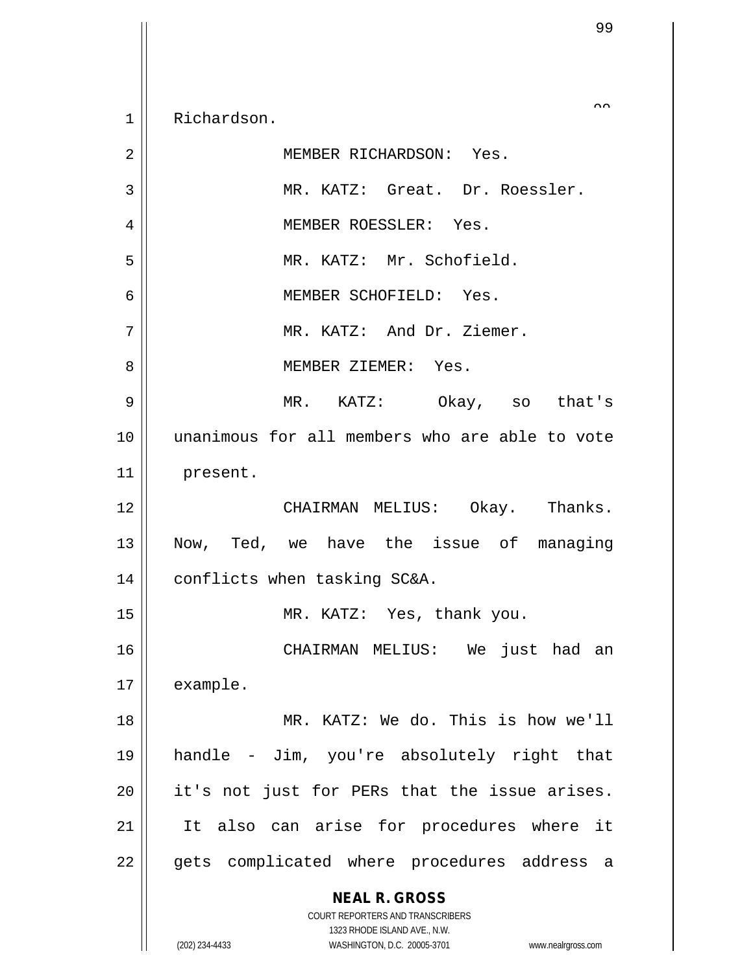1 | Richardson.

**NEAL R. GROSS** COURT REPORTERS AND TRANSCRIBERS 1323 RHODE ISLAND AVE., N.W. (202) 234-4433 WASHINGTON, D.C. 20005-3701 www.nealrgross.com 2 MEMBER RICHARDSON: Yes. 3 || MR. KATZ: Great. Dr. Roessler. 4 MEMBER ROESSLER: Yes. 5 MR. KATZ: Mr. Schofield. 6 MEMBER SCHOFIELD: Yes. 7 MR. KATZ: And Dr. Ziemer. 8 MEMBER ZIEMER: Yes. 9 MR. KATZ: Okay, so that's 10 unanimous for all members who are able to vote 11 present. 12 CHAIRMAN MELIUS: Okay. Thanks. 13 Now, Ted, we have the issue of managing 14 conflicts when tasking SC&A. 15 || MR. KATZ: Yes, thank you. 16 CHAIRMAN MELIUS: We just had an 17 | example. 18 MR. KATZ: We do. This is how we'll 19 handle - Jim, you're absolutely right that 20 || it's not just for PERs that the issue arises. 21 || It also can arise for procedures where it 22 || gets complicated where procedures address a

 $\sim$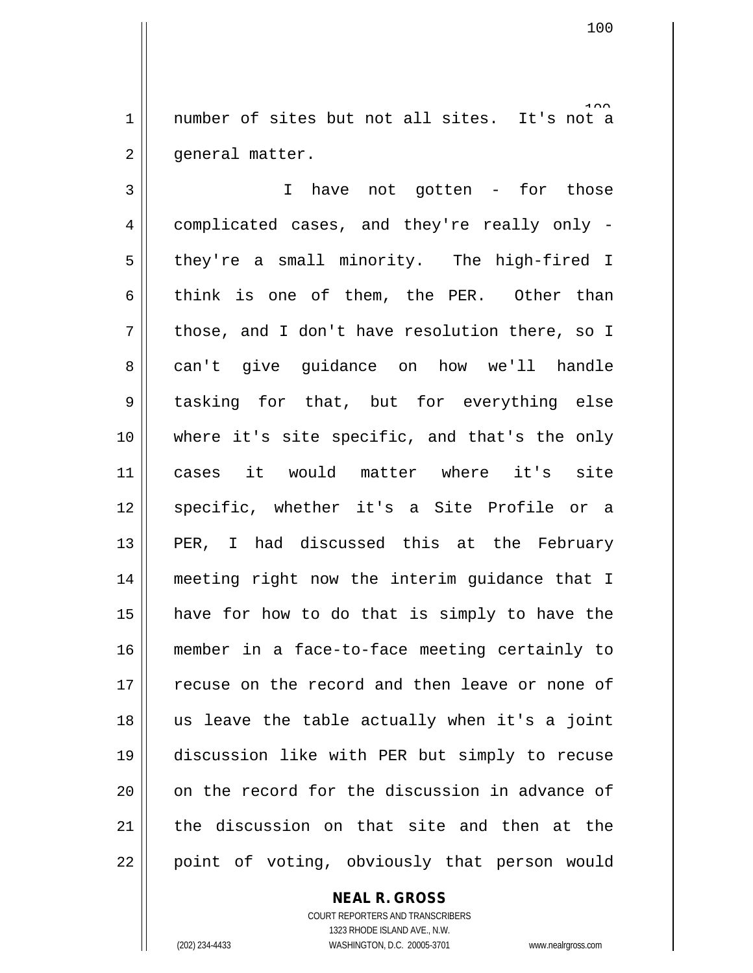1 number of sites but not all sites. It's not a 2 | qeneral matter.

3 || I have not gotten - for those 4 complicated cases, and they're really only -  $5 \parallel$  they're a small minority. The high-fired I 6 think is one of them, the PER. Other than  $7 \parallel$  those, and I don't have resolution there, so I 8 can't give guidance on how we'll handle 9 tasking for that, but for everything else 10 where it's site specific, and that's the only 11 cases it would matter where it's site 12 || specific, whether it's a Site Profile or a 13 || PER, I had discussed this at the February 14 meeting right now the interim guidance that I  $15$  have for how to do that is simply to have the 16 member in a face-to-face meeting certainly to 17 || recuse on the record and then leave or none of  $18$  || us leave the table actually when it's a joint 19 discussion like with PER but simply to recuse  $20$  | on the record for the discussion in advance of 21 the discussion on that site and then at the  $22$  || point of voting, obviously that person would

## **NEAL R. GROSS**

COURT REPORTERS AND TRANSCRIBERS 1323 RHODE ISLAND AVE., N.W. (202) 234-4433 WASHINGTON, D.C. 20005-3701 www.nealrgross.com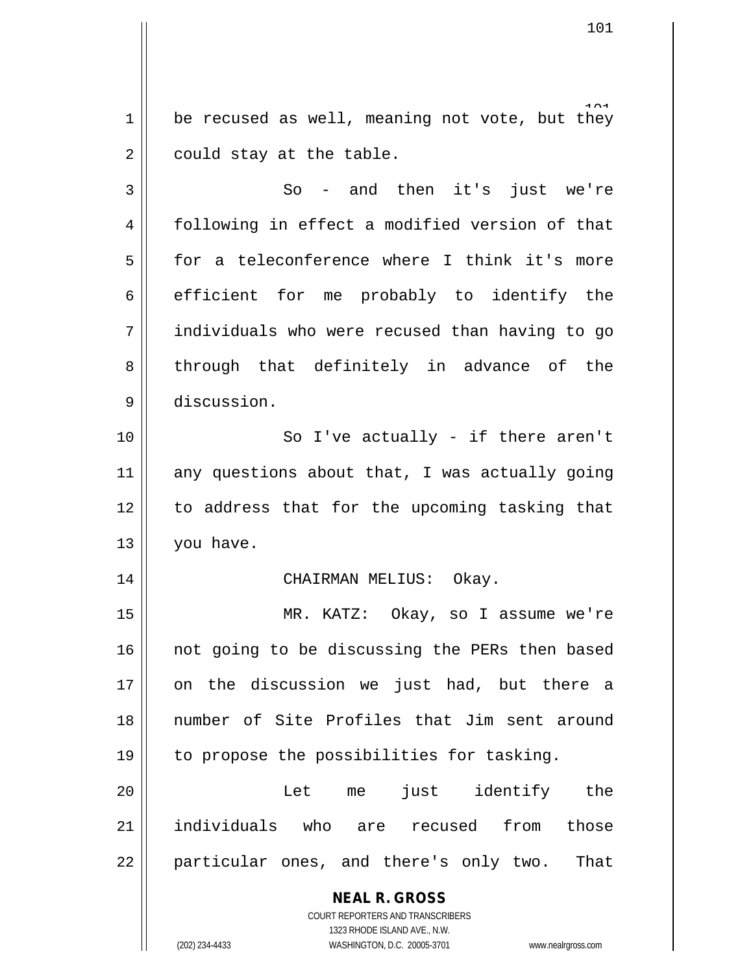$1\parallel$  be recused as well, meaning not vote, but they  $2 \parallel$  could stay at the table.

 $3 \parallel$  So - and then it's just we're 4 | following in effect a modified version of that 5 || for a teleconference where I think it's more  $6 \parallel$  efficient for me probably to identify the 7 individuals who were recused than having to go 8 through that definitely in advance of the 9 discussion.

10 || So I've actually - if there aren't  $11$  any questions about that, I was actually going 12 || to address that for the upcoming tasking that 13 | you have.

## 14 CHAIRMAN MELIUS: Okay.

15 MR. KATZ: Okay, so I assume we're 16 || not going to be discussing the PERs then based 17 || on the discussion we just had, but there a 18 number of Site Profiles that Jim sent around 19 | to propose the possibilities for tasking.

20 Let me just identify the 21 individuals who are recused from those 22 || particular ones, and there's only two. That

> **NEAL R. GROSS** COURT REPORTERS AND TRANSCRIBERS

> > 1323 RHODE ISLAND AVE., N.W.

(202) 234-4433 WASHINGTON, D.C. 20005-3701 www.nealrgross.com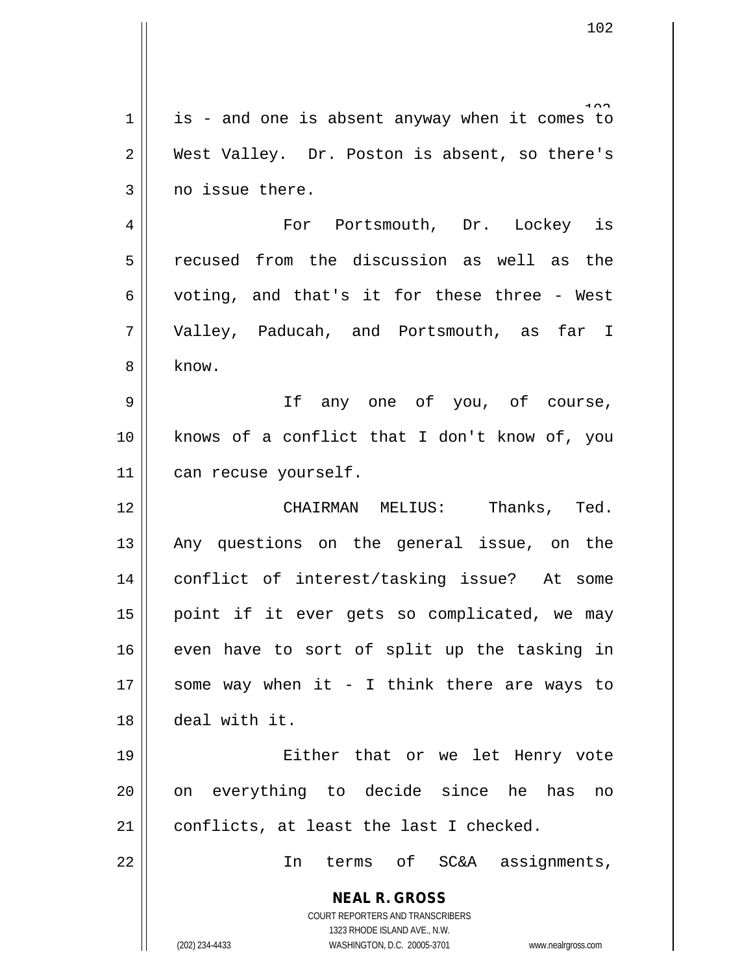|             | 102                                                                 |
|-------------|---------------------------------------------------------------------|
|             |                                                                     |
| $\mathbf 1$ | is - and one is absent anyway when it comes to                      |
| 2           | West Valley. Dr. Poston is absent, so there's                       |
| 3           | no issue there.                                                     |
| 4           | For Portsmouth, Dr. Lockey is                                       |
| 5           | recused from the discussion as well as the                          |
| 6           | voting, and that's it for these three - West                        |
| 7           | Valley, Paducah, and Portsmouth, as far I                           |
|             |                                                                     |
| 8           | know.                                                               |
| 9           | If any one of you, of course,                                       |
| 10          | knows of a conflict that I don't know of, you                       |
| 11          | can recuse yourself.                                                |
| 12          | CHAIRMAN MELIUS: Thanks, Ted.                                       |
| 13          | Any questions on the general issue, on the                          |
| 14          | conflict of interest/tasking issue? At some                         |
| 15          | point if it ever gets so complicated, we may                        |
| 16          | even have to sort of split up the tasking in                        |
| 17          | some way when it - I think there are ways to                        |
| 18          | deal with it.                                                       |
| 19          | Either that or we let Henry vote                                    |
| 20          | on everything to decide since he<br>has<br>no                       |
| 21          | conflicts, at least the last I checked.                             |
| 22          | terms of SC&A assignments,<br>In                                    |
|             |                                                                     |
|             | <b>NEAL R. GROSS</b><br>COURT REPORTERS AND TRANSCRIBERS            |
|             | 1323 RHODE ISLAND AVE., N.W.                                        |
|             | (202) 234-4433<br>WASHINGTON, D.C. 20005-3701<br>www.nealrgross.com |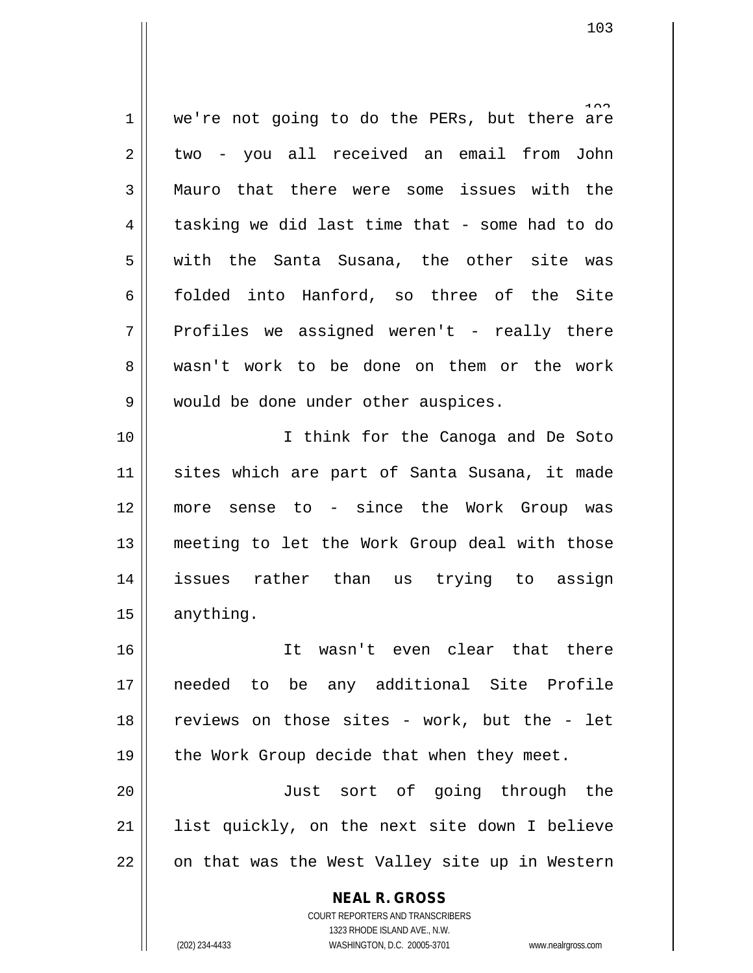$1 \parallel$  we're not going to do the PERs, but there are 2 two - you all received an email from John 3 Mauro that there were some issues with the  $4 \parallel$  tasking we did last time that - some had to do 5 with the Santa Susana, the other site was 6 || folded into Hanford, so three of the Site  $7 \parallel$  Profiles we assigned weren't - really there 8 wasn't work to be done on them or the work 9 || would be done under other auspices. 10 I think for the Canoga and De Soto 11 || sites which are part of Santa Susana, it made

12 more sense to - since the Work Group was 13 || meeting to let the Work Group deal with those 14 issues rather than us trying to assign 15 | anything.

 It wasn't even clear that there needed to be any additional Site Profile 18 || reviews on those sites - work, but the - let  $\parallel$  the Work Group decide that when they meet.

20 || Just sort of going through the 21 list quickly, on the next site down I believe  $22 \parallel$  on that was the West Valley site up in Western

> **NEAL R. GROSS** COURT REPORTERS AND TRANSCRIBERS

> > 1323 RHODE ISLAND AVE., N.W.

(202) 234-4433 WASHINGTON, D.C. 20005-3701 www.nealrgross.com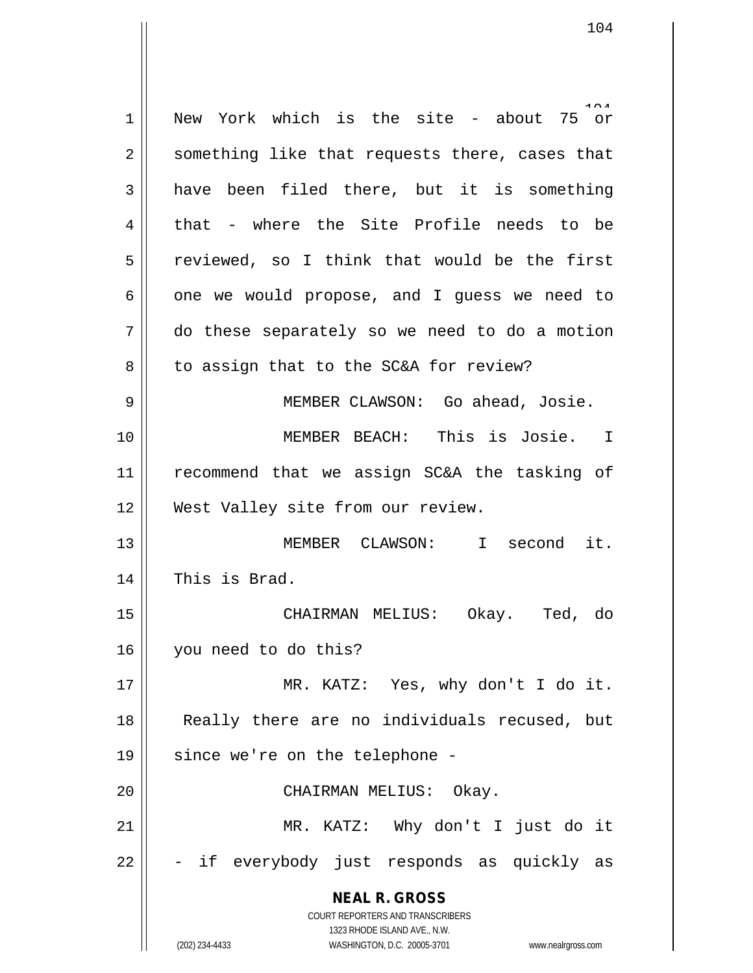**NEAL R. GROSS** COURT REPORTERS AND TRANSCRIBERS 1323 RHODE ISLAND AVE., N.W. (202) 234-4433 WASHINGTON, D.C. 20005-3701 www.nealrgross.com  $1$  New York which is the site - about 75 or  $2 \parallel$  something like that requests there, cases that  $3 \parallel$  have been filed there, but it is something  $4 \parallel$  that - where the Site Profile needs to be  $5 \parallel$  reviewed, so I think that would be the first  $6 \parallel$  one we would propose, and I quess we need to 7 do these separately so we need to do a motion  $8 \parallel$  to assign that to the SC&A for review? 9 || MEMBER CLAWSON: Go ahead, Josie. 10 MEMBER BEACH: This is Josie. I 11 recommend that we assign SC&A the tasking of 12 West Valley site from our review. 13 MEMBER CLAWSON: I second it. 14 || This is Brad. 15 CHAIRMAN MELIUS: Okay. Ted, do 16 you need to do this? 17 || MR. KATZ: Yes, why don't I do it. 18 Really there are no individuals recused, but 19 || since we're on the telephone -20 CHAIRMAN MELIUS: Okay. 21 MR. KATZ: Why don't I just do it  $22 \parallel$  - if everybody just responds as quickly as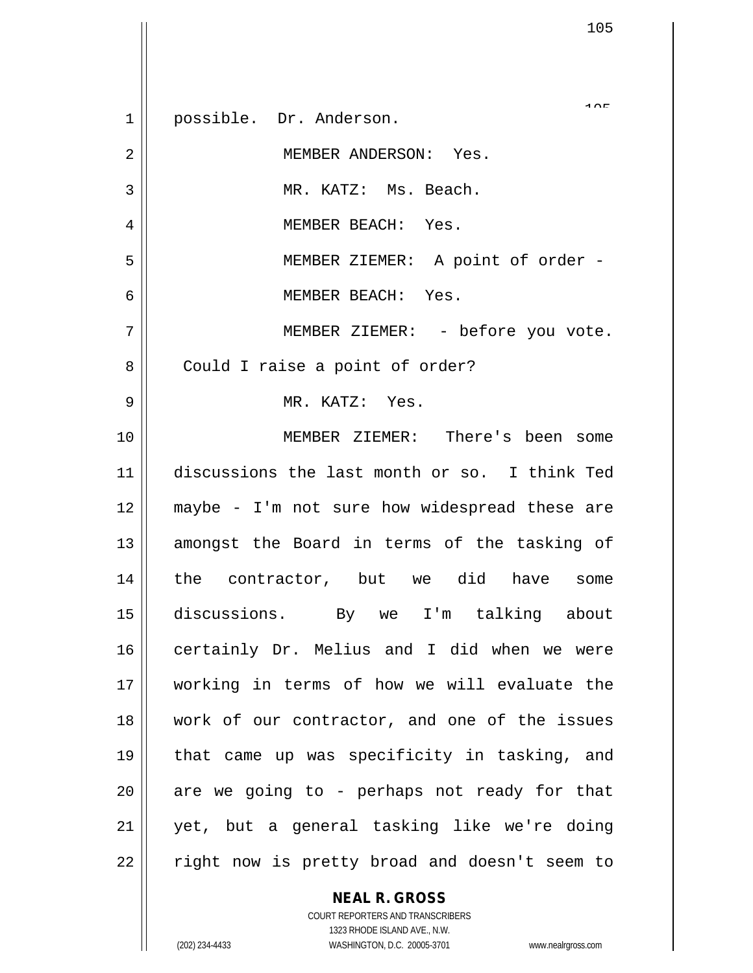$10T$  possible. Dr. Anderson. MEMBER ANDERSON: Yes. MR. KATZ: Ms. Beach. MEMBER BEACH: Yes. MEMBER ZIEMER: A point of order - MEMBER BEACH: Yes. MEMBER ZIEMER: - before you vote. 8 | Could I raise a point of order? MR. KATZ: Yes. MEMBER ZIEMER: There's been some discussions the last month or so. I think Ted 12 || maybe - I'm not sure how widespread these are 13 || amongst the Board in terms of the tasking of the contractor, but we did have some discussions. By we I'm talking about 16 certainly Dr. Melius and I did when we were working in terms of how we will evaluate the work of our contractor, and one of the issues that came up was specificity in tasking, and || are we going to - perhaps not ready for that yet, but a general tasking like we're doing | right now is pretty broad and doesn't seem to

> **NEAL R. GROSS** COURT REPORTERS AND TRANSCRIBERS

> > 1323 RHODE ISLAND AVE., N.W.

(202) 234-4433 WASHINGTON, D.C. 20005-3701 www.nealrgross.com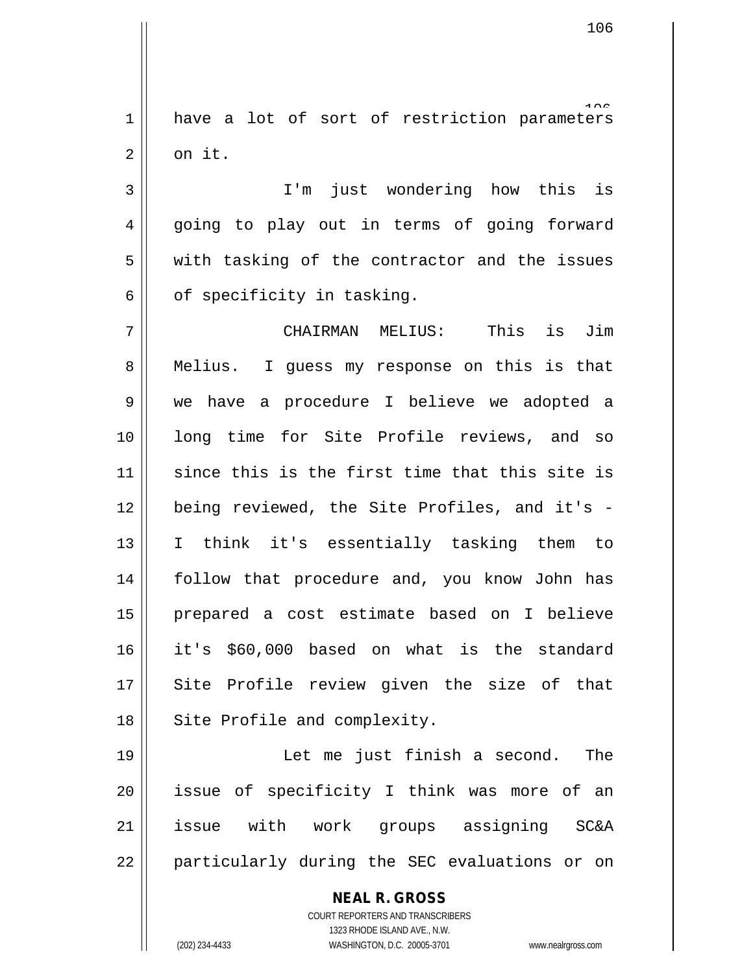1 have a lot of sort of restriction parameters  $2 \parallel$  on it.

3 I'm just wondering how this is 4 || going to play out in terms of going forward 5 with tasking of the contractor and the issues  $6 \parallel$  of specificity in tasking.

7 CHAIRMAN MELIUS: This is Jim 8 || Melius. I guess my response on this is that 9 we have a procedure I believe we adopted a 10 long time for Site Profile reviews, and so  $11$  since this is the first time that this site is 12 || being reviewed, the Site Profiles, and it's -13 I think it's essentially tasking them to 14 || follow that procedure and, you know John has 15 prepared a cost estimate based on I believe 16 it's \$60,000 based on what is the standard 17 || Site Profile review given the size of that 18 || Site Profile and complexity.

19 Let me just finish a second. The 20 || issue of specificity I think was more of an 21 issue with work groups assigning SC&A 22 || particularly during the SEC evaluations or on

> **NEAL R. GROSS** COURT REPORTERS AND TRANSCRIBERS 1323 RHODE ISLAND AVE., N.W. (202) 234-4433 WASHINGTON, D.C. 20005-3701 www.nealrgross.com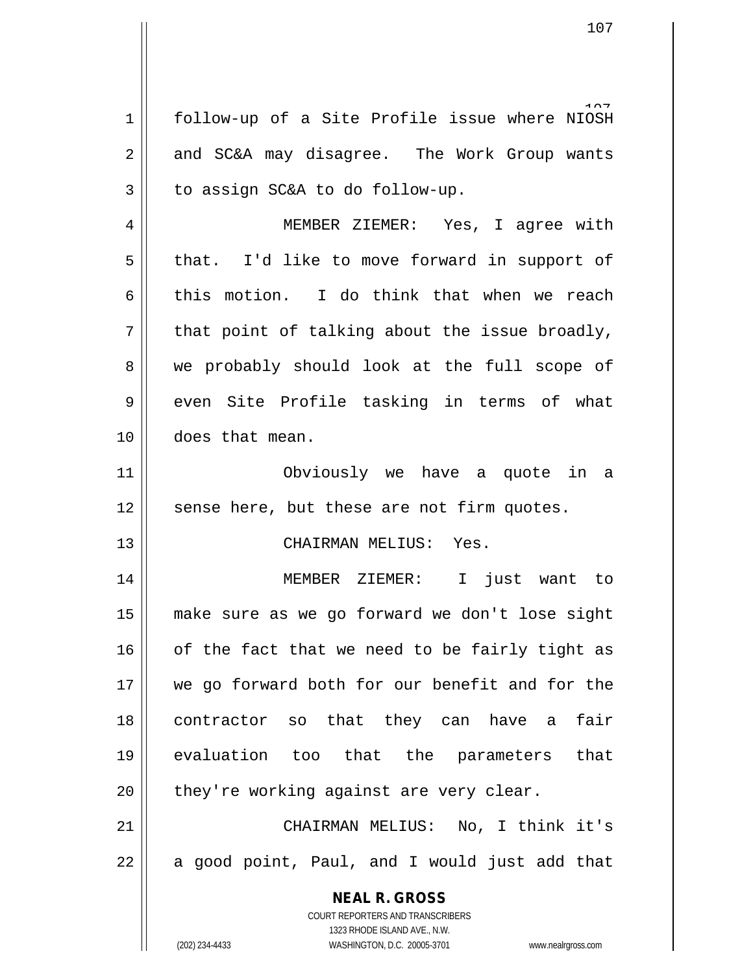1 | follow-up of a Site Profile issue where NIOSH 2 and SC&A may disagree. The Work Group wants  $3 \parallel$  to assign SC&A to do follow-up.

4 MEMBER ZIEMER: Yes, I agree with  $5 \parallel$  that. I'd like to move forward in support of 6 this motion. I do think that when we reach  $7 \parallel$  that point of talking about the issue broadly, 8 we probably should look at the full scope of 9 even Site Profile tasking in terms of what 10 does that mean.

11 Obviously we have a quote in a  $12$  sense here, but these are not firm quotes.

13 CHAIRMAN MELIUS: Yes.

 MEMBER ZIEMER: I just want to make sure as we go forward we don't lose sight of the fact that we need to be fairly tight as 17 || we go forward both for our benefit and for the contractor so that they can have a fair evaluation too that the parameters that || they're working against are very clear.

21 CHAIRMAN MELIUS: No, I think it's  $22 \parallel$  a good point, Paul, and I would just add that

> **NEAL R. GROSS** COURT REPORTERS AND TRANSCRIBERS

> > 1323 RHODE ISLAND AVE., N.W.

(202) 234-4433 WASHINGTON, D.C. 20005-3701 www.nealrgross.com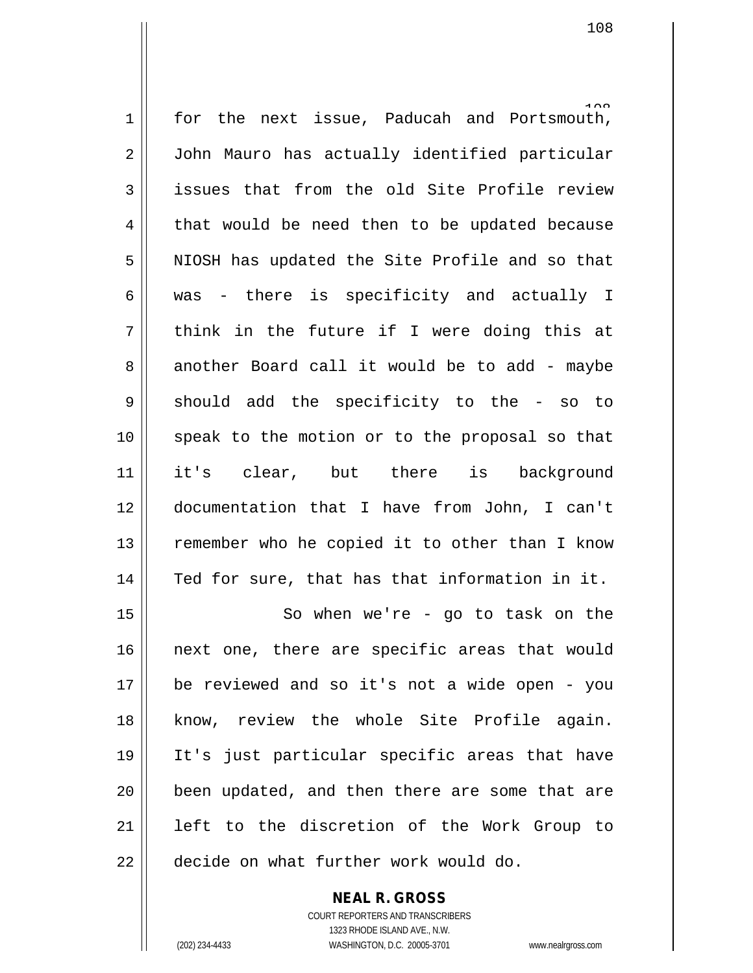1 for the next issue, Paducah and Portsmouth, 2 | John Mauro has actually identified particular  $3$  issues that from the old Site Profile review  $4 \parallel$  that would be need then to be updated because 5 || NIOSH has updated the Site Profile and so that 6 was - there is specificity and actually I  $7 \parallel$  think in the future if I were doing this at 8 another Board call it would be to add - maybe  $9 \parallel$  should add the specificity to the - so to 10 || speak to the motion or to the proposal so that 11 it's clear, but there is background 12 documentation that I have from John, I can't  $13$  | remember who he copied it to other than I know  $14$  | Ted for sure, that has that information in it. 15 || So when we're - go to task on the

16 || next one, there are specific areas that would 17 be reviewed and so it's not a wide open - you 18 know, review the whole Site Profile again. 19 It's just particular specific areas that have 20 || been updated, and then there are some that are 21 left to the discretion of the Work Group to 22 | decide on what further work would do.

> COURT REPORTERS AND TRANSCRIBERS 1323 RHODE ISLAND AVE., N.W. (202) 234-4433 WASHINGTON, D.C. 20005-3701 www.nealrgross.com

**NEAL R. GROSS**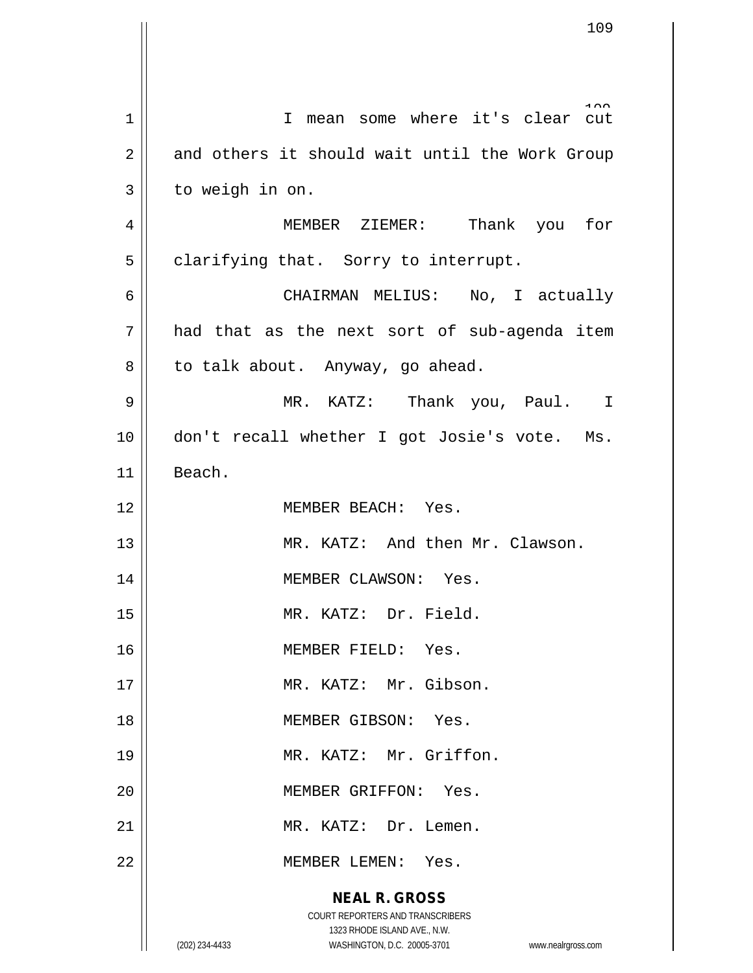**NEAL R. GROSS** COURT REPORTERS AND TRANSCRIBERS 1323 RHODE ISLAND AVE., N.W. (202) 234-4433 WASHINGTON, D.C. 20005-3701 www.nealrgross.com 1 || I mean some where it's clear cut  $2 \parallel$  and others it should wait until the Work Group  $3 \parallel$  to weigh in on. 4 MEMBER ZIEMER: Thank you for  $5 \parallel$  clarifying that. Sorry to interrupt. 6 CHAIRMAN MELIUS: No, I actually  $7 \parallel$  had that as the next sort of sub-agenda item 8 | to talk about. Anyway, go ahead. 9 MR. KATZ: Thank you, Paul. I 10 || don't recall whether I got Josie's vote. Ms. 11 Beach. 12 MEMBER BEACH: Yes. 13 MR. KATZ: And then Mr. Clawson. 14 MEMBER CLAWSON: Yes. 15 || MR. KATZ: Dr. Field. 16 || MEMBER FIELD: Yes. 17 || MR. KATZ: Mr. Gibson. 18 MEMBER GIBSON: Yes. 19 || MR. KATZ: Mr. Griffon. 20 || MEMBER GRIFFON: Yes. 21 MR. KATZ: Dr. Lemen. 22 MEMBER LEMEN: Yes.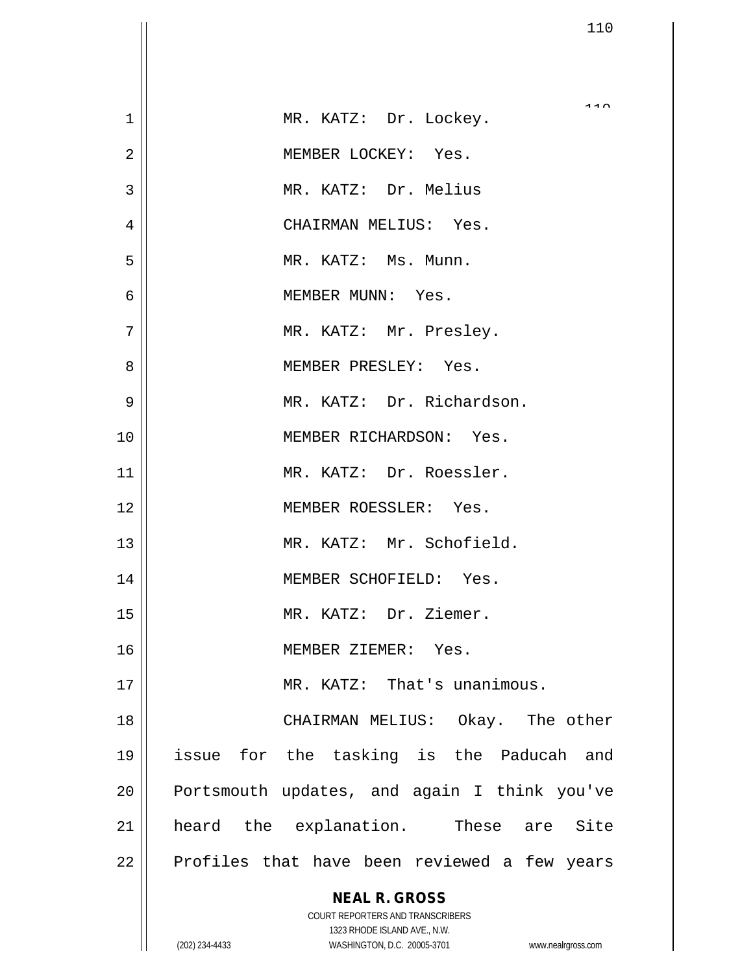| $\mathbf 1$    | 110<br>MR. KATZ: Dr. Lockey.                                        |
|----------------|---------------------------------------------------------------------|
| $\overline{2}$ | MEMBER LOCKEY: Yes.                                                 |
| 3              | MR. KATZ: Dr. Melius                                                |
| 4              | CHAIRMAN MELIUS: Yes.                                               |
| 5              | MR. KATZ: Ms. Munn.                                                 |
| 6              | MEMBER MUNN: Yes.                                                   |
| 7              | MR. KATZ: Mr. Presley.                                              |
| 8              | MEMBER PRESLEY: Yes.                                                |
| 9              | MR. KATZ: Dr. Richardson.                                           |
| 10             | MEMBER RICHARDSON: Yes.                                             |
| 11             | MR. KATZ: Dr. Roessler.                                             |
| 12             | MEMBER ROESSLER: Yes.                                               |
| 13             | MR. KATZ: Mr. Schofield.                                            |
| 14             | MEMBER SCHOFIELD: Yes.                                              |
| 15             | MR. KATZ: Dr. Ziemer.                                               |
| 16             | MEMBER ZIEMER: Yes.                                                 |
| 17             | MR. KATZ: That's unanimous.                                         |
| 18             | CHAIRMAN MELIUS: Okay. The other                                    |
| 19             | issue for the tasking is the Paducah and                            |
| 20             | Portsmouth updates, and again I think you've                        |
| 21             | heard the explanation. These are Site                               |
| 22             | Profiles that have been reviewed a few years                        |
|                | <b>NEAL R. GROSS</b>                                                |
|                | COURT REPORTERS AND TRANSCRIBERS                                    |
|                | 1323 RHODE ISLAND AVE., N.W.                                        |
|                | WASHINGTON, D.C. 20005-3701<br>(202) 234-4433<br>www.nealrgross.com |

 $\overline{\phantom{a}}$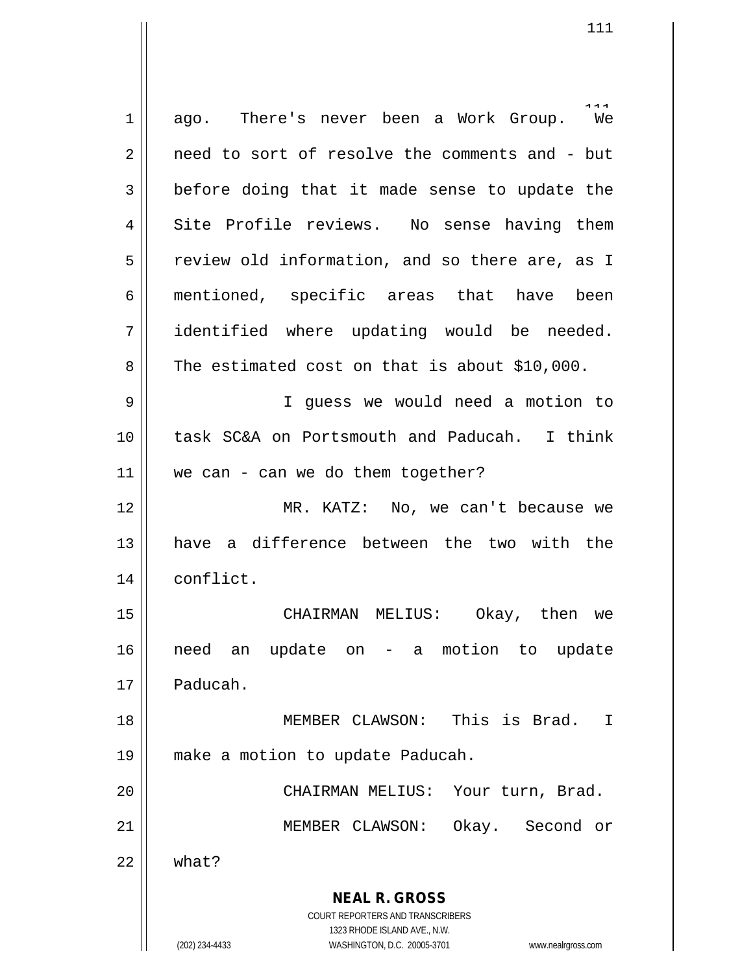**NEAL R. GROSS** COURT REPORTERS AND TRANSCRIBERS 1323 RHODE ISLAND AVE., N.W. (202) 234-4433 WASHINGTON, D.C. 20005-3701 www.nealrgross.com naa<br>We  $1 \parallel$  ago. There's never been a Work Group. 2 | need to sort of resolve the comments and - but  $3 \parallel$  before doing that it made sense to update the 4 || Site Profile reviews. No sense having them  $5 \parallel$  review old information, and so there are, as I 6 mentioned, specific areas that have been 7 identified where updating would be needed.  $8 \parallel$  The estimated cost on that is about \$10,000. 9 I guess we would need a motion to 10 task SC&A on Portsmouth and Paducah. I think  $11$  we can - can we do them together? 12 || MR. KATZ: No, we can't because we 13 have a difference between the two with the 14 | conflict. 15 CHAIRMAN MELIUS: Okay, then we 16 need an update on - a motion to update 17 Paducah. 18 MEMBER CLAWSON: This is Brad. I 19 make a motion to update Paducah. 20 || CHAIRMAN MELIUS: Your turn, Brad. 21 MEMBER CLAWSON: Okay. Second or  $22 \parallel$  what?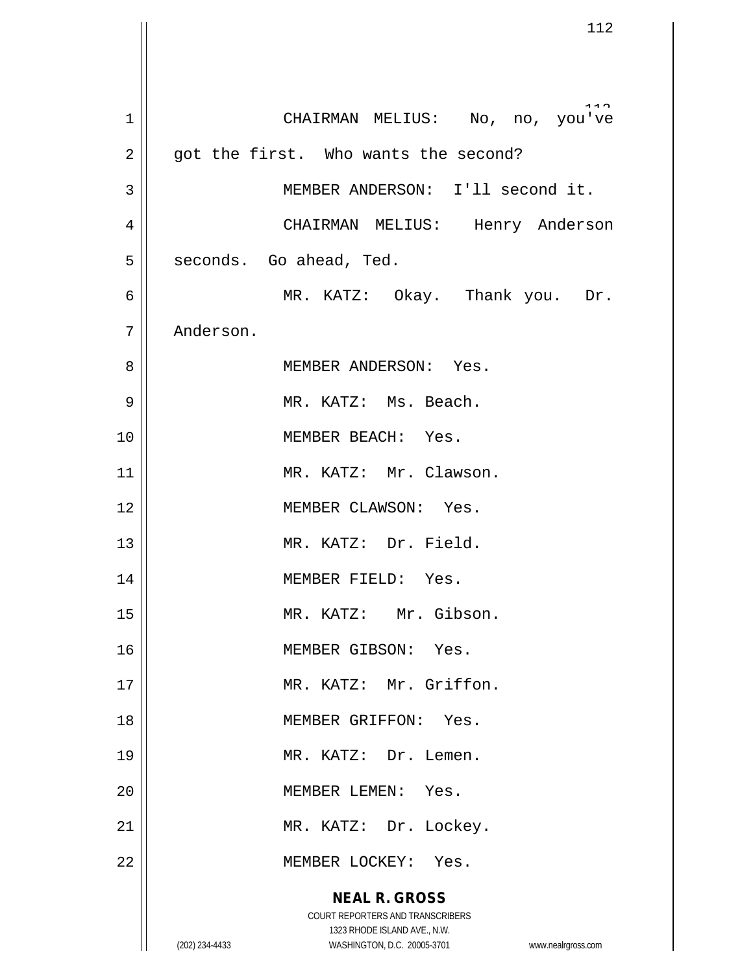**NEAL R. GROSS** COURT REPORTERS AND TRANSCRIBERS 1323 RHODE ISLAND AVE., N.W. (202) 234-4433 WASHINGTON, D.C. 20005-3701 www.nealrgross.com 1 || CHAIRMAN MELIUS: No, no, you've  $2 \parallel$  got the first. Who wants the second? 3 || MEMBER ANDERSON: I'll second it. 4 CHAIRMAN MELIUS: Henry Anderson  $5 \parallel$  seconds. Go ahead, Ted. 6 MR. KATZ: Okay. Thank you. Dr. 7 | Anderson. 8 MEMBER ANDERSON: Yes. 9 MR. KATZ: Ms. Beach. 10 || **MEMBER BEACH:** Yes. 11 || MR. KATZ: Mr. Clawson. 12 MEMBER CLAWSON: Yes. 13 || MR. KATZ: Dr. Field. 14 || MEMBER FIELD: Yes. 15 || MR. KATZ: Mr. Gibson. 16 || MEMBER GIBSON: Yes. 17 || MR. KATZ: Mr. Griffon. 18 MEMBER GRIFFON: Yes. 19 || MR. KATZ: Dr. Lemen. 20 | **MEMBER LEMEN:** Yes. 21 || MR. KATZ: Dr. Lockey. 22 || MEMBER LOCKEY: Yes.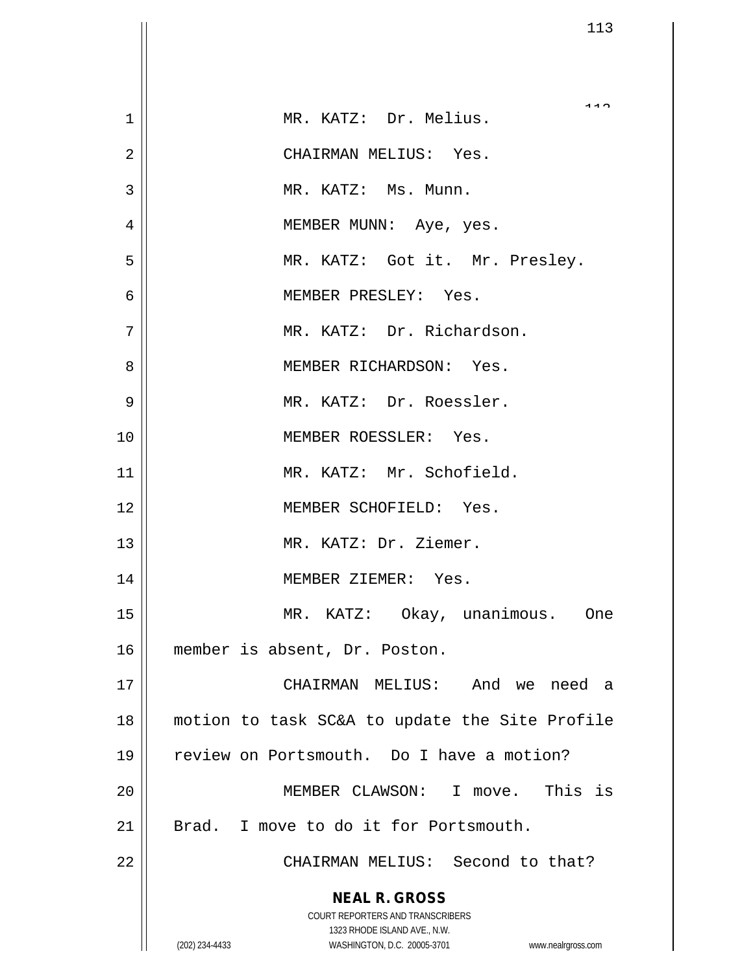|                | 113                                                                 |
|----------------|---------------------------------------------------------------------|
|                |                                                                     |
| $\mathbf{1}$   | MR. KATZ: Dr. Melius.                                               |
| $\overline{2}$ | CHAIRMAN MELIUS: Yes.                                               |
| 3              | MR. KATZ: Ms. Munn.                                                 |
| 4              | MEMBER MUNN: Aye, yes.                                              |
| 5              | MR. KATZ: Got it. Mr. Presley.                                      |
| $\overline{6}$ | MEMBER PRESLEY: Yes.                                                |
| 7              | MR. KATZ: Dr. Richardson.                                           |
| 8              | MEMBER RICHARDSON: Yes.                                             |
| 9              | MR. KATZ: Dr. Roessler.                                             |
| 10             | MEMBER ROESSLER: Yes.                                               |
| 11             | MR. KATZ: Mr. Schofield.                                            |
| 12             | MEMBER SCHOFIELD: Yes.                                              |
| 13             | MR. KATZ: Dr. Ziemer.                                               |
| 14             | MEMBER ZIEMER: Yes.                                                 |
| 15             | MR. KATZ: Okay, unanimous. One                                      |
| 16             | member is absent, Dr. Poston.                                       |
| 17             | CHAIRMAN MELIUS: And we need a                                      |
| 18             | motion to task SC&A to update the Site Profile                      |
| 19             | review on Portsmouth. Do I have a motion?                           |
| 20             | MEMBER CLAWSON: I move. This is                                     |
| 21             | Brad. I move to do it for Portsmouth.                               |
| 22             | CHAIRMAN MELIUS: Second to that?                                    |
|                | <b>NEAL R. GROSS</b>                                                |
|                | COURT REPORTERS AND TRANSCRIBERS<br>1323 RHODE ISLAND AVE., N.W.    |
|                | (202) 234-4433<br>WASHINGTON, D.C. 20005-3701<br>www.nealrgross.com |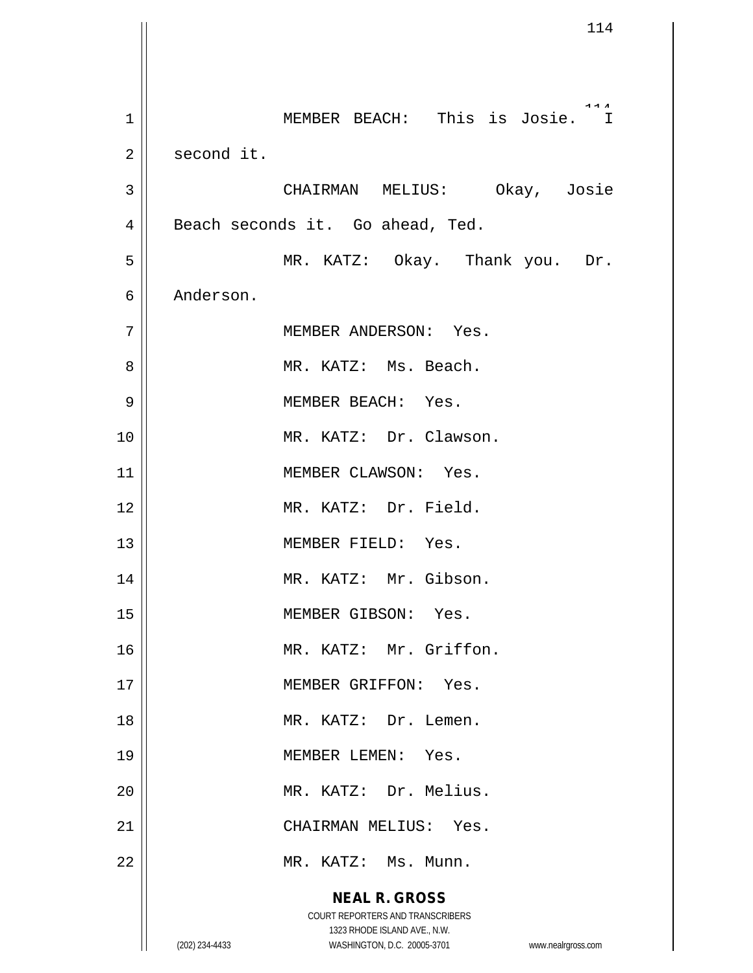**NEAL R. GROSS** COURT REPORTERS AND TRANSCRIBERS 1323 RHODE ISLAND AVE., N.W. (202) 234-4433 WASHINGTON, D.C. 20005-3701 www.nealrgross.com 114 1 MEMBER BEACH: This is Josie. I  $2 \parallel$  second it. 3 CHAIRMAN MELIUS: Okay, Josie 4 | Beach seconds it. Go ahead, Ted. 5 MR. KATZ: Okay. Thank you. Dr. 6 Anderson. 7 | MEMBER ANDERSON: Yes. 8 MR. KATZ: Ms. Beach. 9 || MEMBER BEACH: Yes. 10 || MR. KATZ: Dr. Clawson. 11 || MEMBER CLAWSON: Yes. 12 MR. KATZ: Dr. Field. 13 || MEMBER FIELD: Yes. 14 || MR. KATZ: Mr. Gibson. 15 || MEMBER GIBSON: Yes. 16 MR. KATZ: Mr. Griffon. 17 || MEMBER GRIFFON: Yes. 18 || MR. KATZ: Dr. Lemen. 19 MEMBER LEMEN: Yes. 20 MR. KATZ: Dr. Melius. 21 CHAIRMAN MELIUS: Yes. 22 | MR. KATZ: Ms. Munn.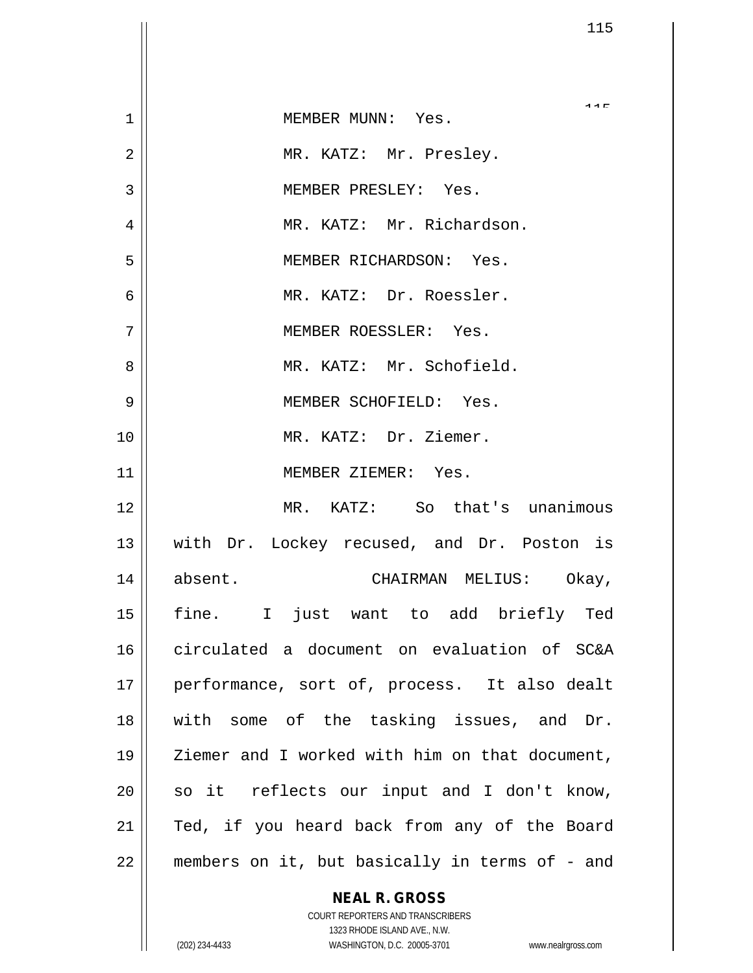| 1  | MEMBER MUNN: Yes.                              |
|----|------------------------------------------------|
| 2  | MR. KATZ: Mr. Presley.                         |
| 3  | MEMBER PRESLEY: Yes.                           |
| 4  | MR. KATZ: Mr. Richardson.                      |
| 5  | MEMBER RICHARDSON: Yes.                        |
| 6  | MR. KATZ: Dr. Roessler.                        |
| 7  | MEMBER ROESSLER: Yes.                          |
| 8  | MR. KATZ: Mr. Schofield.                       |
| 9  | MEMBER SCHOFIELD: Yes.                         |
| 10 | MR. KATZ: Dr. Ziemer.                          |
| 11 | MEMBER ZIEMER: Yes.                            |
| 12 | MR. KATZ: So that's unanimous                  |
| 13 | with Dr. Lockey recused, and Dr. Poston is     |
| 14 | absent.<br>CHAIRMAN MELIUS: Okay,              |
| 15 | fine. I just want to add briefly Ted           |
| 16 | circulated a document on evaluation of SC&A    |
| 17 | performance, sort of, process. It also dealt   |
| 18 | with some of the tasking issues, and Dr.       |
| 19 | Ziemer and I worked with him on that document, |
| 20 | so it reflects our input and I don't know,     |
| 21 | Ted, if you heard back from any of the Board   |
| 22 | members on it, but basically in terms of - and |

## **NEAL R. GROSS**

 $\mathbf{I}$ 

COURT REPORTERS AND TRANSCRIBERS 1323 RHODE ISLAND AVE., N.W. (202) 234-4433 WASHINGTON, D.C. 20005-3701 www.nealrgross.com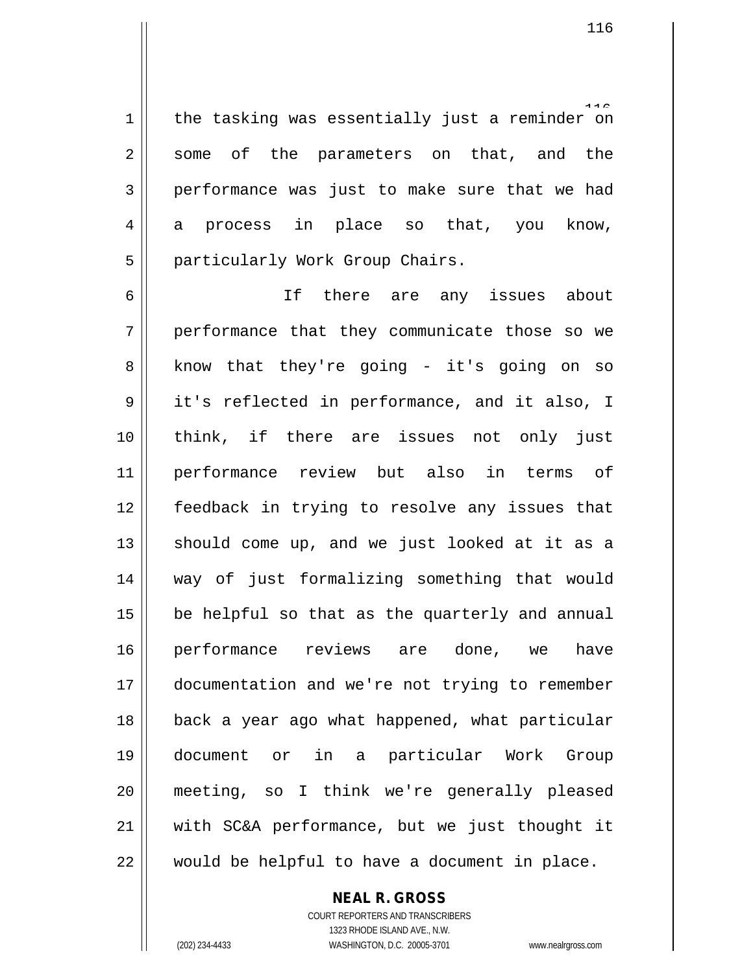1 || the tasking was essentially just a reminder on 2 some of the parameters on that, and the performance was just to make sure that we had  $4 \parallel$  a process in place so that, you know, 5 | particularly Work Group Chairs.

 If there are any issues about performance that they communicate those so we  $8 \parallel$  know that they're going - it's going on so 9 | it's reflected in performance, and it also, I think, if there are issues not only just performance review but also in terms of feedback in trying to resolve any issues that should come up, and we just looked at it as a way of just formalizing something that would || be helpful so that as the quarterly and annual performance reviews are done, we have documentation and we're not trying to remember back a year ago what happened, what particular document or in a particular Work Group meeting, so I think we're generally pleased || with SC&A performance, but we just thought it  $\parallel$  would be helpful to have a document in place.

**NEAL R. GROSS**

COURT REPORTERS AND TRANSCRIBERS 1323 RHODE ISLAND AVE., N.W. (202) 234-4433 WASHINGTON, D.C. 20005-3701 www.nealrgross.com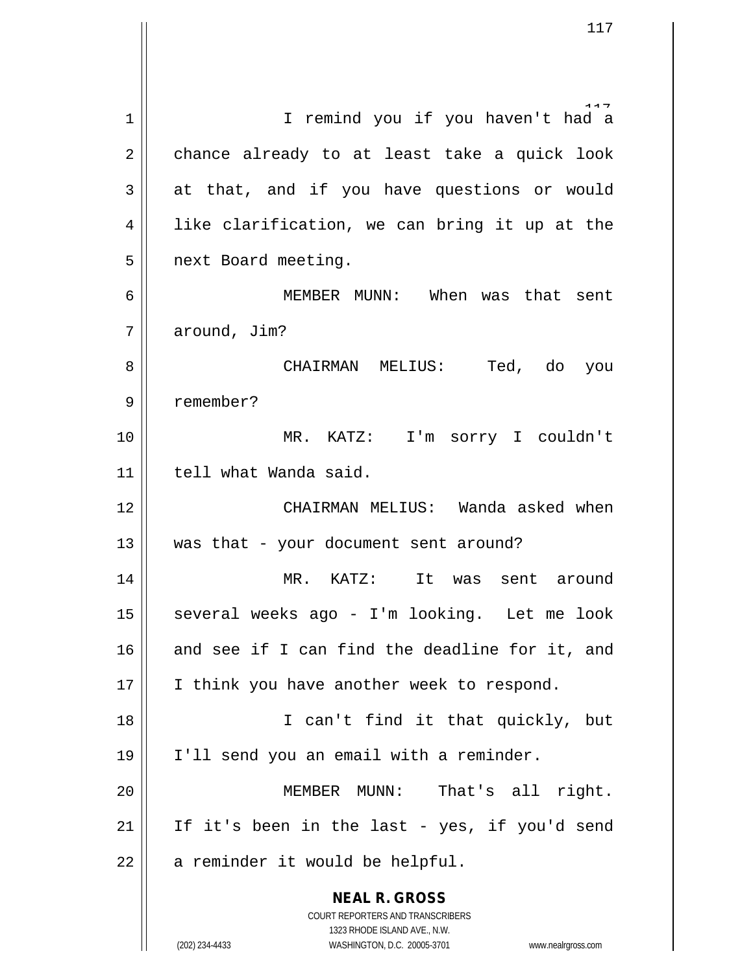**NEAL R. GROSS** COURT REPORTERS AND TRANSCRIBERS 1323 RHODE ISLAND AVE., N.W. 1 || I remind you if you haven't had a  $2 \parallel$  chance already to at least take a quick look  $3 \parallel$  at that, and if you have questions or would  $4 \parallel$  like clarification, we can bring it up at the 5 | next Board meeting. 6 MEMBER MUNN: When was that sent 7 | around, Jim? 8 CHAIRMAN MELIUS: Ted, do you 9 remember? 10 MR. KATZ: I'm sorry I couldn't 11 | tell what Wanda said. 12 CHAIRMAN MELIUS: Wanda asked when  $13$  || was that - your document sent around? 14 MR. KATZ: It was sent around 15 || several weeks ago - I'm looking. Let me look 16  $\parallel$  and see if I can find the deadline for it, and 17 || I think you have another week to respond. 18 I can't find it that quickly, but 19 I'll send you an email with a reminder. 20 MEMBER MUNN: That's all right. 21 || If it's been in the last - yes, if you'd send  $22$  | a reminder it would be helpful.

(202) 234-4433 WASHINGTON, D.C. 20005-3701 www.nealrgross.com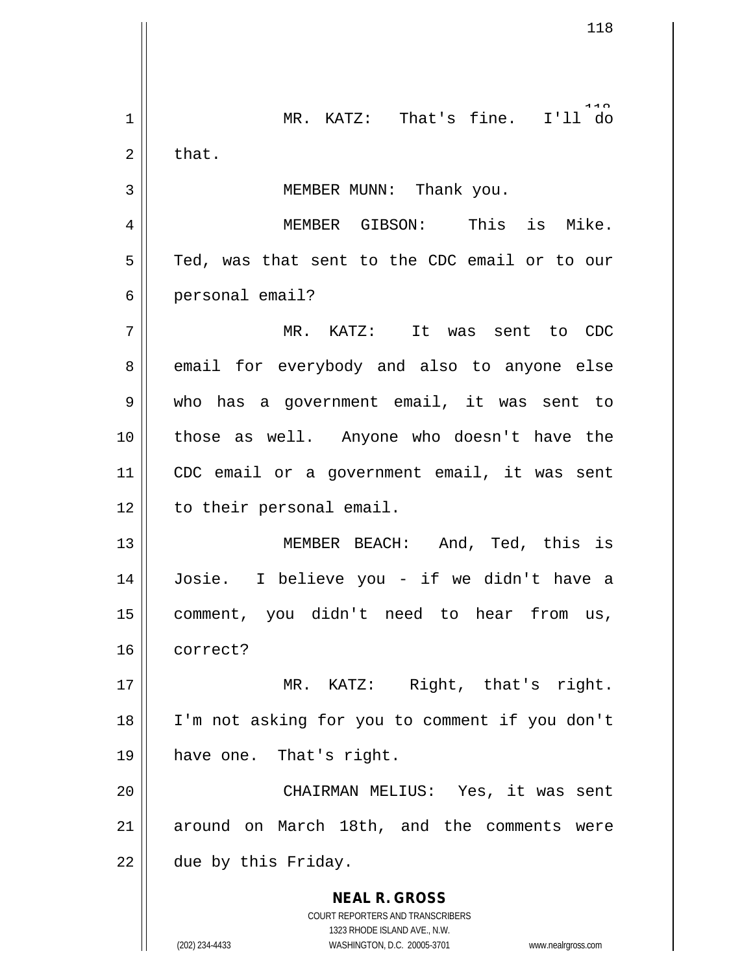**NEAL R. GROSS** COURT REPORTERS AND TRANSCRIBERS 1323 RHODE ISLAND AVE., N.W. 1 || MR. KATZ: That's fine. I'll do  $2 \parallel$  that. 3 || MEMBER MUNN: Thank you. 4 MEMBER GIBSON: This is Mike.  $5 \parallel$  Ted, was that sent to the CDC email or to our 6 | personal email? 7 MR. KATZ: It was sent to CDC 8 email for everybody and also to anyone else 9 who has a government email, it was sent to 10 those as well. Anyone who doesn't have the 11 CDC email or a government email, it was sent 12 | to their personal email. 13 MEMBER BEACH: And, Ted, this is 14 Josie. I believe you - if we didn't have a 15 comment, you didn't need to hear from us, 16 correct? 17 || MR. KATZ: Right, that's right. 18 I'm not asking for you to comment if you don't 19 have one. That's right. 20 CHAIRMAN MELIUS: Yes, it was sent 21 || around on March 18th, and the comments were  $22$  | due by this Friday.

(202) 234-4433 WASHINGTON, D.C. 20005-3701 www.nealrgross.com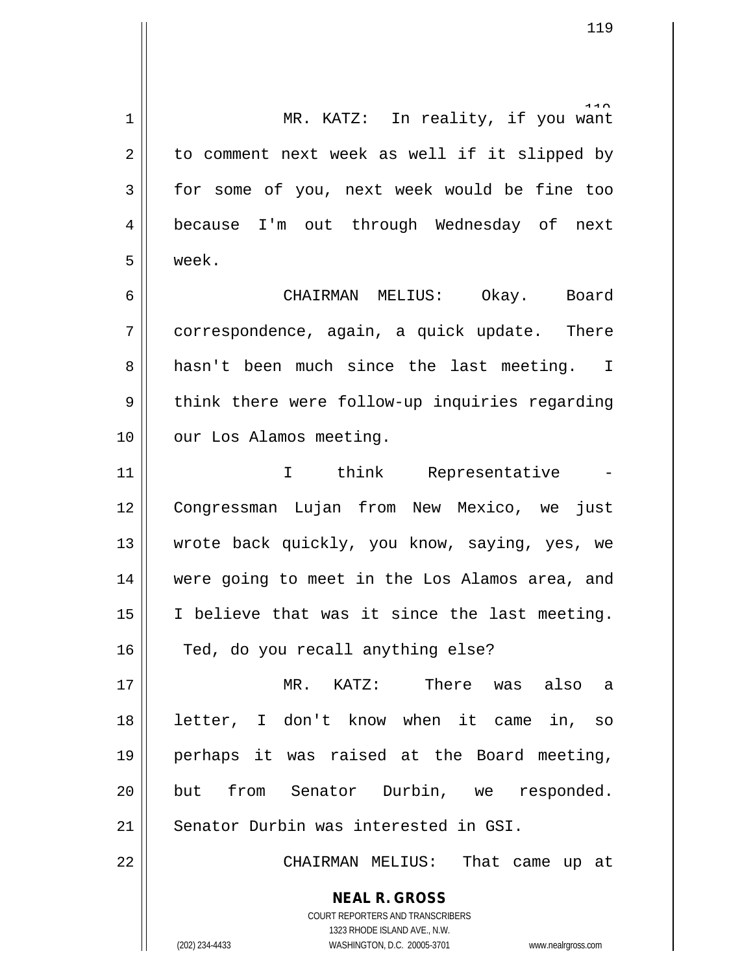**NEAL R. GROSS** COURT REPORTERS AND TRANSCRIBERS 1323 RHODE ISLAND AVE., N.W. 1 || MR. KATZ: In reality, if you want  $2 \parallel$  to comment next week as well if it slipped by 3 for some of you, next week would be fine too 4 | because I'm out through Wednesday of next 5 week. 6 CHAIRMAN MELIUS: Okay. Board 7 || correspondence, again, a quick update. There 8 a hasn't been much since the last meeting. I  $9 \parallel$  think there were follow-up inquiries regarding 10 | our Los Alamos meeting. 11 || I think Representative 12 Congressman Lujan from New Mexico, we just 13 || wrote back quickly, you know, saying, yes, we 14 were going to meet in the Los Alamos area, and 15 I believe that was it since the last meeting. 16 || Ted, do you recall anything else? 17 MR. KATZ: There was also a 18 letter, I don't know when it came in, so 19 perhaps it was raised at the Board meeting, 20 || but from Senator Durbin, we responded. 21 Senator Durbin was interested in GSI. 22 CHAIRMAN MELIUS: That came up at

(202) 234-4433 WASHINGTON, D.C. 20005-3701 www.nealrgross.com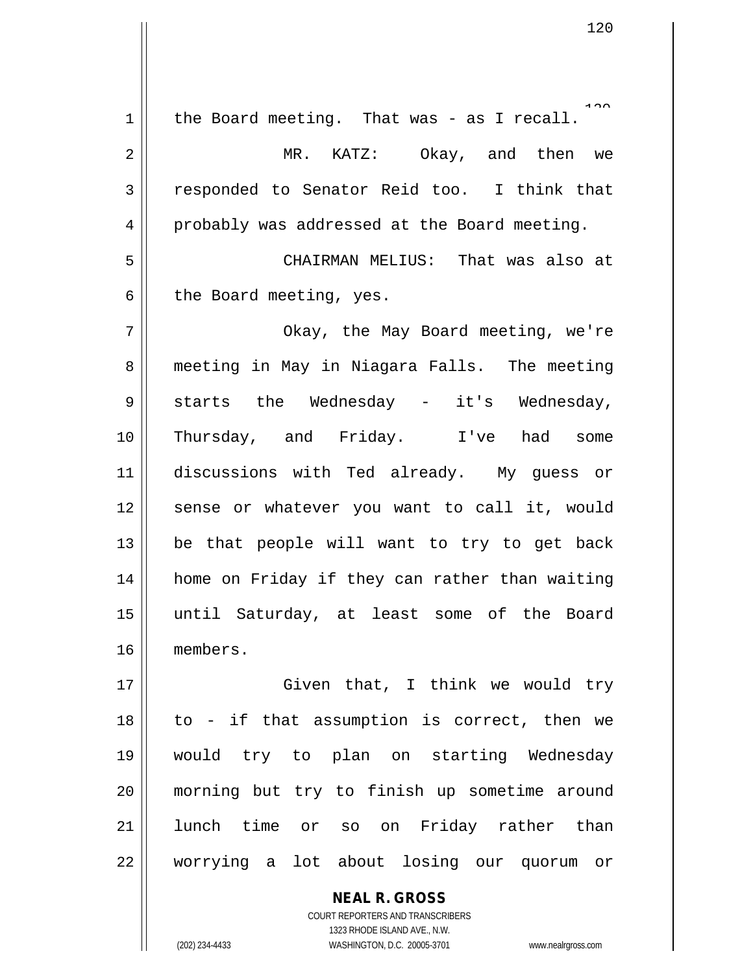$1.22$  $1$  the Board meeting. That was - as I recall. 2 MR. KATZ: Okay, and then we 3 responded to Senator Reid too. I think that 4 | probably was addressed at the Board meeting. 5 CHAIRMAN MELIUS: That was also at  $6 \parallel$  the Board meeting, yes. 7 Okay, the May Board meeting, we're 8 || meeting in May in Niagara Falls. The meeting  $9 \parallel$  starts the Wednesday - it's Wednesday, 10 Thursday, and Friday. I've had some 11 discussions with Ted already. My guess or 12 || sense or whatever you want to call it, would  $13$  be that people will want to try to get back 14 || home on Friday if they can rather than waiting 15 until Saturday, at least some of the Board 16 members. 17 || Given that, I think we would try 18 to - if that assumption is correct, then we 19 would try to plan on starting Wednesday 20 morning but try to finish up sometime around 21 || lunch time or so on Friday rather than 22 worrying a lot about losing our quorum or

> **NEAL R. GROSS** COURT REPORTERS AND TRANSCRIBERS 1323 RHODE ISLAND AVE., N.W. (202) 234-4433 WASHINGTON, D.C. 20005-3701 www.nealrgross.com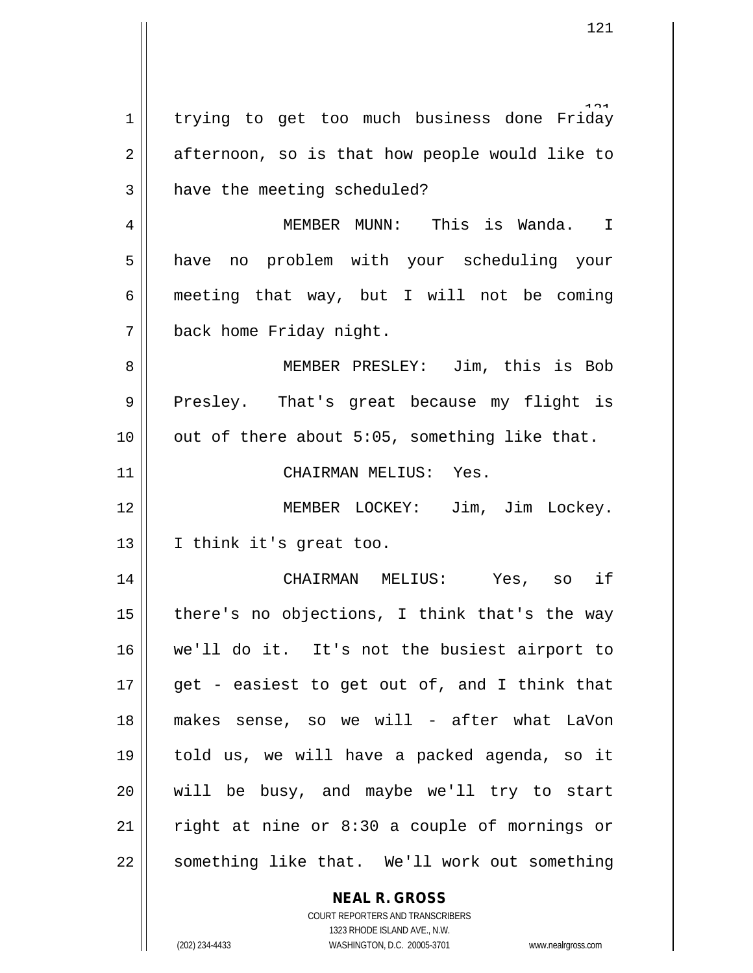**NEAL R. GROSS** 1 trying to get too much business done Friday  $2 \parallel$  afternoon, so is that how people would like to 3 | have the meeting scheduled? 4 MEMBER MUNN: This is Wanda. I 5 || have no problem with your scheduling your 6 | meeting that way, but I will not be coming 7 | back home Friday night. 8 MEMBER PRESLEY: Jim, this is Bob 9 Presley. That's great because my flight is  $10$  | out of there about 5:05, something like that. 11 CHAIRMAN MELIUS: Yes. 12 MEMBER LOCKEY: Jim, Jim Lockey. 13 || I think it's great too. 14 CHAIRMAN MELIUS: Yes, so if 15  $\parallel$  there's no objections, I think that's the way 16 we'll do it. It's not the busiest airport to 17  $\parallel$  get - easiest to get out of, and I think that 18 makes sense, so we will - after what LaVon 19 told us, we will have a packed agenda, so it 20 will be busy, and maybe we'll try to start 21 || right at nine or  $8:30$  a couple of mornings or  $22$  | something like that. We'll work out something

> COURT REPORTERS AND TRANSCRIBERS 1323 RHODE ISLAND AVE., N.W.

(202) 234-4433 WASHINGTON, D.C. 20005-3701 www.nealrgross.com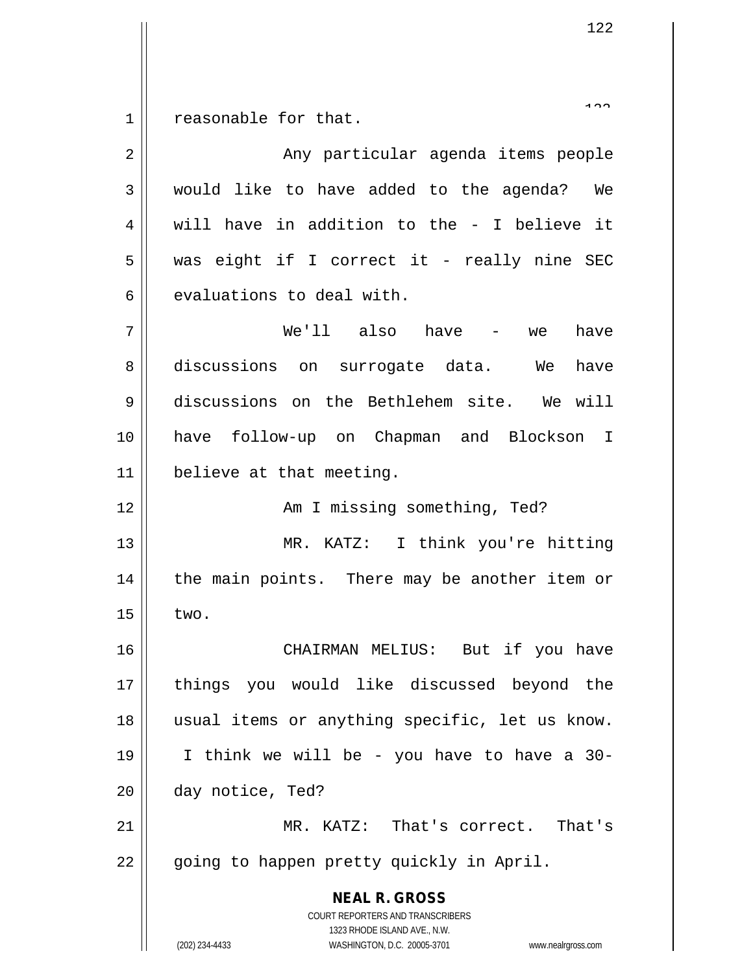reasonable for that.

| $\overline{2}$ | Any particular agenda items people                                                                                                                              |
|----------------|-----------------------------------------------------------------------------------------------------------------------------------------------------------------|
| 3              | would like to have added to the agenda? We                                                                                                                      |
| 4              | will have in addition to the - I believe it                                                                                                                     |
| 5              | was eight if I correct it - really nine SEC                                                                                                                     |
| 6              | evaluations to deal with.                                                                                                                                       |
| 7              | We'll also have - we<br>have                                                                                                                                    |
| 8              | discussions on surrogate data. We<br>have                                                                                                                       |
| 9              | discussions on the Bethlehem site. We will                                                                                                                      |
| 10             | have follow-up on Chapman and Blockson I                                                                                                                        |
| 11             | believe at that meeting.                                                                                                                                        |
| 12             | Am I missing something, Ted?                                                                                                                                    |
| 13             | MR. KATZ: I think you're hitting                                                                                                                                |
| 14             | the main points. There may be another item or                                                                                                                   |
| 15             | two.                                                                                                                                                            |
| 16             | CHAIRMAN MELIUS: But if you have                                                                                                                                |
| 17             | you would like discussed beyond the<br>things                                                                                                                   |
| 18             | usual items or anything specific, let us know.                                                                                                                  |
| 19             | I think we will be - you have to have a 30-                                                                                                                     |
| 20             | day notice, Ted?                                                                                                                                                |
| 21             | MR. KATZ: That's correct. That's                                                                                                                                |
| 22             | going to happen pretty quickly in April.                                                                                                                        |
|                | <b>NEAL R. GROSS</b><br>COURT REPORTERS AND TRANSCRIBERS<br>1323 RHODE ISLAND AVE., N.W.<br>(202) 234-4433<br>WASHINGTON, D.C. 20005-3701<br>www.nealrgross.com |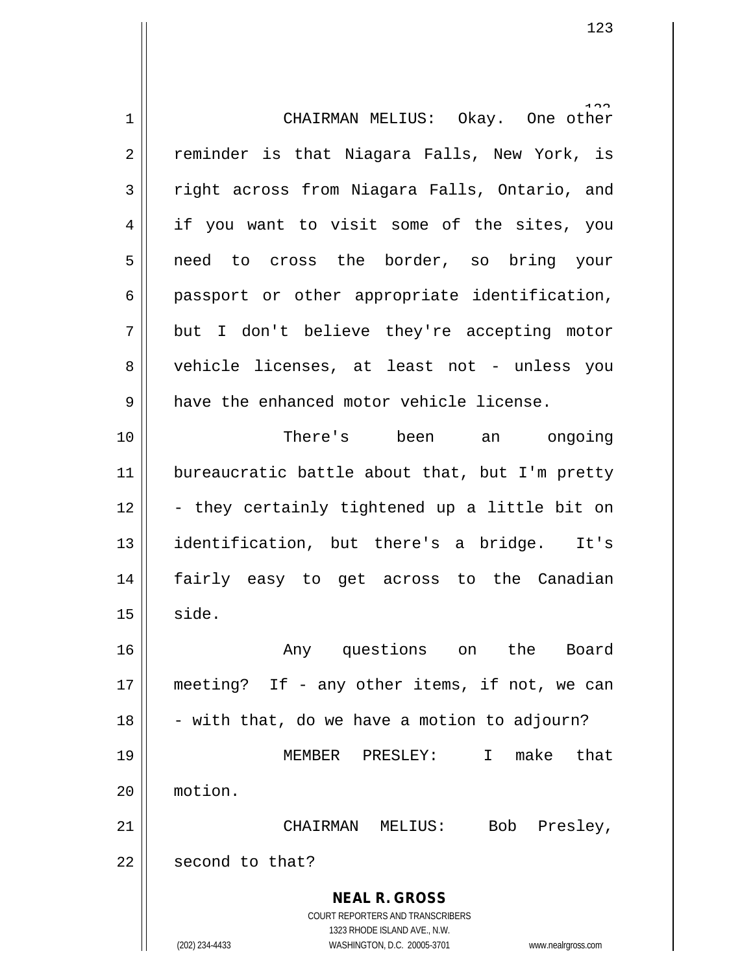**NEAL R. GROSS** COURT REPORTERS AND TRANSCRIBERS 1323 RHODE ISLAND AVE., N.W. (202) 234-4433 WASHINGTON, D.C. 20005-3701 www.nealrgross.com 123 1 CHAIRMAN MELIUS: Okay. One other 2 || reminder is that Niagara Falls, New York, is 3 Tright across from Niagara Falls, Ontario, and 4 || if you want to visit some of the sites, you 5 need to cross the border, so bring your  $6 \parallel$  passport or other appropriate identification, 7 but I don't believe they're accepting motor 8 vehicle licenses, at least not - unless you  $9$  || have the enhanced motor vehicle license. 10 There's been an ongoing 11 || bureaucratic battle about that, but I'm pretty  $12 \parallel$  - they certainly tightened up a little bit on 13 identification, but there's a bridge. It's 14 fairly easy to get across to the Canadian  $15 \parallel$  side. 16 Any questions on the Board 17 || meeting? If - any other items, if not, we can  $18 \parallel -$  with that, do we have a motion to adjourn? 19 MEMBER PRESLEY: I make that 20 motion. 21 CHAIRMAN MELIUS: Bob Presley, 22 | second to that?